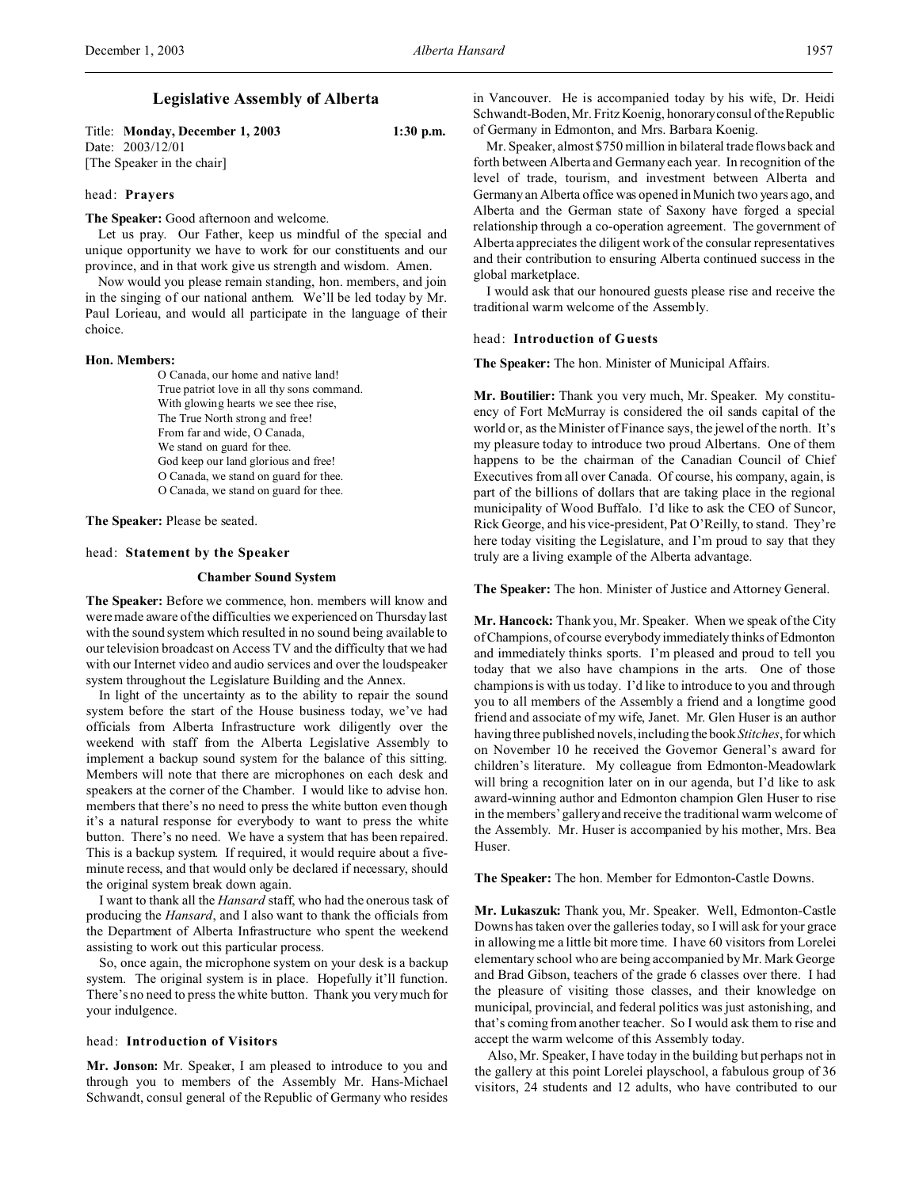Title: **Monday, December 1, 2003 1:30 p.m.** Date: 2003/12/01 [The Speaker in the chair]

# head: **Prayers**

**The Speaker:** Good afternoon and welcome.

Let us pray. Our Father, keep us mindful of the special and unique opportunity we have to work for our constituents and our province, and in that work give us strength and wisdom. Amen.

Now would you please remain standing, hon. members, and join in the singing of our national anthem. We'll be led today by Mr. Paul Lorieau, and would all participate in the language of their choice.

### **Hon. Members:**

O Canada, our home and native land! True patriot love in all thy sons command. With glowing hearts we see thee rise, The True North strong and free! From far and wide, O Canada, We stand on guard for thee. God keep our land glorious and free! O Canada, we stand on guard for thee. O Canada, we stand on guard for thee.

**The Speaker:** Please be seated.

## head: **Statement by the Speaker**

## **Chamber Sound System**

**The Speaker:** Before we commence, hon. members will know and were made aware of the difficulties we experienced on Thursday last with the sound system which resulted in no sound being available to our television broadcast on Access TV and the difficulty that we had with our Internet video and audio services and over the loudspeaker system throughout the Legislature Building and the Annex.

In light of the uncertainty as to the ability to repair the sound system before the start of the House business today, we've had officials from Alberta Infrastructure work diligently over the weekend with staff from the Alberta Legislative Assembly to implement a backup sound system for the balance of this sitting. Members will note that there are microphones on each desk and speakers at the corner of the Chamber. I would like to advise hon. members that there's no need to press the white button even though it's a natural response for everybody to want to press the white button. There's no need. We have a system that has been repaired. This is a backup system. If required, it would require about a fiveminute recess, and that would only be declared if necessary, should the original system break down again.

I want to thank all the *Hansard* staff, who had the onerous task of producing the *Hansard*, and I also want to thank the officials from the Department of Alberta Infrastructure who spent the weekend assisting to work out this particular process.

So, once again, the microphone system on your desk is a backup system. The original system is in place. Hopefully it'll function. There's no need to press the white button. Thank you very much for your indulgence.

### head: **Introduction of Visitors**

**Mr. Jonson:** Mr. Speaker, I am pleased to introduce to you and through you to members of the Assembly Mr. Hans-Michael Schwandt, consul general of the Republic of Germany who resides

in Vancouver. He is accompanied today by his wife, Dr. Heidi Schwandt-Boden, Mr. Fritz Koenig, honoraryconsul of the Republic of Germany in Edmonton, and Mrs. Barbara Koenig.

Mr. Speaker, almost \$750 million in bilateral trade flows back and forth between Alberta and Germany each year. In recognition of the level of trade, tourism, and investment between Alberta and Germany an Alberta office was opened in Munich two years ago, and Alberta and the German state of Saxony have forged a special relationship through a co-operation agreement. The government of Alberta appreciates the diligent work of the consular representatives and their contribution to ensuring Alberta continued success in the global marketplace.

I would ask that our honoured guests please rise and receive the traditional warm welcome of the Assembly.

#### head: **Introduction of Guests**

**The Speaker:** The hon. Minister of Municipal Affairs.

**Mr. Boutilier:** Thank you very much, Mr. Speaker. My constituency of Fort McMurray is considered the oil sands capital of the world or, as the Minister of Finance says, the jewel of the north. It's my pleasure today to introduce two proud Albertans. One of them happens to be the chairman of the Canadian Council of Chief Executives from all over Canada. Of course, his company, again, is part of the billions of dollars that are taking place in the regional municipality of Wood Buffalo. I'd like to ask the CEO of Suncor, Rick George, and his vice-president, Pat O'Reilly, to stand. They're here today visiting the Legislature, and I'm proud to say that they truly are a living example of the Alberta advantage.

**The Speaker:** The hon. Minister of Justice and Attorney General.

**Mr. Hancock:** Thank you, Mr. Speaker. When we speak of the City of Champions, of course everybody immediately thinks of Edmonton and immediately thinks sports. I'm pleased and proud to tell you today that we also have champions in the arts. One of those champions is with us today. I'd like to introduce to you and through you to all members of the Assembly a friend and a longtime good friend and associate of my wife, Janet. Mr. Glen Huser is an author having three published novels, including the book *Stitches*, for which on November 10 he received the Governor General's award for children's literature. My colleague from Edmonton-Meadowlark will bring a recognition later on in our agenda, but I'd like to ask award-winning author and Edmonton champion Glen Huser to rise in the members' gallery and receive the traditional warm welcome of the Assembly. Mr. Huser is accompanied by his mother, Mrs. Bea Huser.

**The Speaker:** The hon. Member for Edmonton-Castle Downs.

**Mr. Lukaszuk:** Thank you, Mr. Speaker. Well, Edmonton-Castle Downs has taken over the galleries today, so I will ask for your grace in allowing me a little bit more time. I have 60 visitors from Lorelei elementary school who are being accompanied by Mr. Mark George and Brad Gibson, teachers of the grade 6 classes over there. I had the pleasure of visiting those classes, and their knowledge on municipal, provincial, and federal politics was just astonishing, and that's coming from another teacher. So I would ask them to rise and accept the warm welcome of this Assembly today.

Also, Mr. Speaker, I have today in the building but perhaps not in the gallery at this point Lorelei playschool, a fabulous group of 36 visitors, 24 students and 12 adults, who have contributed to our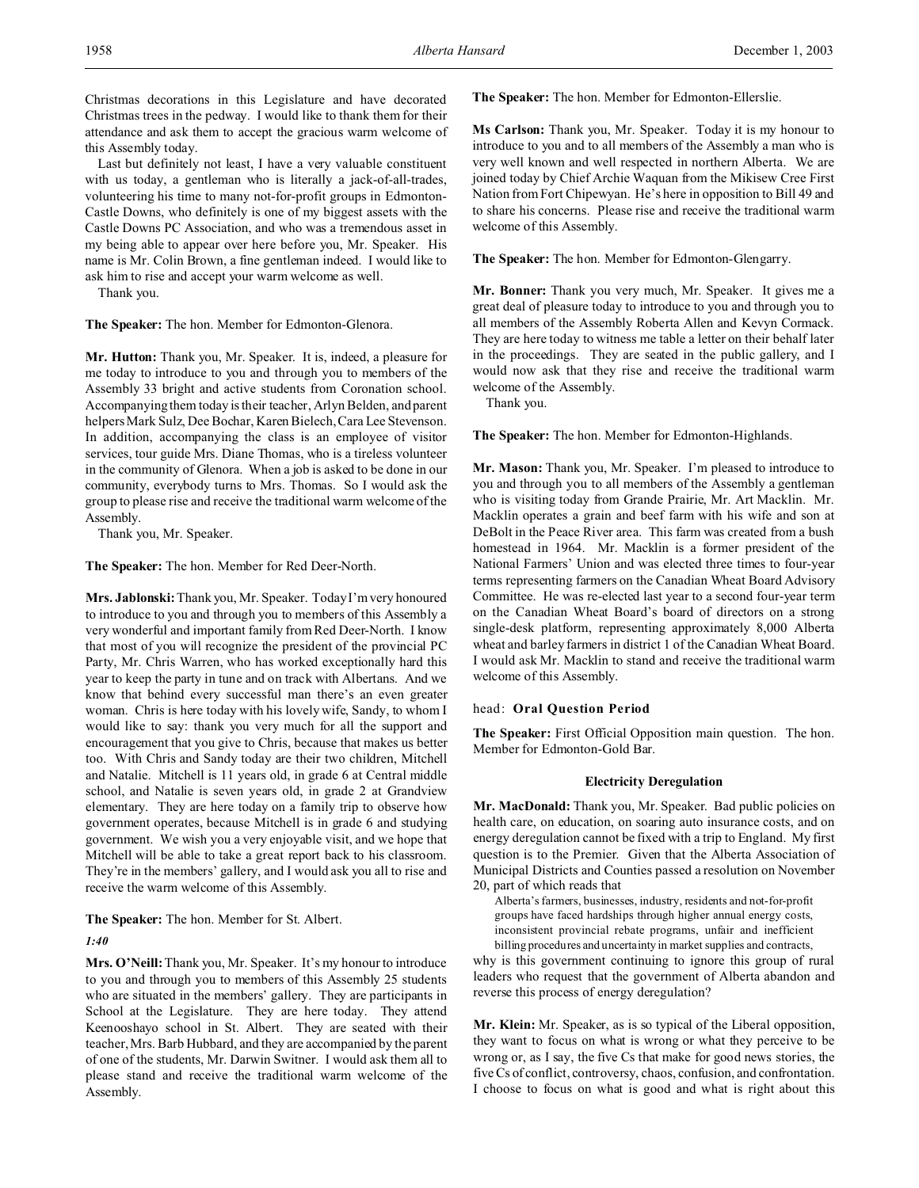Christmas decorations in this Legislature and have decorated Christmas trees in the pedway. I would like to thank them for their attendance and ask them to accept the gracious warm welcome of this Assembly today.

Last but definitely not least, I have a very valuable constituent with us today, a gentleman who is literally a jack-of-all-trades, volunteering his time to many not-for-profit groups in Edmonton-Castle Downs, who definitely is one of my biggest assets with the Castle Downs PC Association, and who was a tremendous asset in my being able to appear over here before you, Mr. Speaker. His name is Mr. Colin Brown, a fine gentleman indeed. I would like to ask him to rise and accept your warm welcome as well.

Thank you.

**The Speaker:** The hon. Member for Edmonton-Glenora.

**Mr. Hutton:** Thank you, Mr. Speaker. It is, indeed, a pleasure for me today to introduce to you and through you to members of the Assembly 33 bright and active students from Coronation school. Accompanying them today is their teacher, Arlyn Belden, and parent helpers Mark Sulz, Dee Bochar, Karen Bielech, Cara Lee Stevenson. In addition, accompanying the class is an employee of visitor services, tour guide Mrs. Diane Thomas, who is a tireless volunteer in the community of Glenora. When a job is asked to be done in our community, everybody turns to Mrs. Thomas. So I would ask the group to please rise and receive the traditional warm welcome of the Assembly.

Thank you, Mr. Speaker.

**The Speaker:** The hon. Member for Red Deer-North.

**Mrs. Jablonski:** Thank you, Mr. Speaker. Today I'm very honoured to introduce to you and through you to members of this Assembly a very wonderful and important family from Red Deer-North. I know that most of you will recognize the president of the provincial PC Party, Mr. Chris Warren, who has worked exceptionally hard this year to keep the party in tune and on track with Albertans. And we know that behind every successful man there's an even greater woman. Chris is here today with his lovely wife, Sandy, to whom I would like to say: thank you very much for all the support and encouragement that you give to Chris, because that makes us better too. With Chris and Sandy today are their two children, Mitchell and Natalie. Mitchell is 11 years old, in grade 6 at Central middle school, and Natalie is seven years old, in grade 2 at Grandview elementary. They are here today on a family trip to observe how government operates, because Mitchell is in grade 6 and studying government. We wish you a very enjoyable visit, and we hope that Mitchell will be able to take a great report back to his classroom. They're in the members' gallery, and I would ask you all to rise and receive the warm welcome of this Assembly.

**The Speaker:** The hon. Member for St. Albert.

# *1:40*

**Mrs. O'Neill:**Thank you, Mr. Speaker. It's my honour to introduce to you and through you to members of this Assembly 25 students who are situated in the members' gallery. They are participants in School at the Legislature. They are here today. They attend Keenooshayo school in St. Albert. They are seated with their teacher, Mrs. Barb Hubbard, and they are accompanied by the parent of one of the students, Mr. Darwin Switner. I would ask them all to please stand and receive the traditional warm welcome of the Assembly.

**The Speaker:** The hon. Member for Edmonton-Ellerslie.

**Ms Carlson:** Thank you, Mr. Speaker. Today it is my honour to introduce to you and to all members of the Assembly a man who is very well known and well respected in northern Alberta. We are joined today by Chief Archie Waquan from the Mikisew Cree First Nation from Fort Chipewyan. He's here in opposition to Bill 49 and to share his concerns. Please rise and receive the traditional warm welcome of this Assembly.

**The Speaker:** The hon. Member for Edmonton-Glengarry.

**Mr. Bonner:** Thank you very much, Mr. Speaker. It gives me a great deal of pleasure today to introduce to you and through you to all members of the Assembly Roberta Allen and Kevyn Cormack. They are here today to witness me table a letter on their behalf later in the proceedings. They are seated in the public gallery, and I would now ask that they rise and receive the traditional warm welcome of the Assembly.

Thank you.

**The Speaker:** The hon. Member for Edmonton-Highlands.

**Mr. Mason:** Thank you, Mr. Speaker. I'm pleased to introduce to you and through you to all members of the Assembly a gentleman who is visiting today from Grande Prairie, Mr. Art Macklin. Mr. Macklin operates a grain and beef farm with his wife and son at DeBolt in the Peace River area. This farm was created from a bush homestead in 1964. Mr. Macklin is a former president of the National Farmers' Union and was elected three times to four-year terms representing farmers on the Canadian Wheat Board Advisory Committee. He was re-elected last year to a second four-year term on the Canadian Wheat Board's board of directors on a strong single-desk platform, representing approximately 8,000 Alberta wheat and barley farmers in district 1 of the Canadian Wheat Board. I would ask Mr. Macklin to stand and receive the traditional warm welcome of this Assembly.

# head: **Oral Question Period**

**The Speaker:** First Official Opposition main question. The hon. Member for Edmonton-Gold Bar.

## **Electricity Deregulation**

**Mr. MacDonald:** Thank you, Mr. Speaker. Bad public policies on health care, on education, on soaring auto insurance costs, and on energy deregulation cannot be fixed with a trip to England. My first question is to the Premier. Given that the Alberta Association of Municipal Districts and Counties passed a resolution on November 20, part of which reads that

Alberta's farmers, businesses, industry, residents and not-for-profit groups have faced hardships through higher annual energy costs, inconsistent provincial rebate programs, unfair and inefficient billing procedures and uncertainty in market supplies and contracts,

why is this government continuing to ignore this group of rural leaders who request that the government of Alberta abandon and reverse this process of energy deregulation?

**Mr. Klein:** Mr. Speaker, as is so typical of the Liberal opposition, they want to focus on what is wrong or what they perceive to be wrong or, as I say, the five Cs that make for good news stories, the five Cs of conflict, controversy, chaos, confusion, and confrontation. I choose to focus on what is good and what is right about this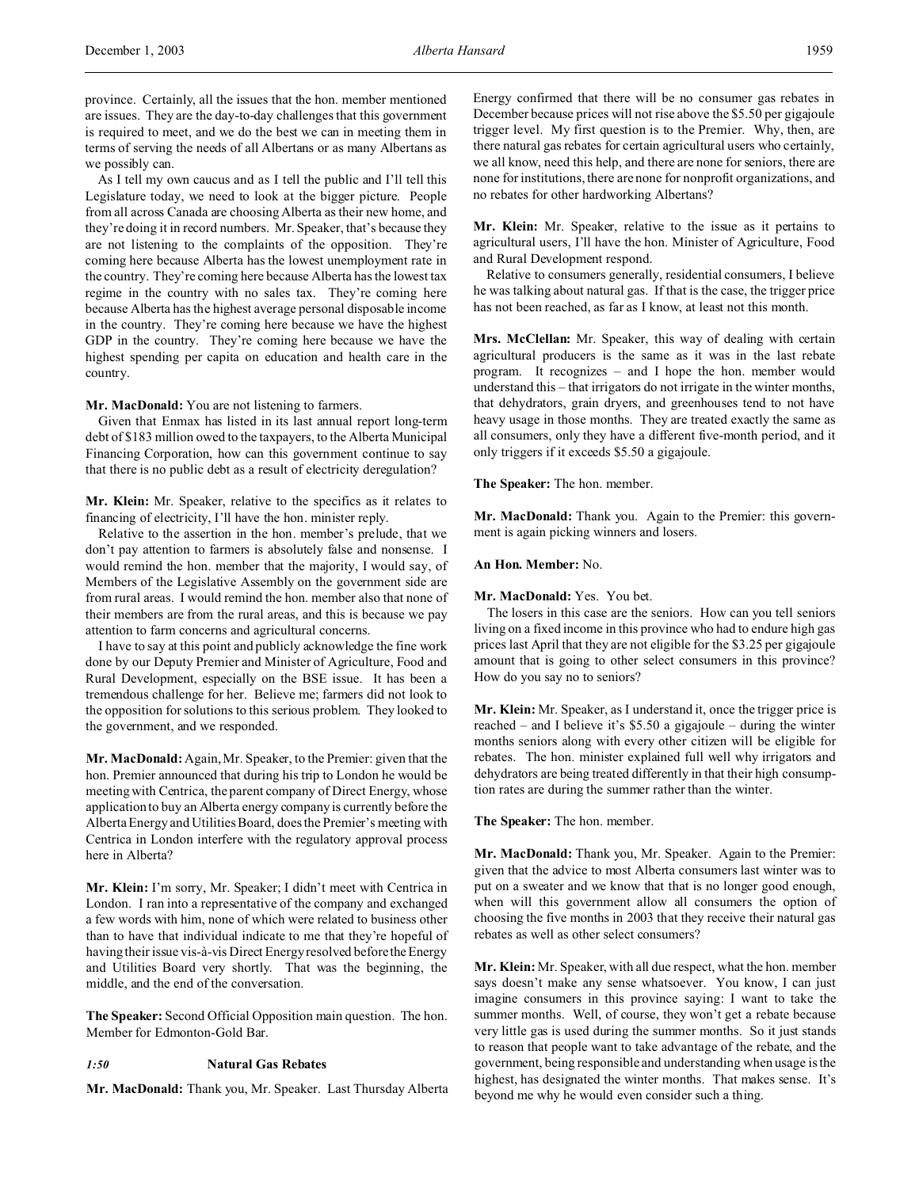province. Certainly, all the issues that the hon. member mentioned are issues. They are the day-to-day challenges that this government is required to meet, and we do the best we can in meeting them in terms of serving the needs of all Albertans or as many Albertans as we possibly can.

As I tell my own caucus and as I tell the public and I'll tell this Legislature today, we need to look at the bigger picture. People from all across Canada are choosing Alberta as their new home, and they're doing it in record numbers. Mr. Speaker, that's because they are not listening to the complaints of the opposition. They're coming here because Alberta has the lowest unemployment rate in the country. They're coming here because Alberta has the lowest tax regime in the country with no sales tax. They're coming here because Alberta has the highest average personal disposable income in the country. They're coming here because we have the highest GDP in the country. They're coming here because we have the highest spending per capita on education and health care in the country.

### **Mr. MacDonald:** You are not listening to farmers.

Given that Enmax has listed in its last annual report long-term debt of \$183 million owed to the taxpayers, to the Alberta Municipal Financing Corporation, how can this government continue to say that there is no public debt as a result of electricity deregulation?

**Mr. Klein:** Mr. Speaker, relative to the specifics as it relates to financing of electricity, I'll have the hon. minister reply.

Relative to the assertion in the hon. member's prelude, that we don't pay attention to farmers is absolutely false and nonsense. I would remind the hon. member that the majority, I would say, of Members of the Legislative Assembly on the government side are from rural areas. I would remind the hon. member also that none of their members are from the rural areas, and this is because we pay attention to farm concerns and agricultural concerns.

I have to say at this point and publicly acknowledge the fine work done by our Deputy Premier and Minister of Agriculture, Food and Rural Development, especially on the BSE issue. It has been a tremendous challenge for her. Believe me; farmers did not look to the opposition for solutions to this serious problem. They looked to the government, and we responded.

**Mr. MacDonald:** Again, Mr. Speaker, to the Premier: given that the hon. Premier announced that during his trip to London he would be meeting with Centrica, the parent company of Direct Energy, whose application to buy an Alberta energy company is currently before the Alberta Energy and Utilities Board, does the Premier's meeting with Centrica in London interfere with the regulatory approval process here in Alberta?

**Mr. Klein:** I'm sorry, Mr. Speaker; I didn't meet with Centrica in London. I ran into a representative of the company and exchanged a few words with him, none of which were related to business other than to have that individual indicate to me that they're hopeful of having their issue vis-à-vis Direct Energy resolved before the Energy and Utilities Board very shortly. That was the beginning, the middle, and the end of the conversation.

**The Speaker:** Second Official Opposition main question. The hon. Member for Edmonton-Gold Bar.

# *1:50* **Natural Gas Rebates**

**Mr. MacDonald:** Thank you, Mr. Speaker. Last Thursday Alberta

Energy confirmed that there will be no consumer gas rebates in December because prices will not rise above the \$5.50 per gigajoule trigger level. My first question is to the Premier. Why, then, are there natural gas rebates for certain agricultural users who certainly, we all know, need this help, and there are none for seniors, there are none for institutions, there are none for nonprofit organizations, and no rebates for other hardworking Albertans?

**Mr. Klein:** Mr. Speaker, relative to the issue as it pertains to agricultural users, I'll have the hon. Minister of Agriculture, Food and Rural Development respond.

Relative to consumers generally, residential consumers, I believe he was talking about natural gas. If that is the case, the trigger price has not been reached, as far as I know, at least not this month.

**Mrs. McClellan:** Mr. Speaker, this way of dealing with certain agricultural producers is the same as it was in the last rebate program. It recognizes – and I hope the hon. member would understand this – that irrigators do not irrigate in the winter months, that dehydrators, grain dryers, and greenhouses tend to not have heavy usage in those months. They are treated exactly the same as all consumers, only they have a different five-month period, and it only triggers if it exceeds \$5.50 a gigajoule.

**The Speaker:** The hon. member.

**Mr. MacDonald:** Thank you. Again to the Premier: this government is again picking winners and losers.

#### **An Hon. Member:** No.

**Mr. MacDonald:** Yes. You bet.

The losers in this case are the seniors. How can you tell seniors living on a fixed income in this province who had to endure high gas prices last April that they are not eligible for the \$3.25 per gigajoule amount that is going to other select consumers in this province? How do you say no to seniors?

**Mr. Klein:** Mr. Speaker, as I understand it, once the trigger price is reached – and I believe it's \$5.50 a gigajoule – during the winter months seniors along with every other citizen will be eligible for rebates. The hon. minister explained full well why irrigators and dehydrators are being treated differently in that their high consumption rates are during the summer rather than the winter.

**The Speaker:** The hon. member.

**Mr. MacDonald:** Thank you, Mr. Speaker. Again to the Premier: given that the advice to most Alberta consumers last winter was to put on a sweater and we know that that is no longer good enough, when will this government allow all consumers the option of choosing the five months in 2003 that they receive their natural gas rebates as well as other select consumers?

**Mr. Klein:** Mr. Speaker, with all due respect, what the hon. member says doesn't make any sense whatsoever. You know, I can just imagine consumers in this province saying: I want to take the summer months. Well, of course, they won't get a rebate because very little gas is used during the summer months. So it just stands to reason that people want to take advantage of the rebate, and the government, being responsible and understanding when usage is the highest, has designated the winter months. That makes sense. It's beyond me why he would even consider such a thing.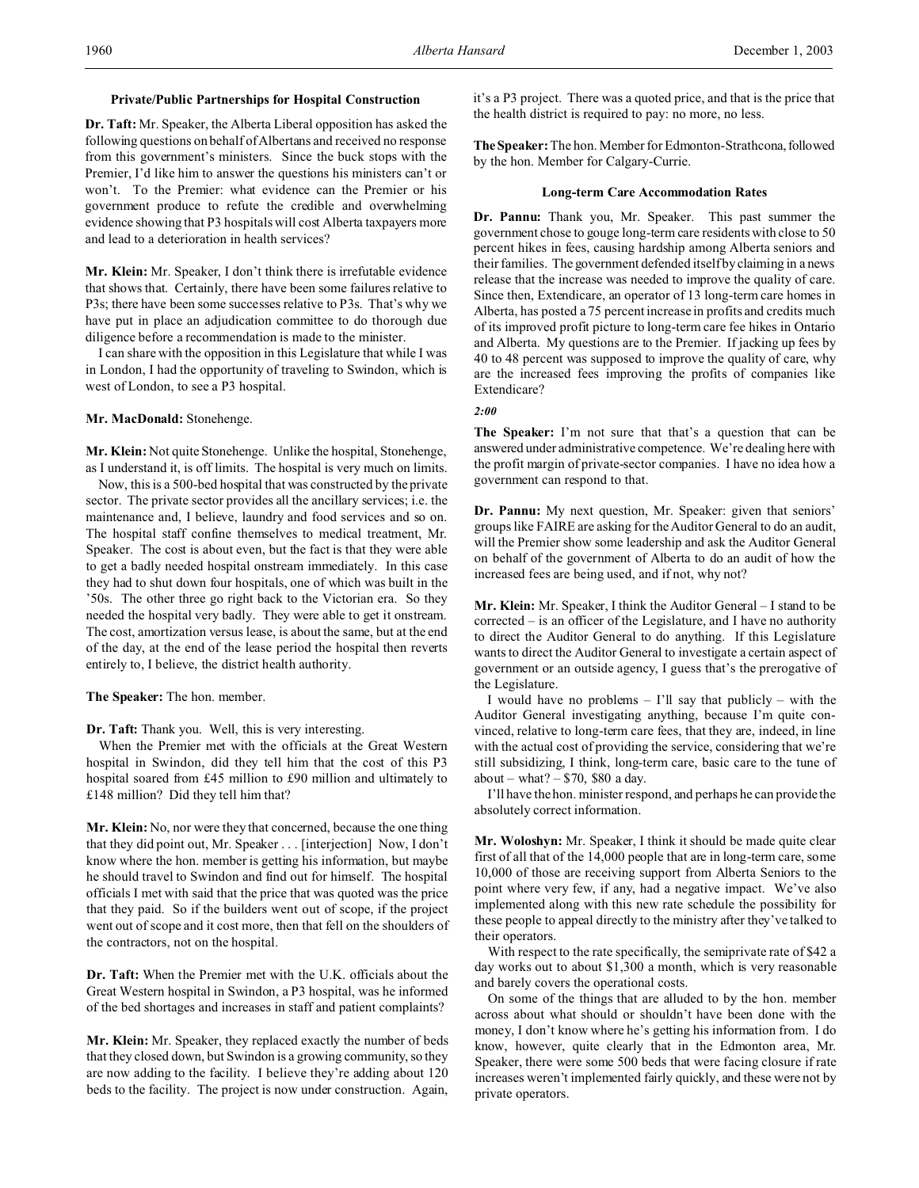### **Private/Public Partnerships for Hospital Construction**

**Dr. Taft:** Mr. Speaker, the Alberta Liberal opposition has asked the following questions on behalf of Albertans and received no response from this government's ministers. Since the buck stops with the Premier, I'd like him to answer the questions his ministers can't or won't. To the Premier: what evidence can the Premier or his government produce to refute the credible and overwhelming evidence showing that P3 hospitals will cost Alberta taxpayers more and lead to a deterioration in health services?

**Mr. Klein:** Mr. Speaker, I don't think there is irrefutable evidence that shows that. Certainly, there have been some failures relative to P3s; there have been some successes relative to P3s. That's why we have put in place an adjudication committee to do thorough due diligence before a recommendation is made to the minister.

I can share with the opposition in this Legislature that while I was in London, I had the opportunity of traveling to Swindon, which is west of London, to see a P3 hospital.

## **Mr. MacDonald:** Stonehenge.

**Mr. Klein:** Not quite Stonehenge. Unlike the hospital, Stonehenge, as I understand it, is off limits. The hospital is very much on limits.

Now, this is a 500-bed hospital that was constructed by the private sector. The private sector provides all the ancillary services; i.e. the maintenance and, I believe, laundry and food services and so on. The hospital staff confine themselves to medical treatment, Mr. Speaker. The cost is about even, but the fact is that they were able to get a badly needed hospital onstream immediately. In this case they had to shut down four hospitals, one of which was built in the '50s. The other three go right back to the Victorian era. So they needed the hospital very badly. They were able to get it onstream. The cost, amortization versus lease, is about the same, but at the end of the day, at the end of the lease period the hospital then reverts entirely to, I believe, the district health authority.

## **The Speaker:** The hon. member.

### **Dr. Taft:** Thank you. Well, this is very interesting.

When the Premier met with the officials at the Great Western hospital in Swindon, did they tell him that the cost of this P3 hospital soared from £45 million to £90 million and ultimately to £148 million? Did they tell him that?

**Mr. Klein:** No, nor were they that concerned, because the one thing that they did point out, Mr. Speaker . . . [interjection] Now, I don't know where the hon. member is getting his information, but maybe he should travel to Swindon and find out for himself. The hospital officials I met with said that the price that was quoted was the price that they paid. So if the builders went out of scope, if the project went out of scope and it cost more, then that fell on the shoulders of the contractors, not on the hospital.

**Dr. Taft:** When the Premier met with the U.K. officials about the Great Western hospital in Swindon, a P3 hospital, was he informed of the bed shortages and increases in staff and patient complaints?

**Mr. Klein:** Mr. Speaker, they replaced exactly the number of beds that they closed down, but Swindon is a growing community, so they are now adding to the facility. I believe they're adding about 120 beds to the facility. The project is now under construction. Again,

it's a P3 project. There was a quoted price, and that is the price that the health district is required to pay: no more, no less.

The Speaker: The hon. Member for Edmonton-Strathcona, followed by the hon. Member for Calgary-Currie.

#### **Long-term Care Accommodation Rates**

**Dr. Pannu:** Thank you, Mr. Speaker. This past summer the government chose to gouge long-term care residents with close to 50 percent hikes in fees, causing hardship among Alberta seniors and their families. The government defended itself by claiming in a news release that the increase was needed to improve the quality of care. Since then, Extendicare, an operator of 13 long-term care homes in Alberta, has posted a 75 percent increase in profits and credits much of its improved profit picture to long-term care fee hikes in Ontario and Alberta. My questions are to the Premier. If jacking up fees by 40 to 48 percent was supposed to improve the quality of care, why are the increased fees improving the profits of companies like Extendicare?

#### *2:00*

**The Speaker:** I'm not sure that that's a question that can be answered under administrative competence. We're dealing here with the profit margin of private-sector companies. I have no idea how a government can respond to that.

**Dr. Pannu:** My next question, Mr. Speaker: given that seniors' groups like FAIRE are asking for the Auditor General to do an audit, will the Premier show some leadership and ask the Auditor General on behalf of the government of Alberta to do an audit of how the increased fees are being used, and if not, why not?

**Mr. Klein:** Mr. Speaker, I think the Auditor General – I stand to be corrected – is an officer of the Legislature, and I have no authority to direct the Auditor General to do anything. If this Legislature wants to direct the Auditor General to investigate a certain aspect of government or an outside agency, I guess that's the prerogative of the Legislature.

I would have no problems  $-$  I'll say that publicly  $-$  with the Auditor General investigating anything, because I'm quite convinced, relative to long-term care fees, that they are, indeed, in line with the actual cost of providing the service, considering that we're still subsidizing, I think, long-term care, basic care to the tune of about – what? –  $$70, $80$  a day.

I'll have the hon. minister respond, and perhaps he can provide the absolutely correct information.

**Mr. Woloshyn:** Mr. Speaker, I think it should be made quite clear first of all that of the 14,000 people that are in long-term care, some 10,000 of those are receiving support from Alberta Seniors to the point where very few, if any, had a negative impact. We've also implemented along with this new rate schedule the possibility for these people to appeal directly to the ministry after they've talked to their operators.

With respect to the rate specifically, the semiprivate rate of \$42 a day works out to about \$1,300 a month, which is very reasonable and barely covers the operational costs.

On some of the things that are alluded to by the hon. member across about what should or shouldn't have been done with the money, I don't know where he's getting his information from. I do know, however, quite clearly that in the Edmonton area, Mr. Speaker, there were some 500 beds that were facing closure if rate increases weren't implemented fairly quickly, and these were not by private operators.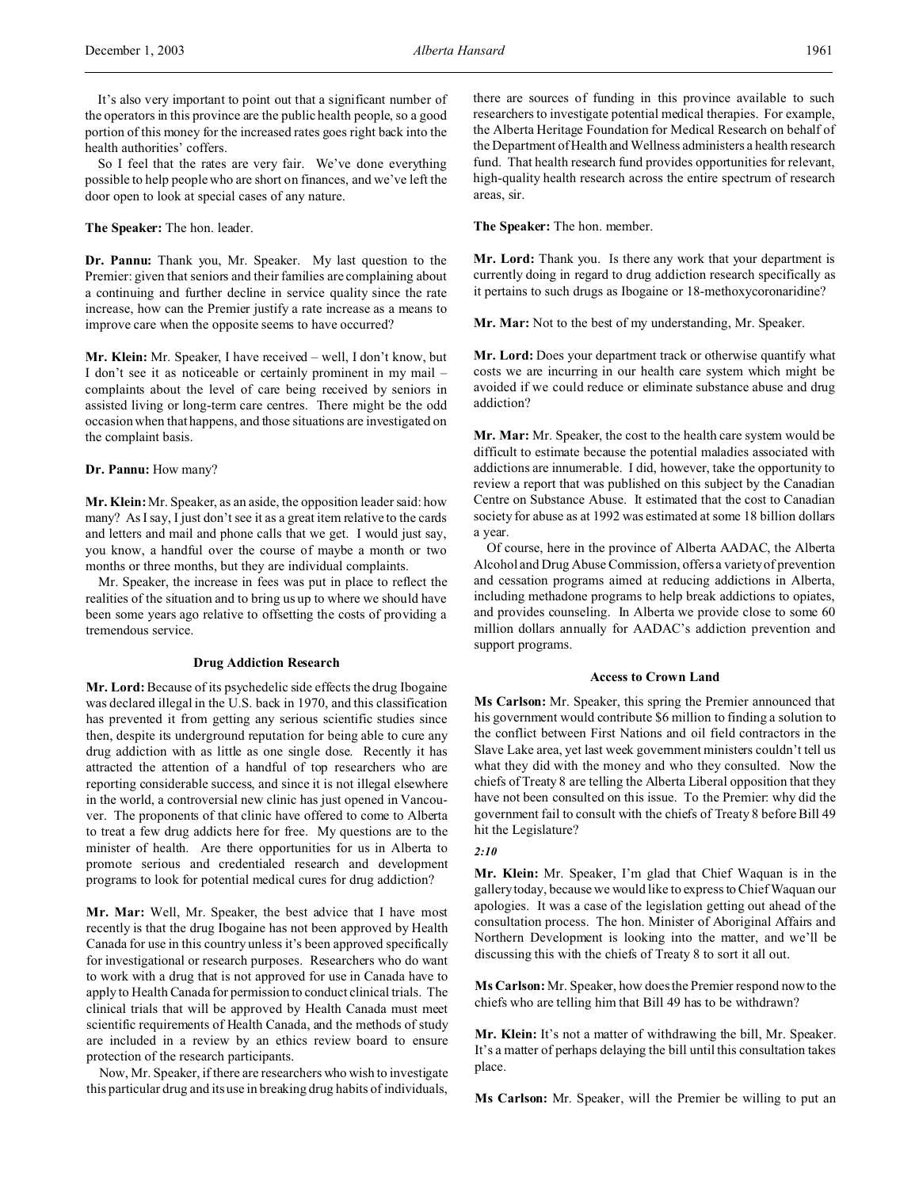It's also very important to point out that a significant number of the operators in this province are the public health people, so a good portion of this money for the increased rates goes right back into the health authorities' coffers.

So I feel that the rates are very fair. We've done everything possible to help people who are short on finances, and we've left the door open to look at special cases of any nature.

**The Speaker:** The hon. leader.

**Dr. Pannu:** Thank you, Mr. Speaker. My last question to the Premier: given that seniors and their families are complaining about a continuing and further decline in service quality since the rate increase, how can the Premier justify a rate increase as a means to improve care when the opposite seems to have occurred?

**Mr. Klein:** Mr. Speaker, I have received – well, I don't know, but I don't see it as noticeable or certainly prominent in my mail – complaints about the level of care being received by seniors in assisted living or long-term care centres. There might be the odd occasion when that happens, and those situations are investigated on the complaint basis.

## **Dr. Pannu:** How many?

**Mr. Klein:** Mr. Speaker, as an aside, the opposition leader said: how many? As I say, I just don't see it as a great item relative to the cards and letters and mail and phone calls that we get. I would just say, you know, a handful over the course of maybe a month or two months or three months, but they are individual complaints.

Mr. Speaker, the increase in fees was put in place to reflect the realities of the situation and to bring us up to where we should have been some years ago relative to offsetting the costs of providing a tremendous service.

#### **Drug Addiction Research**

**Mr. Lord:**Because of its psychedelic side effects the drug Ibogaine was declared illegal in the U.S. back in 1970, and this classification has prevented it from getting any serious scientific studies since then, despite its underground reputation for being able to cure any drug addiction with as little as one single dose. Recently it has attracted the attention of a handful of top researchers who are reporting considerable success, and since it is not illegal elsewhere in the world, a controversial new clinic has just opened in Vancouver. The proponents of that clinic have offered to come to Alberta to treat a few drug addicts here for free. My questions are to the minister of health. Are there opportunities for us in Alberta to promote serious and credentialed research and development programs to look for potential medical cures for drug addiction?

**Mr. Mar:** Well, Mr. Speaker, the best advice that I have most recently is that the drug Ibogaine has not been approved by Health Canada for use in this country unless it's been approved specifically for investigational or research purposes. Researchers who do want to work with a drug that is not approved for use in Canada have to apply to Health Canada for permission to conduct clinical trials. The clinical trials that will be approved by Health Canada must meet scientific requirements of Health Canada, and the methods of study are included in a review by an ethics review board to ensure protection of the research participants.

Now, Mr. Speaker, if there are researchers who wish to investigate this particular drug and its use in breaking drug habits of individuals,

there are sources of funding in this province available to such researchers to investigate potential medical therapies. For example, the Alberta Heritage Foundation for Medical Research on behalf of the Department of Health and Wellness administers a health research fund. That health research fund provides opportunities for relevant, high-quality health research across the entire spectrum of research areas, sir.

**The Speaker:** The hon. member.

**Mr. Lord:** Thank you. Is there any work that your department is currently doing in regard to drug addiction research specifically as it pertains to such drugs as Ibogaine or 18-methoxycoronaridine?

**Mr. Mar:** Not to the best of my understanding, Mr. Speaker.

**Mr. Lord:** Does your department track or otherwise quantify what costs we are incurring in our health care system which might be avoided if we could reduce or eliminate substance abuse and drug addiction?

**Mr. Mar:** Mr. Speaker, the cost to the health care system would be difficult to estimate because the potential maladies associated with addictions are innumerable. I did, however, take the opportunity to review a report that was published on this subject by the Canadian Centre on Substance Abuse. It estimated that the cost to Canadian society for abuse as at 1992 was estimated at some 18 billion dollars a year.

Of course, here in the province of Alberta AADAC, the Alberta Alcohol and Drug Abuse Commission, offers a variety of prevention and cessation programs aimed at reducing addictions in Alberta, including methadone programs to help break addictions to opiates, and provides counseling. In Alberta we provide close to some 60 million dollars annually for AADAC's addiction prevention and support programs.

#### **Access to Crown Land**

**Ms Carlson:** Mr. Speaker, this spring the Premier announced that his government would contribute \$6 million to finding a solution to the conflict between First Nations and oil field contractors in the Slave Lake area, yet last week government ministers couldn't tell us what they did with the money and who they consulted. Now the chiefs of Treaty 8 are telling the Alberta Liberal opposition that they have not been consulted on this issue. To the Premier: why did the government fail to consult with the chiefs of Treaty 8 before Bill 49 hit the Legislature?

#### *2:10*

**Mr. Klein:** Mr. Speaker, I'm glad that Chief Waquan is in the gallery today, because we would like to express to Chief Waquan our apologies. It was a case of the legislation getting out ahead of the consultation process. The hon. Minister of Aboriginal Affairs and Northern Development is looking into the matter, and we'll be discussing this with the chiefs of Treaty 8 to sort it all out.

**Ms Carlson:** Mr. Speaker, how does the Premier respond now to the chiefs who are telling him that Bill 49 has to be withdrawn?

**Mr. Klein:** It's not a matter of withdrawing the bill, Mr. Speaker. It's a matter of perhaps delaying the bill until this consultation takes place.

**Ms Carlson:** Mr. Speaker, will the Premier be willing to put an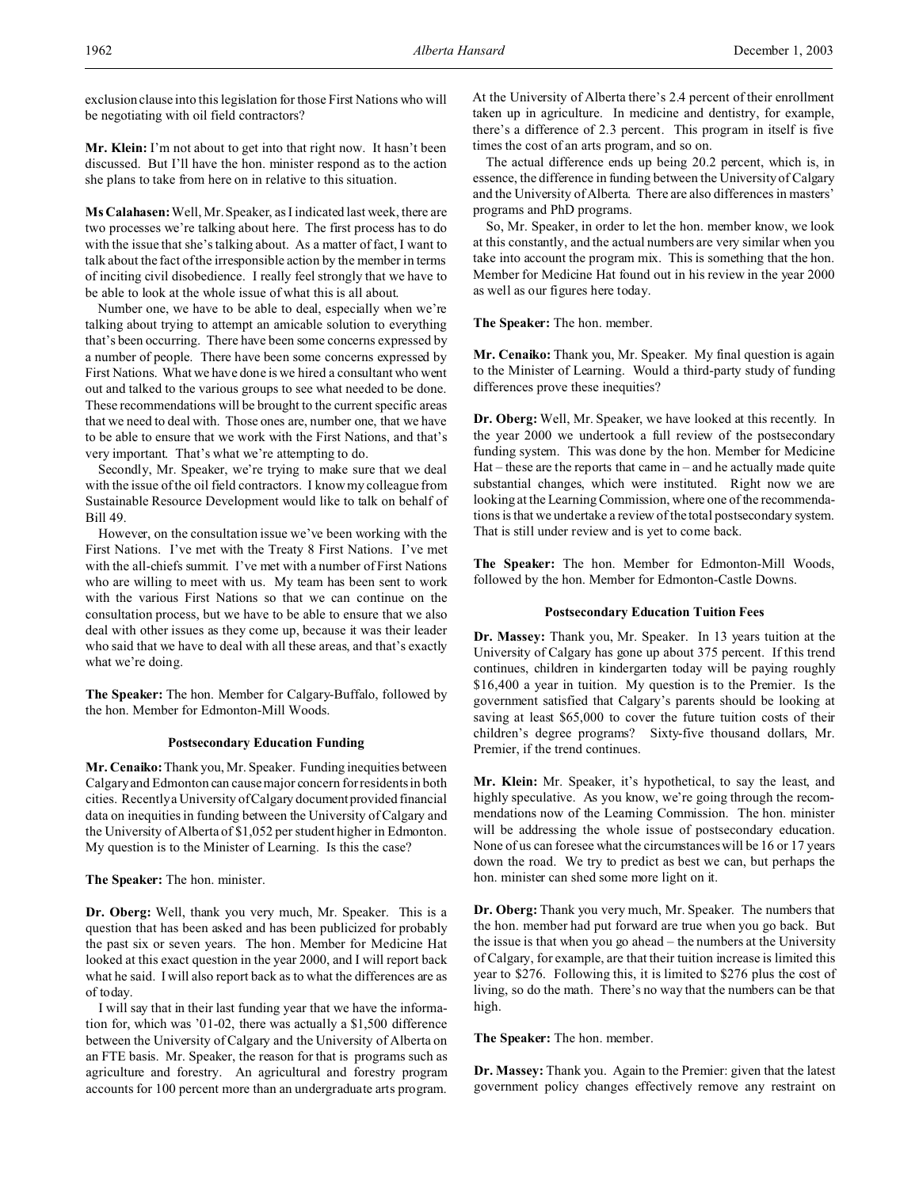exclusion clause into this legislation for those First Nations who will be negotiating with oil field contractors?

**Mr. Klein:** I'm not about to get into that right now. It hasn't been discussed. But I'll have the hon. minister respond as to the action she plans to take from here on in relative to this situation.

**Ms Calahasen:** Well, Mr. Speaker, as I indicated last week, there are two processes we're talking about here. The first process has to do with the issue that she's talking about. As a matter of fact, I want to talk about the fact of the irresponsible action by the member in terms of inciting civil disobedience. I really feel strongly that we have to be able to look at the whole issue of what this is all about.

Number one, we have to be able to deal, especially when we're talking about trying to attempt an amicable solution to everything that's been occurring. There have been some concerns expressed by a number of people. There have been some concerns expressed by First Nations. What we have done is we hired a consultant who went out and talked to the various groups to see what needed to be done. These recommendations will be brought to the current specific areas that we need to deal with. Those ones are, number one, that we have to be able to ensure that we work with the First Nations, and that's very important. That's what we're attempting to do.

Secondly, Mr. Speaker, we're trying to make sure that we deal with the issue of the oil field contractors. I know my colleague from Sustainable Resource Development would like to talk on behalf of Bill 49.

However, on the consultation issue we've been working with the First Nations. I've met with the Treaty 8 First Nations. I've met with the all-chiefs summit. I've met with a number of First Nations who are willing to meet with us. My team has been sent to work with the various First Nations so that we can continue on the consultation process, but we have to be able to ensure that we also deal with other issues as they come up, because it was their leader who said that we have to deal with all these areas, and that's exactly what we're doing.

**The Speaker:** The hon. Member for Calgary-Buffalo, followed by the hon. Member for Edmonton-Mill Woods.

## **Postsecondary Education Funding**

**Mr. Cenaiko:** Thank you, Mr. Speaker. Funding inequities between Calgary and Edmonton can cause major concern for residents in both cities. Recently a University of Calgary document provided financial data on inequities in funding between the University of Calgary and the University of Alberta of \$1,052 per student higher in Edmonton. My question is to the Minister of Learning. Is this the case?

**The Speaker:** The hon. minister.

**Dr. Oberg:** Well, thank you very much, Mr. Speaker. This is a question that has been asked and has been publicized for probably the past six or seven years. The hon. Member for Medicine Hat looked at this exact question in the year 2000, and I will report back what he said. I will also report back as to what the differences are as of today.

I will say that in their last funding year that we have the information for, which was '01-02, there was actually a \$1,500 difference between the University of Calgary and the University of Alberta on an FTE basis. Mr. Speaker, the reason for that is programs such as agriculture and forestry. An agricultural and forestry program accounts for 100 percent more than an undergraduate arts program. At the University of Alberta there's 2.4 percent of their enrollment taken up in agriculture. In medicine and dentistry, for example, there's a difference of 2.3 percent. This program in itself is five times the cost of an arts program, and so on.

The actual difference ends up being 20.2 percent, which is, in essence, the difference in funding between the University of Calgary and the University of Alberta. There are also differences in masters' programs and PhD programs.

So, Mr. Speaker, in order to let the hon. member know, we look at this constantly, and the actual numbers are very similar when you take into account the program mix. This is something that the hon. Member for Medicine Hat found out in his review in the year 2000 as well as our figures here today.

**The Speaker:** The hon. member.

**Mr. Cenaiko:** Thank you, Mr. Speaker. My final question is again to the Minister of Learning. Would a third-party study of funding differences prove these inequities?

**Dr. Oberg:** Well, Mr. Speaker, we have looked at this recently. In the year 2000 we undertook a full review of the postsecondary funding system. This was done by the hon. Member for Medicine  $Hat$  – these are the reports that came in – and he actually made quite substantial changes, which were instituted. Right now we are looking at the Learning Commission, where one of the recommendations is that we undertake a review of the total postsecondary system. That is still under review and is yet to come back.

**The Speaker:** The hon. Member for Edmonton-Mill Woods, followed by the hon. Member for Edmonton-Castle Downs.

# **Postsecondary Education Tuition Fees**

**Dr. Massey:** Thank you, Mr. Speaker. In 13 years tuition at the University of Calgary has gone up about 375 percent. If this trend continues, children in kindergarten today will be paying roughly \$16,400 a year in tuition. My question is to the Premier. Is the government satisfied that Calgary's parents should be looking at saving at least \$65,000 to cover the future tuition costs of their children's degree programs? Sixty-five thousand dollars, Mr. Premier, if the trend continues.

**Mr. Klein:** Mr. Speaker, it's hypothetical, to say the least, and highly speculative. As you know, we're going through the recommendations now of the Learning Commission. The hon. minister will be addressing the whole issue of postsecondary education. None of us can foresee what the circumstances will be 16 or 17 years down the road. We try to predict as best we can, but perhaps the hon. minister can shed some more light on it.

**Dr. Oberg:** Thank you very much, Mr. Speaker. The numbers that the hon. member had put forward are true when you go back. But the issue is that when you go ahead – the numbers at the University of Calgary, for example, are that their tuition increase is limited this year to \$276. Following this, it is limited to \$276 plus the cost of living, so do the math. There's no way that the numbers can be that high.

**The Speaker:** The hon. member.

**Dr. Massey:** Thank you. Again to the Premier: given that the latest government policy changes effectively remove any restraint on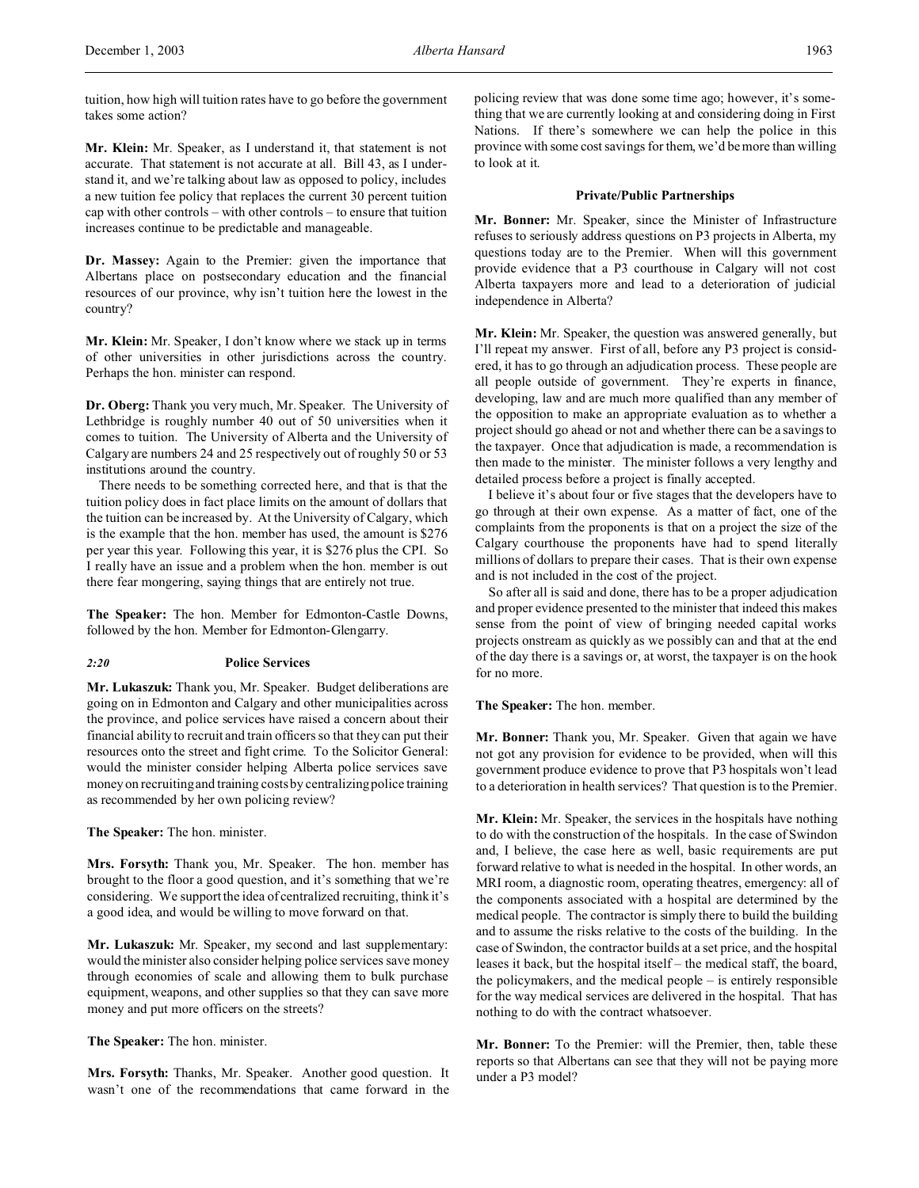tuition, how high will tuition rates have to go before the government takes some action?

**Mr. Klein:** Mr. Speaker, as I understand it, that statement is not accurate. That statement is not accurate at all. Bill 43, as I understand it, and we're talking about law as opposed to policy, includes a new tuition fee policy that replaces the current 30 percent tuition cap with other controls – with other controls – to ensure that tuition increases continue to be predictable and manageable.

**Dr. Massey:** Again to the Premier: given the importance that Albertans place on postsecondary education and the financial resources of our province, why isn't tuition here the lowest in the country?

**Mr. Klein:** Mr. Speaker, I don't know where we stack up in terms of other universities in other jurisdictions across the country. Perhaps the hon. minister can respond.

**Dr. Oberg:** Thank you very much, Mr. Speaker. The University of Lethbridge is roughly number 40 out of 50 universities when it comes to tuition. The University of Alberta and the University of Calgary are numbers 24 and 25 respectively out of roughly 50 or 53 institutions around the country.

There needs to be something corrected here, and that is that the tuition policy does in fact place limits on the amount of dollars that the tuition can be increased by. At the University of Calgary, which is the example that the hon. member has used, the amount is \$276 per year this year. Following this year, it is \$276 plus the CPI. So I really have an issue and a problem when the hon. member is out there fear mongering, saying things that are entirely not true.

**The Speaker:** The hon. Member for Edmonton-Castle Downs, followed by the hon. Member for Edmonton-Glengarry.

# *2:20* **Police Services**

**Mr. Lukaszuk:** Thank you, Mr. Speaker. Budget deliberations are going on in Edmonton and Calgary and other municipalities across the province, and police services have raised a concern about their financial ability to recruit and train officers so that they can put their resources onto the street and fight crime. To the Solicitor General: would the minister consider helping Alberta police services save money on recruiting and training costs by centralizing police training as recommended by her own policing review?

**The Speaker:** The hon. minister.

**Mrs. Forsyth:** Thank you, Mr. Speaker. The hon. member has brought to the floor a good question, and it's something that we're considering. We support the idea of centralized recruiting, think it's a good idea, and would be willing to move forward on that.

**Mr. Lukaszuk:** Mr. Speaker, my second and last supplementary: would the minister also consider helping police services save money through economies of scale and allowing them to bulk purchase equipment, weapons, and other supplies so that they can save more money and put more officers on the streets?

**The Speaker:** The hon. minister.

**Mrs. Forsyth:** Thanks, Mr. Speaker. Another good question. It wasn't one of the recommendations that came forward in the policing review that was done some time ago; however, it's something that we are currently looking at and considering doing in First Nations. If there's somewhere we can help the police in this province with some cost savings for them, we'd be more than willing to look at it.

# **Private/Public Partnerships**

**Mr. Bonner:** Mr. Speaker, since the Minister of Infrastructure refuses to seriously address questions on P3 projects in Alberta, my questions today are to the Premier. When will this government provide evidence that a P3 courthouse in Calgary will not cost Alberta taxpayers more and lead to a deterioration of judicial independence in Alberta?

**Mr. Klein:** Mr. Speaker, the question was answered generally, but I'll repeat my answer. First of all, before any P3 project is considered, it has to go through an adjudication process. These people are all people outside of government. They're experts in finance, developing, law and are much more qualified than any member of the opposition to make an appropriate evaluation as to whether a project should go ahead or not and whether there can be a savings to the taxpayer. Once that adjudication is made, a recommendation is then made to the minister. The minister follows a very lengthy and detailed process before a project is finally accepted.

I believe it's about four or five stages that the developers have to go through at their own expense. As a matter of fact, one of the complaints from the proponents is that on a project the size of the Calgary courthouse the proponents have had to spend literally millions of dollars to prepare their cases. That is their own expense and is not included in the cost of the project.

So after all is said and done, there has to be a proper adjudication and proper evidence presented to the minister that indeed this makes sense from the point of view of bringing needed capital works projects onstream as quickly as we possibly can and that at the end of the day there is a savings or, at worst, the taxpayer is on the hook for no more.

**The Speaker:** The hon. member.

**Mr. Bonner:** Thank you, Mr. Speaker. Given that again we have not got any provision for evidence to be provided, when will this government produce evidence to prove that P3 hospitals won't lead to a deterioration in health services? That question is to the Premier.

**Mr. Klein:** Mr. Speaker, the services in the hospitals have nothing to do with the construction of the hospitals. In the case of Swindon and, I believe, the case here as well, basic requirements are put forward relative to what is needed in the hospital. In other words, an MRI room, a diagnostic room, operating theatres, emergency: all of the components associated with a hospital are determined by the medical people. The contractor is simply there to build the building and to assume the risks relative to the costs of the building. In the case of Swindon, the contractor builds at a set price, and the hospital leases it back, but the hospital itself – the medical staff, the board, the policymakers, and the medical people – is entirely responsible for the way medical services are delivered in the hospital. That has nothing to do with the contract whatsoever.

**Mr. Bonner:** To the Premier: will the Premier, then, table these reports so that Albertans can see that they will not be paying more under a P3 model?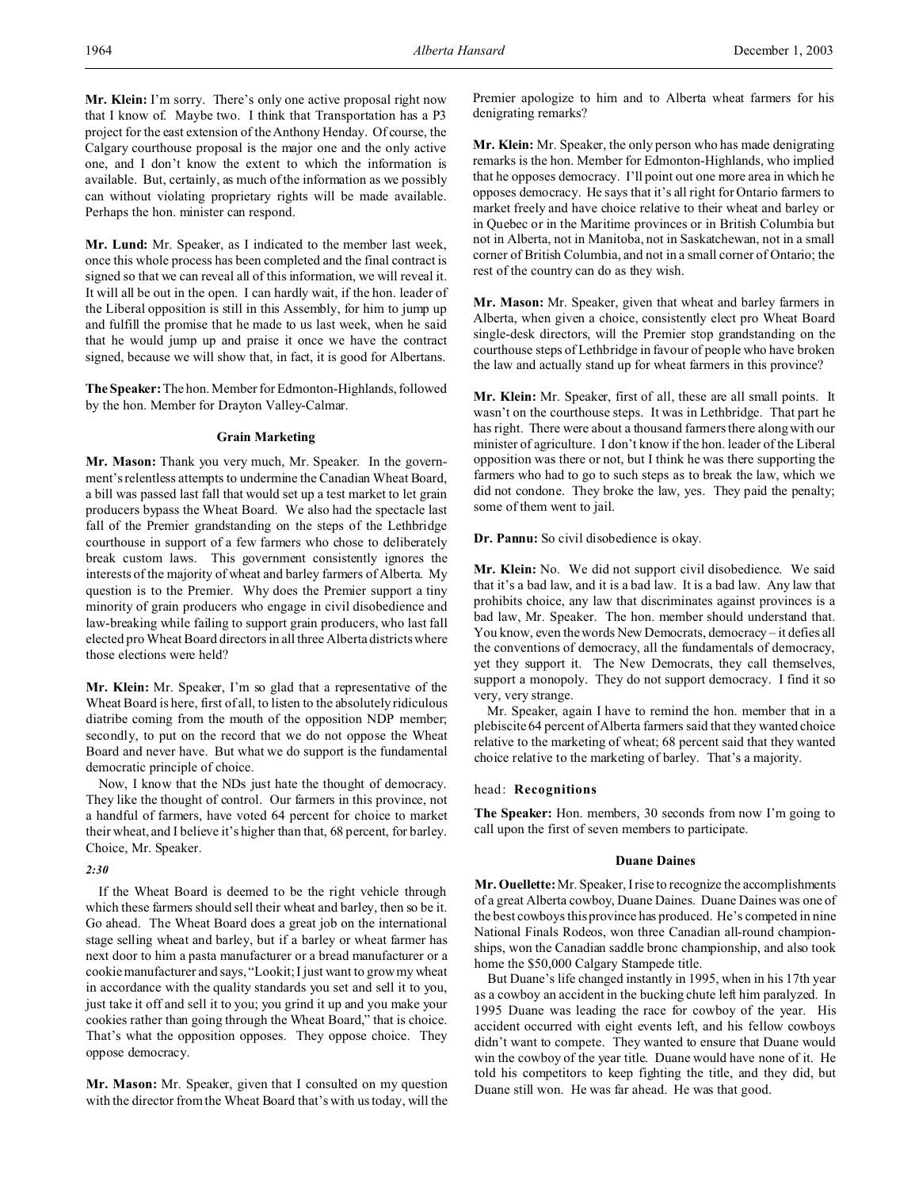**Mr. Lund:** Mr. Speaker, as I indicated to the member last week, once this whole process has been completed and the final contract is signed so that we can reveal all of this information, we will reveal it. It will all be out in the open. I can hardly wait, if the hon. leader of the Liberal opposition is still in this Assembly, for him to jump up and fulfill the promise that he made to us last week, when he said that he would jump up and praise it once we have the contract signed, because we will show that, in fact, it is good for Albertans.

**The Speaker:** The hon. Member for Edmonton-Highlands, followed by the hon. Member for Drayton Valley-Calmar.

### **Grain Marketing**

**Mr. Mason:** Thank you very much, Mr. Speaker. In the government's relentless attempts to undermine the Canadian Wheat Board, a bill was passed last fall that would set up a test market to let grain producers bypass the Wheat Board. We also had the spectacle last fall of the Premier grandstanding on the steps of the Lethbridge courthouse in support of a few farmers who chose to deliberately break custom laws. This government consistently ignores the interests of the majority of wheat and barley farmers of Alberta. My question is to the Premier. Why does the Premier support a tiny minority of grain producers who engage in civil disobedience and law-breaking while failing to support grain producers, who last fall elected pro Wheat Board directors in all three Alberta districts where those elections were held?

**Mr. Klein:** Mr. Speaker, I'm so glad that a representative of the Wheat Board is here, first of all, to listen to the absolutely ridiculous diatribe coming from the mouth of the opposition NDP member; secondly, to put on the record that we do not oppose the Wheat Board and never have. But what we do support is the fundamental democratic principle of choice.

Now, I know that the NDs just hate the thought of democracy. They like the thought of control. Our farmers in this province, not a handful of farmers, have voted 64 percent for choice to market their wheat, and I believe it's higher than that, 68 percent, for barley. Choice, Mr. Speaker.

### *2:30*

If the Wheat Board is deemed to be the right vehicle through which these farmers should sell their wheat and barley, then so be it. Go ahead. The Wheat Board does a great job on the international stage selling wheat and barley, but if a barley or wheat farmer has next door to him a pasta manufacturer or a bread manufacturer or a cookie manufacturer and says, "Lookit; I just want to grow my wheat in accordance with the quality standards you set and sell it to you, just take it off and sell it to you; you grind it up and you make your cookies rather than going through the Wheat Board," that is choice. That's what the opposition opposes. They oppose choice. They oppose democracy.

**Mr. Mason:** Mr. Speaker, given that I consulted on my question with the director from the Wheat Board that's with us today, will the Premier apologize to him and to Alberta wheat farmers for his denigrating remarks?

**Mr. Klein:** Mr. Speaker, the only person who has made denigrating remarks is the hon. Member for Edmonton-Highlands, who implied that he opposes democracy. I'll point out one more area in which he opposes democracy. He says that it's all right for Ontario farmers to market freely and have choice relative to their wheat and barley or in Quebec or in the Maritime provinces or in British Columbia but not in Alberta, not in Manitoba, not in Saskatchewan, not in a small corner of British Columbia, and not in a small corner of Ontario; the rest of the country can do as they wish.

**Mr. Mason:** Mr. Speaker, given that wheat and barley farmers in Alberta, when given a choice, consistently elect pro Wheat Board single-desk directors, will the Premier stop grandstanding on the courthouse steps of Lethbridge in favour of people who have broken the law and actually stand up for wheat farmers in this province?

**Mr. Klein:** Mr. Speaker, first of all, these are all small points. It wasn't on the courthouse steps. It was in Lethbridge. That part he has right. There were about a thousand farmers there along with our minister of agriculture. I don't know if the hon. leader of the Liberal opposition was there or not, but I think he was there supporting the farmers who had to go to such steps as to break the law, which we did not condone. They broke the law, yes. They paid the penalty; some of them went to jail.

**Dr. Pannu:** So civil disobedience is okay.

**Mr. Klein:** No. We did not support civil disobedience. We said that it's a bad law, and it is a bad law. It is a bad law. Any law that prohibits choice, any law that discriminates against provinces is a bad law, Mr. Speaker. The hon. member should understand that. You know, even the words New Democrats, democracy – it defies all the conventions of democracy, all the fundamentals of democracy, yet they support it. The New Democrats, they call themselves, support a monopoly. They do not support democracy. I find it so very, very strange.

Mr. Speaker, again I have to remind the hon. member that in a plebiscite 64 percent of Alberta farmers said that they wanted choice relative to the marketing of wheat; 68 percent said that they wanted choice relative to the marketing of barley. That's a majority.

# head: **Recognitions**

**The Speaker:** Hon. members, 30 seconds from now I'm going to call upon the first of seven members to participate.

### **Duane Daines**

**Mr. Ouellette:** Mr. Speaker, I rise to recognize the accomplishments of a great Alberta cowboy, Duane Daines. Duane Daines was one of the best cowboys this province has produced. He's competed in nine National Finals Rodeos, won three Canadian all-round championships, won the Canadian saddle bronc championship, and also took home the \$50,000 Calgary Stampede title.

But Duane's life changed instantly in 1995, when in his 17th year as a cowboy an accident in the bucking chute left him paralyzed. In 1995 Duane was leading the race for cowboy of the year. His accident occurred with eight events left, and his fellow cowboys didn't want to compete. They wanted to ensure that Duane would win the cowboy of the year title. Duane would have none of it. He told his competitors to keep fighting the title, and they did, but Duane still won. He was far ahead. He was that good.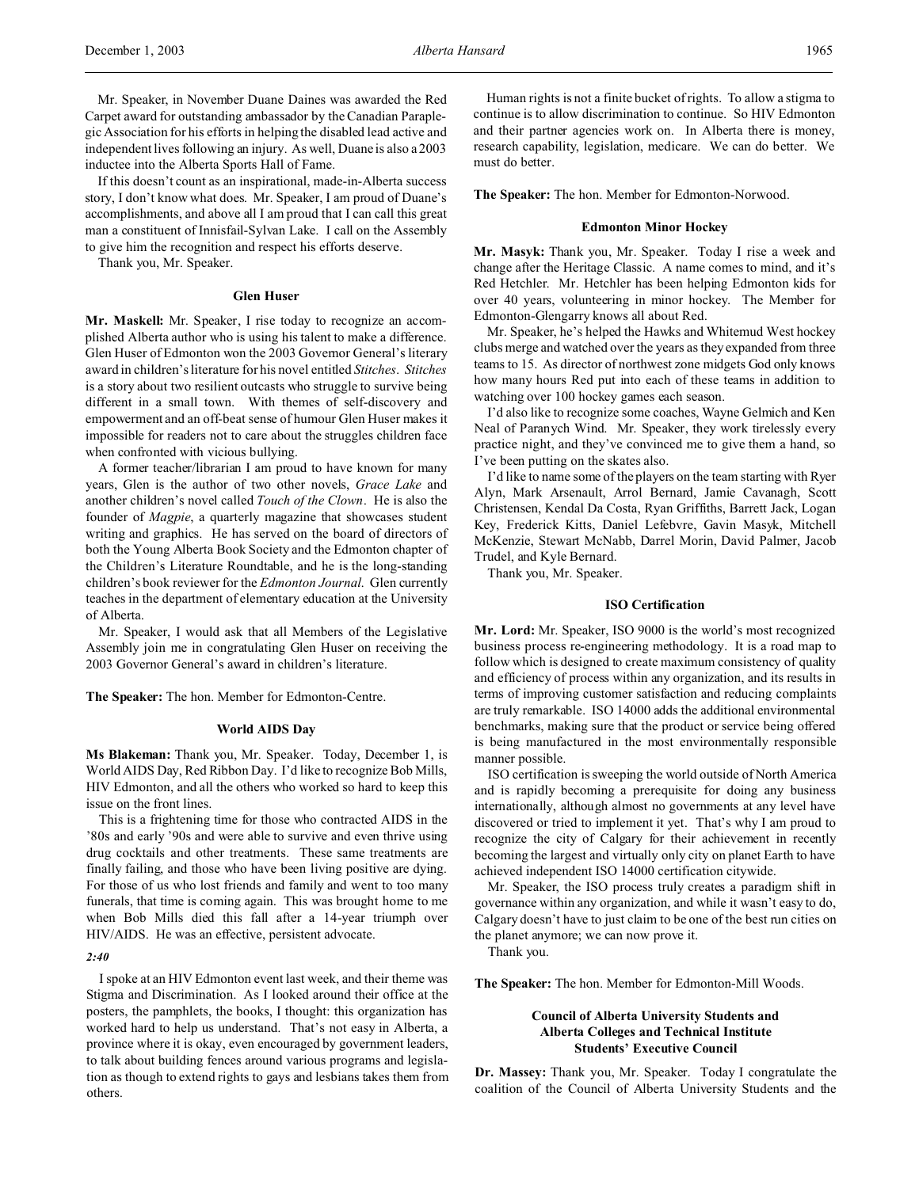Mr. Speaker, in November Duane Daines was awarded the Red Carpet award for outstanding ambassador by the Canadian Paraplegic Association for his efforts in helping the disabled lead active and independent lives following an injury. As well, Duane is also a 2003 inductee into the Alberta Sports Hall of Fame.

If this doesn't count as an inspirational, made-in-Alberta success story, I don't know what does. Mr. Speaker, I am proud of Duane's accomplishments, and above all I am proud that I can call this great man a constituent of Innisfail-Sylvan Lake. I call on the Assembly to give him the recognition and respect his efforts deserve.

Thank you, Mr. Speaker.

### **Glen Huser**

**Mr. Maskell:** Mr. Speaker, I rise today to recognize an accomplished Alberta author who is using his talent to make a difference. Glen Huser of Edmonton won the 2003 Governor General's literary award in children's literature for his novel entitled *Stitches*. *Stitches* is a story about two resilient outcasts who struggle to survive being different in a small town. With themes of self-discovery and empowerment and an off-beat sense of humour Glen Huser makes it impossible for readers not to care about the struggles children face when confronted with vicious bullying.

A former teacher/librarian I am proud to have known for many years, Glen is the author of two other novels, *Grace Lake* and another children's novel called *Touch of the Clown*. He is also the founder of *Magpie*, a quarterly magazine that showcases student writing and graphics. He has served on the board of directors of both the Young Alberta Book Society and the Edmonton chapter of the Children's Literature Roundtable, and he is the long-standing children's book reviewer for the *Edmonton Journal*. Glen currently teaches in the department of elementary education at the University of Alberta.

Mr. Speaker, I would ask that all Members of the Legislative Assembly join me in congratulating Glen Huser on receiving the 2003 Governor General's award in children's literature.

**The Speaker:** The hon. Member for Edmonton-Centre.

### **World AIDS Day**

**Ms Blakeman:** Thank you, Mr. Speaker. Today, December 1, is World AIDS Day, Red Ribbon Day. I'd like to recognize Bob Mills, HIV Edmonton, and all the others who worked so hard to keep this issue on the front lines.

This is a frightening time for those who contracted AIDS in the '80s and early '90s and were able to survive and even thrive using drug cocktails and other treatments. These same treatments are finally failing, and those who have been living positive are dying. For those of us who lost friends and family and went to too many funerals, that time is coming again. This was brought home to me when Bob Mills died this fall after a 14-year triumph over HIV/AIDS. He was an effective, persistent advocate.

#### *2:40*

I spoke at an HIV Edmonton event last week, and their theme was Stigma and Discrimination. As I looked around their office at the posters, the pamphlets, the books, I thought: this organization has worked hard to help us understand. That's not easy in Alberta, a province where it is okay, even encouraged by government leaders, to talk about building fences around various programs and legislation as though to extend rights to gays and lesbians takes them from others.

Human rights is not a finite bucket of rights. To allow a stigma to continue is to allow discrimination to continue. So HIV Edmonton and their partner agencies work on. In Alberta there is money, research capability, legislation, medicare. We can do better. We must do better.

**The Speaker:** The hon. Member for Edmonton-Norwood.

#### **Edmonton Minor Hockey**

**Mr. Masyk:** Thank you, Mr. Speaker. Today I rise a week and change after the Heritage Classic. A name comes to mind, and it's Red Hetchler. Mr. Hetchler has been helping Edmonton kids for over 40 years, volunteering in minor hockey. The Member for Edmonton-Glengarry knows all about Red.

Mr. Speaker, he's helped the Hawks and Whitemud West hockey clubs merge and watched over the years as they expanded from three teams to 15. As director of northwest zone midgets God only knows how many hours Red put into each of these teams in addition to watching over 100 hockey games each season.

I'd also like to recognize some coaches, Wayne Gelmich and Ken Neal of Paranych Wind. Mr. Speaker, they work tirelessly every practice night, and they've convinced me to give them a hand, so I've been putting on the skates also.

I'd like to name some of the players on the team starting with Ryer Alyn, Mark Arsenault, Arrol Bernard, Jamie Cavanagh, Scott Christensen, Kendal Da Costa, Ryan Griffiths, Barrett Jack, Logan Key, Frederick Kitts, Daniel Lefebvre, Gavin Masyk, Mitchell McKenzie, Stewart McNabb, Darrel Morin, David Palmer, Jacob Trudel, and Kyle Bernard.

Thank you, Mr. Speaker.

#### **ISO Certification**

**Mr. Lord:** Mr. Speaker, ISO 9000 is the world's most recognized business process re-engineering methodology. It is a road map to follow which is designed to create maximum consistency of quality and efficiency of process within any organization, and its results in terms of improving customer satisfaction and reducing complaints are truly remarkable. ISO 14000 adds the additional environmental benchmarks, making sure that the product or service being offered is being manufactured in the most environmentally responsible manner possible.

ISO certification is sweeping the world outside of North America and is rapidly becoming a prerequisite for doing any business internationally, although almost no governments at any level have discovered or tried to implement it yet. That's why I am proud to recognize the city of Calgary for their achievement in recently becoming the largest and virtually only city on planet Earth to have achieved independent ISO 14000 certification citywide.

Mr. Speaker, the ISO process truly creates a paradigm shift in governance within any organization, and while it wasn't easy to do, Calgary doesn't have to just claim to be one of the best run cities on the planet anymore; we can now prove it.

Thank you.

**The Speaker:** The hon. Member for Edmonton-Mill Woods.

# **Council of Alberta University Students and Alberta Colleges and Technical Institute Students' Executive Council**

**Dr. Massey:** Thank you, Mr. Speaker. Today I congratulate the coalition of the Council of Alberta University Students and the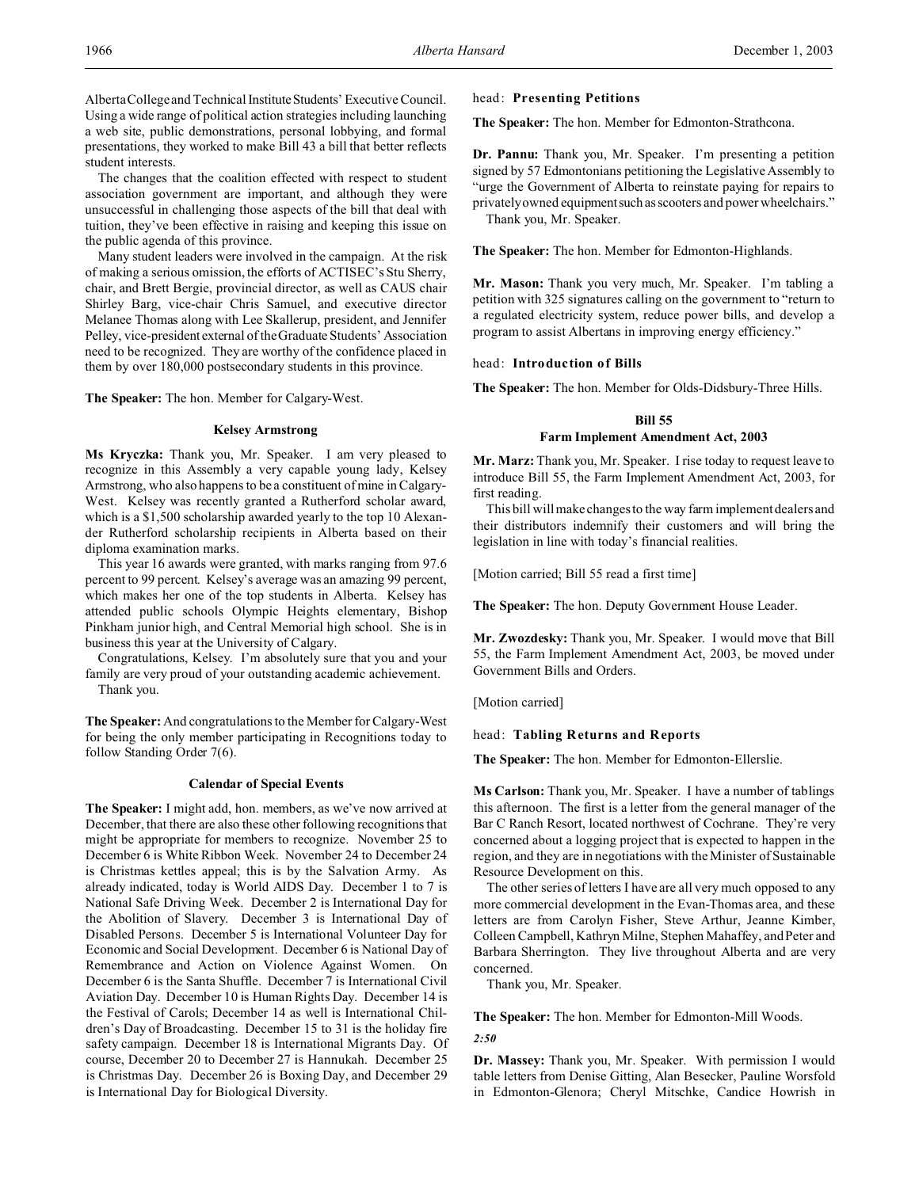Alberta College and Technical InstituteStudents' Executive Council. Using a wide range of political action strategies including launching a web site, public demonstrations, personal lobbying, and formal presentations, they worked to make Bill 43 a bill that better reflects student interests.

The changes that the coalition effected with respect to student association government are important, and although they were unsuccessful in challenging those aspects of the bill that deal with tuition, they've been effective in raising and keeping this issue on the public agenda of this province.

Many student leaders were involved in the campaign. At the risk of making a serious omission, the efforts of ACTISEC's Stu Sherry, chair, and Brett Bergie, provincial director, as well as CAUS chair Shirley Barg, vice-chair Chris Samuel, and executive director Melanee Thomas along with Lee Skallerup, president, and Jennifer Pelley, vice-president external of the Graduate Students' Association need to be recognized. They are worthy of the confidence placed in them by over 180,000 postsecondary students in this province.

**The Speaker:** The hon. Member for Calgary-West.

#### **Kelsey Armstrong**

**Ms Kryczka:** Thank you, Mr. Speaker. I am very pleased to recognize in this Assembly a very capable young lady, Kelsey Armstrong, who also happens to be a constituent of mine in Calgary-West. Kelsey was recently granted a Rutherford scholar award, which is a \$1,500 scholarship awarded yearly to the top 10 Alexander Rutherford scholarship recipients in Alberta based on their diploma examination marks.

This year 16 awards were granted, with marks ranging from 97.6 percent to 99 percent. Kelsey's average was an amazing 99 percent, which makes her one of the top students in Alberta. Kelsey has attended public schools Olympic Heights elementary, Bishop Pinkham junior high, and Central Memorial high school. She is in business this year at the University of Calgary.

Congratulations, Kelsey. I'm absolutely sure that you and your family are very proud of your outstanding academic achievement. Thank you.

**The Speaker:** And congratulations to the Member for Calgary-West for being the only member participating in Recognitions today to follow Standing Order 7(6).

### **Calendar of Special Events**

**The Speaker:** I might add, hon. members, as we've now arrived at December, that there are also these other following recognitions that might be appropriate for members to recognize. November 25 to December 6 is White Ribbon Week. November 24 to December 24 is Christmas kettles appeal; this is by the Salvation Army. As already indicated, today is World AIDS Day. December 1 to 7 is National Safe Driving Week. December 2 is International Day for the Abolition of Slavery. December 3 is International Day of Disabled Persons. December 5 is International Volunteer Day for Economic and Social Development. December 6 is National Day of Remembrance and Action on Violence Against Women. On December 6 is the Santa Shuffle. December 7 is International Civil Aviation Day. December 10 is Human Rights Day. December 14 is the Festival of Carols; December 14 as well is International Children's Day of Broadcasting. December 15 to 31 is the holiday fire safety campaign. December 18 is International Migrants Day. Of course, December 20 to December 27 is Hannukah. December 25 is Christmas Day. December 26 is Boxing Day, and December 29 is International Day for Biological Diversity.

#### head: **Presenting Petitions**

**The Speaker:** The hon. Member for Edmonton-Strathcona.

**Dr. Pannu:** Thank you, Mr. Speaker. I'm presenting a petition signed by 57 Edmontonians petitioning the Legislative Assembly to "urge the Government of Alberta to reinstate paying for repairs to privately owned equipmentsuch asscooters and power wheelchairs." Thank you, Mr. Speaker.

**The Speaker:** The hon. Member for Edmonton-Highlands.

**Mr. Mason:** Thank you very much, Mr. Speaker. I'm tabling a petition with 325 signatures calling on the government to "return to a regulated electricity system, reduce power bills, and develop a program to assist Albertans in improving energy efficiency."

#### head: **Introduction of Bills**

**The Speaker:** The hon. Member for Olds-Didsbury-Three Hills.

# **Bill 55 Farm Implement Amendment Act, 2003**

**Mr. Marz:** Thank you, Mr. Speaker. I rise today to request leave to introduce Bill 55, the Farm Implement Amendment Act, 2003, for first reading.

This bill will make changes to the way farm implement dealers and their distributors indemnify their customers and will bring the legislation in line with today's financial realities.

[Motion carried; Bill 55 read a first time]

**The Speaker:** The hon. Deputy Government House Leader.

**Mr. Zwozdesky:** Thank you, Mr. Speaker. I would move that Bill 55, the Farm Implement Amendment Act, 2003, be moved under Government Bills and Orders.

[Motion carried]

head: **Tabling Returns and Reports**

**The Speaker:** The hon. Member for Edmonton-Ellerslie.

**Ms Carlson:** Thank you, Mr. Speaker. I have a number of tablings this afternoon. The first is a letter from the general manager of the Bar C Ranch Resort, located northwest of Cochrane. They're very concerned about a logging project that is expected to happen in the region, and they are in negotiations with the Minister of Sustainable Resource Development on this.

The other series of letters I have are all very much opposed to any more commercial development in the Evan-Thomas area, and these letters are from Carolyn Fisher, Steve Arthur, Jeanne Kimber, Colleen Campbell, Kathryn Milne, Stephen Mahaffey, and Peter and Barbara Sherrington. They live throughout Alberta and are very concerned.

Thank you, Mr. Speaker.

**The Speaker:** The hon. Member for Edmonton-Mill Woods. *2:50*

**Dr. Massey:** Thank you, Mr. Speaker. With permission I would table letters from Denise Gitting, Alan Besecker, Pauline Worsfold in Edmonton-Glenora; Cheryl Mitschke, Candice Howrish in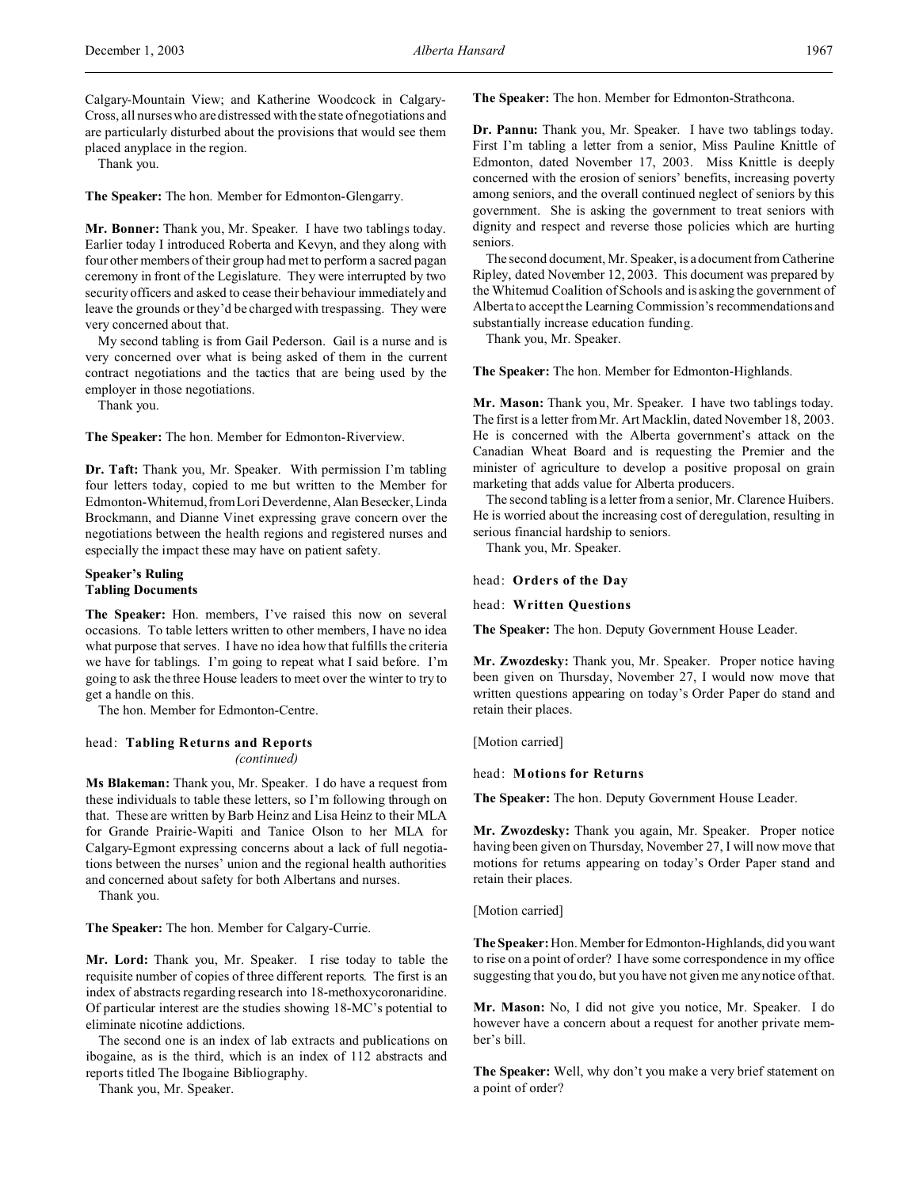Calgary-Mountain View; and Katherine Woodcock in Calgary-Cross, all nurses who are distressed with the state of negotiations and are particularly disturbed about the provisions that would see them placed anyplace in the region.

Thank you.

**The Speaker:** The hon. Member for Edmonton-Glengarry.

**Mr. Bonner:** Thank you, Mr. Speaker. I have two tablings today. Earlier today I introduced Roberta and Kevyn, and they along with four other members of their group had met to perform a sacred pagan ceremony in front of the Legislature. They were interrupted by two security officers and asked to cease their behaviour immediately and leave the grounds or they'd be charged with trespassing. They were very concerned about that.

My second tabling is from Gail Pederson. Gail is a nurse and is very concerned over what is being asked of them in the current contract negotiations and the tactics that are being used by the employer in those negotiations.

Thank you.

**The Speaker:** The hon. Member for Edmonton-Riverview.

**Dr. Taft:** Thank you, Mr. Speaker. With permission I'm tabling four letters today, copied to me but written to the Member for Edmonton-Whitemud, from Lori Deverdenne, Alan Besecker, Linda Brockmann, and Dianne Vinet expressing grave concern over the negotiations between the health regions and registered nurses and especially the impact these may have on patient safety.

## **Speaker's Ruling Tabling Documents**

**The Speaker:** Hon. members, I've raised this now on several occasions. To table letters written to other members, I have no idea what purpose that serves. I have no idea how that fulfills the criteria we have for tablings. I'm going to repeat what I said before. I'm going to ask the three House leaders to meet over the winter to try to get a handle on this.

The hon. Member for Edmonton-Centre.

# head: **Tabling Returns and Reports** *(continued)*

**Ms Blakeman:** Thank you, Mr. Speaker. I do have a request from these individuals to table these letters, so I'm following through on that. These are written by Barb Heinz and Lisa Heinz to their MLA for Grande Prairie-Wapiti and Tanice Olson to her MLA for Calgary-Egmont expressing concerns about a lack of full negotiations between the nurses' union and the regional health authorities and concerned about safety for both Albertans and nurses.

Thank you.

**The Speaker:** The hon. Member for Calgary-Currie.

**Mr. Lord:** Thank you, Mr. Speaker. I rise today to table the requisite number of copies of three different reports. The first is an index of abstracts regarding research into 18-methoxycoronaridine. Of particular interest are the studies showing 18-MC's potential to eliminate nicotine addictions.

The second one is an index of lab extracts and publications on ibogaine, as is the third, which is an index of 112 abstracts and reports titled The Ibogaine Bibliography.

Thank you, Mr. Speaker.

**The Speaker:** The hon. Member for Edmonton-Strathcona.

**Dr. Pannu:** Thank you, Mr. Speaker. I have two tablings today. First I'm tabling a letter from a senior, Miss Pauline Knittle of Edmonton, dated November 17, 2003. Miss Knittle is deeply concerned with the erosion of seniors' benefits, increasing poverty among seniors, and the overall continued neglect of seniors by this government. She is asking the government to treat seniors with dignity and respect and reverse those policies which are hurting seniors.

The second document, Mr. Speaker, is a document from Catherine Ripley, dated November 12, 2003. This document was prepared by the Whitemud Coalition of Schools and is asking the government of Alberta to accept the Learning Commission's recommendations and substantially increase education funding.

Thank you, Mr. Speaker.

**The Speaker:** The hon. Member for Edmonton-Highlands.

**Mr. Mason:** Thank you, Mr. Speaker. I have two tablings today. The first is a letter from Mr. Art Macklin, dated November 18, 2003. He is concerned with the Alberta government's attack on the Canadian Wheat Board and is requesting the Premier and the minister of agriculture to develop a positive proposal on grain marketing that adds value for Alberta producers.

The second tabling is a letter from a senior, Mr. Clarence Huibers. He is worried about the increasing cost of deregulation, resulting in serious financial hardship to seniors.

Thank you, Mr. Speaker.

#### head: **Orders of the Day**

head: **Written Questions**

**The Speaker:** The hon. Deputy Government House Leader.

**Mr. Zwozdesky:** Thank you, Mr. Speaker. Proper notice having been given on Thursday, November 27, I would now move that written questions appearing on today's Order Paper do stand and retain their places.

[Motion carried]

## head: **Motions for Returns**

**The Speaker:** The hon. Deputy Government House Leader.

**Mr. Zwozdesky:** Thank you again, Mr. Speaker. Proper notice having been given on Thursday, November 27, I will now move that motions for returns appearing on today's Order Paper stand and retain their places.

[Motion carried]

**The Speaker:** Hon. Member for Edmonton-Highlands, did you want to rise on a point of order? I have some correspondence in my office suggesting that you do, but you have not given me any notice of that.

**Mr. Mason:** No, I did not give you notice, Mr. Speaker. I do however have a concern about a request for another private member's bill.

**The Speaker:** Well, why don't you make a very brief statement on a point of order?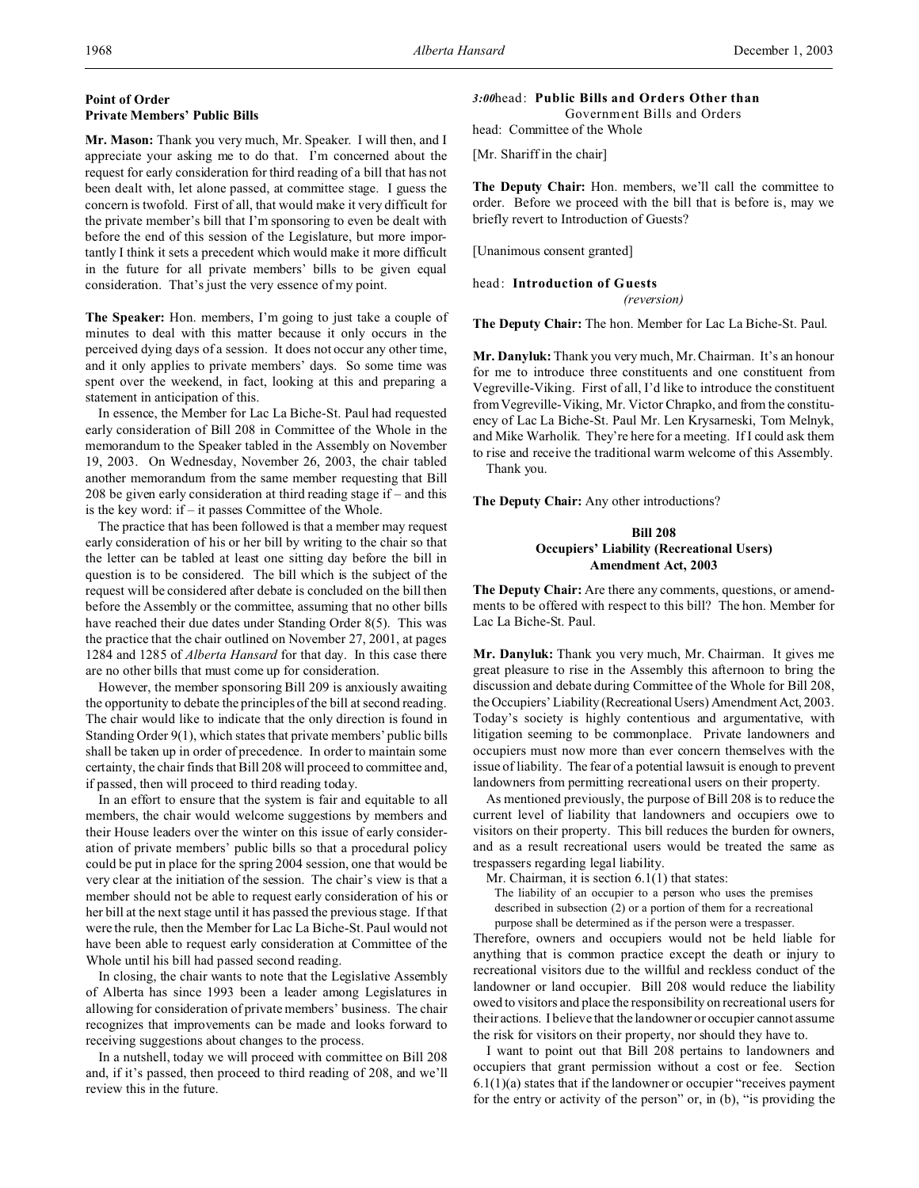# **Point of Order Private Members' Public Bills**

**Mr. Mason:** Thank you very much, Mr. Speaker. I will then, and I appreciate your asking me to do that. I'm concerned about the request for early consideration for third reading of a bill that has not been dealt with, let alone passed, at committee stage. I guess the concern is twofold. First of all, that would make it very difficult for the private member's bill that I'm sponsoring to even be dealt with before the end of this session of the Legislature, but more importantly I think it sets a precedent which would make it more difficult in the future for all private members' bills to be given equal consideration. That's just the very essence of my point.

**The Speaker:** Hon. members, I'm going to just take a couple of minutes to deal with this matter because it only occurs in the perceived dying days of a session. It does not occur any other time, and it only applies to private members' days. So some time was spent over the weekend, in fact, looking at this and preparing a statement in anticipation of this.

In essence, the Member for Lac La Biche-St. Paul had requested early consideration of Bill 208 in Committee of the Whole in the memorandum to the Speaker tabled in the Assembly on November 19, 2003. On Wednesday, November 26, 2003, the chair tabled another memorandum from the same member requesting that Bill 208 be given early consideration at third reading stage if – and this is the key word: if – it passes Committee of the Whole.

The practice that has been followed is that a member may request early consideration of his or her bill by writing to the chair so that the letter can be tabled at least one sitting day before the bill in question is to be considered. The bill which is the subject of the request will be considered after debate is concluded on the bill then before the Assembly or the committee, assuming that no other bills have reached their due dates under Standing Order 8(5). This was the practice that the chair outlined on November 27, 2001, at pages 1284 and 1285 of *Alberta Hansard* for that day. In this case there are no other bills that must come up for consideration.

However, the member sponsoring Bill 209 is anxiously awaiting the opportunity to debate the principles of the bill at second reading. The chair would like to indicate that the only direction is found in Standing Order 9(1), which states that private members' public bills shall be taken up in order of precedence. In order to maintain some certainty, the chair finds that Bill 208 will proceed to committee and, if passed, then will proceed to third reading today.

In an effort to ensure that the system is fair and equitable to all members, the chair would welcome suggestions by members and their House leaders over the winter on this issue of early consideration of private members' public bills so that a procedural policy could be put in place for the spring 2004 session, one that would be very clear at the initiation of the session. The chair's view is that a member should not be able to request early consideration of his or her bill at the next stage until it has passed the previous stage. If that were the rule, then the Member for Lac La Biche-St. Paul would not have been able to request early consideration at Committee of the Whole until his bill had passed second reading.

In closing, the chair wants to note that the Legislative Assembly of Alberta has since 1993 been a leader among Legislatures in allowing for consideration of private members' business. The chair recognizes that improvements can be made and looks forward to receiving suggestions about changes to the process.

In a nutshell, today we will proceed with committee on Bill 208 and, if it's passed, then proceed to third reading of 208, and we'll review this in the future.

#### *3:00*head: **Public Bills and Orders Other than**

Government Bills and Orders

head: Committee of the Whole

[Mr. Shariff in the chair]

**The Deputy Chair:** Hon. members, we'll call the committee to order. Before we proceed with the bill that is before is, may we briefly revert to Introduction of Guests?

[Unanimous consent granted]

#### head: **Introduction of Guests**

*(reversion)*

**The Deputy Chair:** The hon. Member for Lac La Biche-St. Paul.

**Mr. Danyluk:** Thank you very much, Mr. Chairman. It's an honour for me to introduce three constituents and one constituent from Vegreville-Viking. First of all, I'd like to introduce the constituent from Vegreville-Viking, Mr. Victor Chrapko, and from the constituency of Lac La Biche-St. Paul Mr. Len Krysarneski, Tom Melnyk, and Mike Warholik. They're here for a meeting. If I could ask them to rise and receive the traditional warm welcome of this Assembly. Thank you.

**The Deputy Chair:** Any other introductions?

# **Bill 208 Occupiers' Liability (Recreational Users) Amendment Act, 2003**

**The Deputy Chair:** Are there any comments, questions, or amendments to be offered with respect to this bill? The hon. Member for Lac La Biche-St. Paul.

**Mr. Danyluk:** Thank you very much, Mr. Chairman. It gives me great pleasure to rise in the Assembly this afternoon to bring the discussion and debate during Committee of the Whole for Bill 208, the Occupiers' Liability (Recreational Users) Amendment Act, 2003. Today's society is highly contentious and argumentative, with litigation seeming to be commonplace. Private landowners and occupiers must now more than ever concern themselves with the issue of liability. The fear of a potential lawsuit is enough to prevent landowners from permitting recreational users on their property.

As mentioned previously, the purpose of Bill 208 is to reduce the current level of liability that landowners and occupiers owe to visitors on their property. This bill reduces the burden for owners, and as a result recreational users would be treated the same as trespassers regarding legal liability.

Mr. Chairman, it is section 6.1(1) that states:

The liability of an occupier to a person who uses the premises described in subsection (2) or a portion of them for a recreational purpose shall be determined as if the person were a trespasser.

Therefore, owners and occupiers would not be held liable for anything that is common practice except the death or injury to recreational visitors due to the willful and reckless conduct of the landowner or land occupier. Bill 208 would reduce the liability owed to visitors and place the responsibility on recreational users for their actions. I believe that the landowner or occupier cannot assume the risk for visitors on their property, nor should they have to.

I want to point out that Bill 208 pertains to landowners and occupiers that grant permission without a cost or fee. Section 6.1(1)(a) states that if the landowner or occupier "receives payment for the entry or activity of the person" or, in (b), "is providing the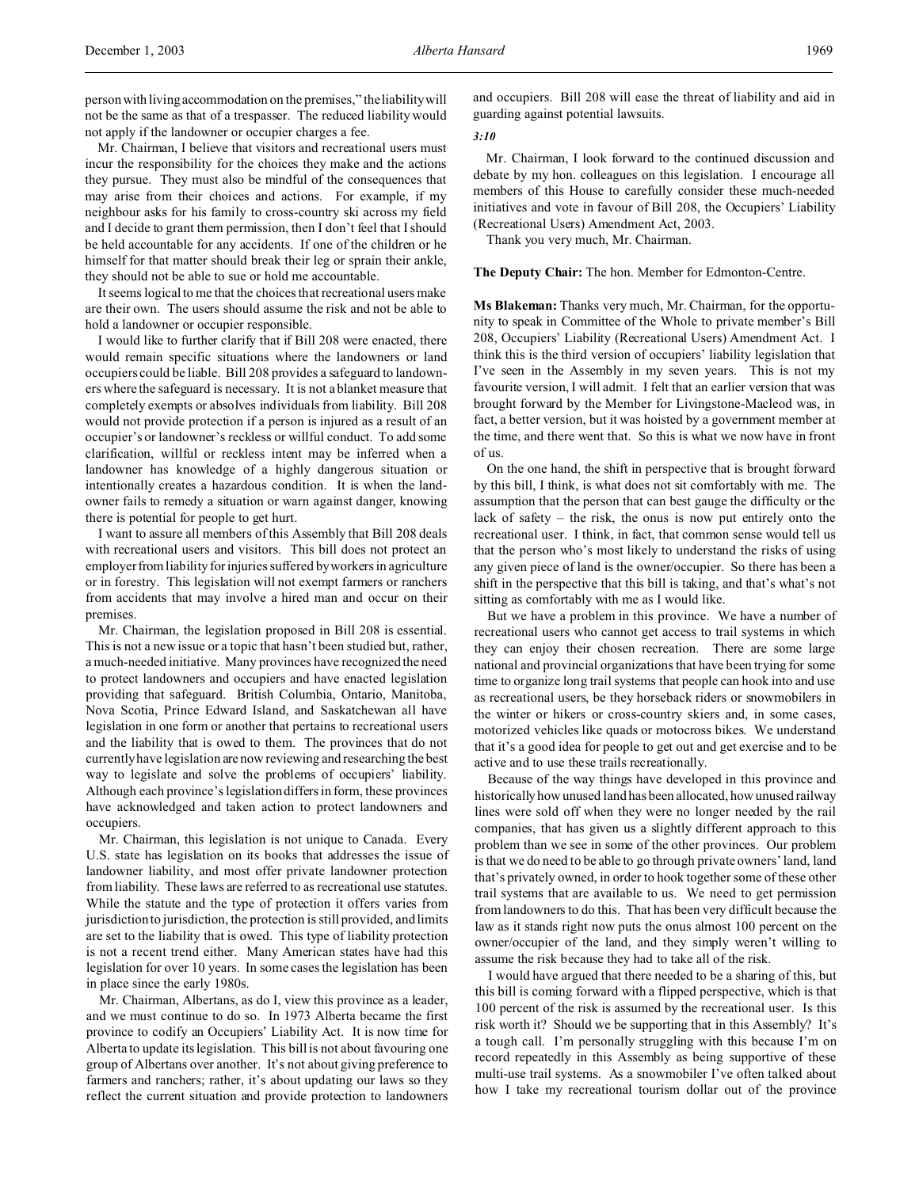person with living accommodation on the premises," the liability will not be the same as that of a trespasser. The reduced liability would not apply if the landowner or occupier charges a fee.

Mr. Chairman, I believe that visitors and recreational users must incur the responsibility for the choices they make and the actions they pursue. They must also be mindful of the consequences that may arise from their choices and actions. For example, if my neighbour asks for his family to cross-country ski across my field and I decide to grant them permission, then I don't feel that I should be held accountable for any accidents. If one of the children or he himself for that matter should break their leg or sprain their ankle, they should not be able to sue or hold me accountable.

It seems logical to me that the choices that recreational users make are their own. The users should assume the risk and not be able to hold a landowner or occupier responsible.

I would like to further clarify that if Bill 208 were enacted, there would remain specific situations where the landowners or land occupiers could be liable. Bill 208 provides a safeguard to landowners where the safeguard is necessary. It is not a blanket measure that completely exempts or absolves individuals from liability. Bill 208 would not provide protection if a person is injured as a result of an occupier's or landowner's reckless or willful conduct. To add some clarification, willful or reckless intent may be inferred when a landowner has knowledge of a highly dangerous situation or intentionally creates a hazardous condition. It is when the landowner fails to remedy a situation or warn against danger, knowing there is potential for people to get hurt.

I want to assure all members of this Assembly that Bill 208 deals with recreational users and visitors. This bill does not protect an employer from liability forinjuries suffered by workers in agriculture or in forestry. This legislation will not exempt farmers or ranchers from accidents that may involve a hired man and occur on their premises.

Mr. Chairman, the legislation proposed in Bill 208 is essential. This is not a new issue or a topic that hasn't been studied but, rather, a much-needed initiative. Many provinces have recognized the need to protect landowners and occupiers and have enacted legislation providing that safeguard. British Columbia, Ontario, Manitoba, Nova Scotia, Prince Edward Island, and Saskatchewan all have legislation in one form or another that pertains to recreational users and the liability that is owed to them. The provinces that do not currently have legislation are now reviewing and researching the best way to legislate and solve the problems of occupiers' liability. Although each province's legislation differs in form, these provinces have acknowledged and taken action to protect landowners and occupiers.

Mr. Chairman, this legislation is not unique to Canada. Every U.S. state has legislation on its books that addresses the issue of landowner liability, and most offer private landowner protection from liability. These laws are referred to as recreational use statutes. While the statute and the type of protection it offers varies from jurisdiction to jurisdiction, the protection is still provided, and limits are set to the liability that is owed. This type of liability protection is not a recent trend either. Many American states have had this legislation for over 10 years. In some cases the legislation has been in place since the early 1980s.

Mr. Chairman, Albertans, as do I, view this province as a leader, and we must continue to do so. In 1973 Alberta became the first province to codify an Occupiers' Liability Act. It is now time for Alberta to update its legislation. This bill is not about favouring one group of Albertans over another. It's not about giving preference to farmers and ranchers; rather, it's about updating our laws so they reflect the current situation and provide protection to landowners

and occupiers. Bill 208 will ease the threat of liability and aid in guarding against potential lawsuits.

## *3:10*

Mr. Chairman, I look forward to the continued discussion and debate by my hon. colleagues on this legislation. I encourage all members of this House to carefully consider these much-needed initiatives and vote in favour of Bill 208, the Occupiers' Liability (Recreational Users) Amendment Act, 2003.

Thank you very much, Mr. Chairman.

## **The Deputy Chair:** The hon. Member for Edmonton-Centre.

**Ms Blakeman:** Thanks very much, Mr. Chairman, for the opportunity to speak in Committee of the Whole to private member's Bill 208, Occupiers' Liability (Recreational Users) Amendment Act. I think this is the third version of occupiers' liability legislation that I've seen in the Assembly in my seven years. This is not my favourite version, I will admit. I felt that an earlier version that was brought forward by the Member for Livingstone-Macleod was, in fact, a better version, but it was hoisted by a government member at the time, and there went that. So this is what we now have in front of us.

On the one hand, the shift in perspective that is brought forward by this bill, I think, is what does not sit comfortably with me. The assumption that the person that can best gauge the difficulty or the lack of safety – the risk, the onus is now put entirely onto the recreational user. I think, in fact, that common sense would tell us that the person who's most likely to understand the risks of using any given piece of land is the owner/occupier. So there has been a shift in the perspective that this bill is taking, and that's what's not sitting as comfortably with me as I would like.

But we have a problem in this province. We have a number of recreational users who cannot get access to trail systems in which they can enjoy their chosen recreation. There are some large national and provincial organizations that have been trying for some time to organize long trail systems that people can hook into and use as recreational users, be they horseback riders or snowmobilers in the winter or hikers or cross-country skiers and, in some cases, motorized vehicles like quads or motocross bikes. We understand that it's a good idea for people to get out and get exercise and to be active and to use these trails recreationally.

Because of the way things have developed in this province and historically how unused land has been allocated, how unused railway lines were sold off when they were no longer needed by the rail companies, that has given us a slightly different approach to this problem than we see in some of the other provinces. Our problem is that we do need to be able to go through private owners' land, land that's privately owned, in order to hook together some of these other trail systems that are available to us. We need to get permission from landowners to do this. That has been very difficult because the law as it stands right now puts the onus almost 100 percent on the owner/occupier of the land, and they simply weren't willing to assume the risk because they had to take all of the risk.

I would have argued that there needed to be a sharing of this, but this bill is coming forward with a flipped perspective, which is that 100 percent of the risk is assumed by the recreational user. Is this risk worth it? Should we be supporting that in this Assembly? It's a tough call. I'm personally struggling with this because I'm on record repeatedly in this Assembly as being supportive of these multi-use trail systems. As a snowmobiler I've often talked about how I take my recreational tourism dollar out of the province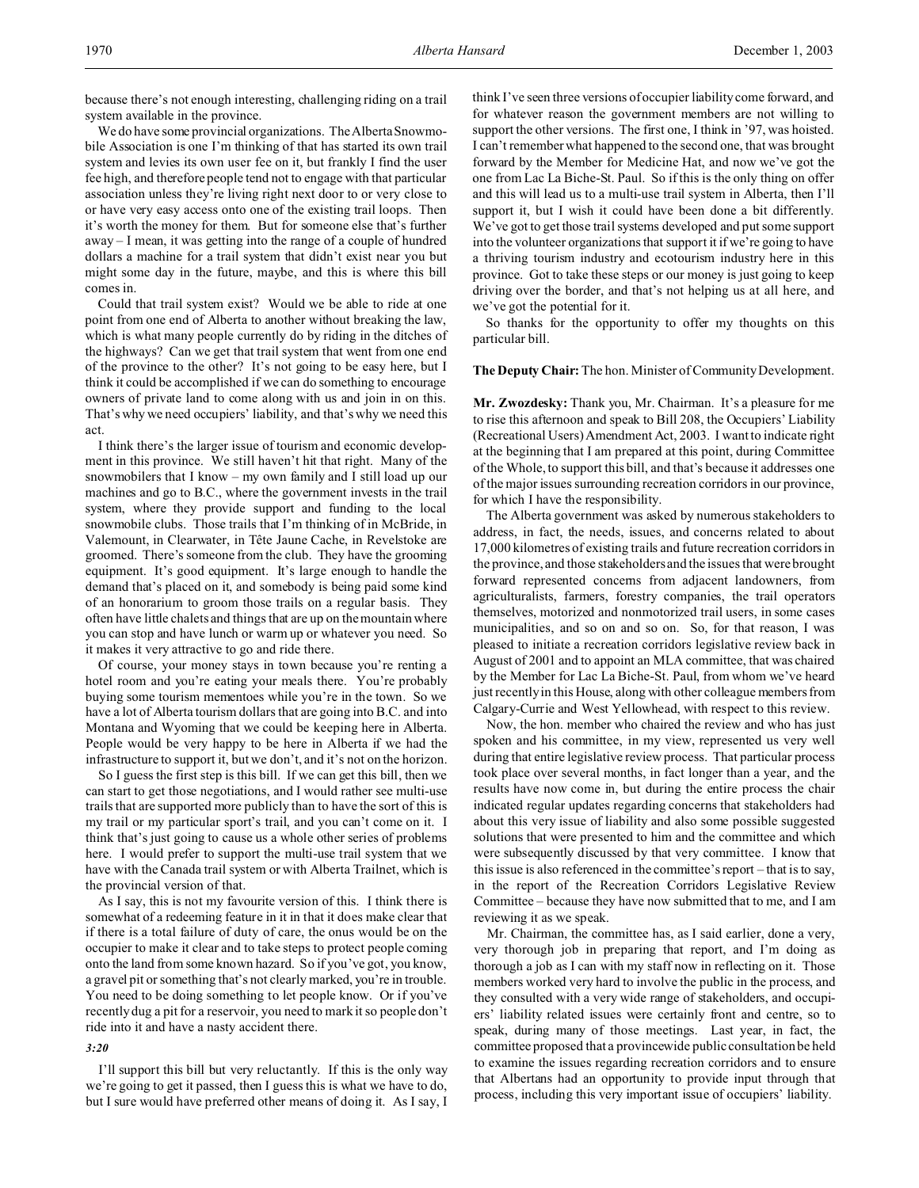because there's not enough interesting, challenging riding on a trail system available in the province.

We do have some provincial organizations. The Alberta Snowmobile Association is one I'm thinking of that has started its own trail system and levies its own user fee on it, but frankly I find the user fee high, and therefore people tend not to engage with that particular association unless they're living right next door to or very close to or have very easy access onto one of the existing trail loops. Then it's worth the money for them. But for someone else that's further away – I mean, it was getting into the range of a couple of hundred dollars a machine for a trail system that didn't exist near you but might some day in the future, maybe, and this is where this bill comes in.

Could that trail system exist? Would we be able to ride at one point from one end of Alberta to another without breaking the law, which is what many people currently do by riding in the ditches of the highways? Can we get that trail system that went from one end of the province to the other? It's not going to be easy here, but I think it could be accomplished if we can do something to encourage owners of private land to come along with us and join in on this. That's why we need occupiers' liability, and that's why we need this act.

I think there's the larger issue of tourism and economic development in this province. We still haven't hit that right. Many of the snowmobilers that I know – my own family and I still load up our machines and go to B.C., where the government invests in the trail system, where they provide support and funding to the local snowmobile clubs. Those trails that I'm thinking of in McBride, in Valemount, in Clearwater, in Tête Jaune Cache, in Revelstoke are groomed. There's someone from the club. They have the grooming equipment. It's good equipment. It's large enough to handle the demand that's placed on it, and somebody is being paid some kind of an honorarium to groom those trails on a regular basis. They often have little chalets and things that are up on the mountain where you can stop and have lunch or warm up or whatever you need. So it makes it very attractive to go and ride there.

Of course, your money stays in town because you're renting a hotel room and you're eating your meals there. You're probably buying some tourism mementoes while you're in the town. So we have a lot of Alberta tourism dollars that are going into B.C. and into Montana and Wyoming that we could be keeping here in Alberta. People would be very happy to be here in Alberta if we had the infrastructure to support it, but we don't, and it's not on the horizon.

So I guess the first step is this bill. If we can get this bill, then we can start to get those negotiations, and I would rather see multi-use trails that are supported more publicly than to have the sort of this is my trail or my particular sport's trail, and you can't come on it. I think that's just going to cause us a whole other series of problems here. I would prefer to support the multi-use trail system that we have with the Canada trail system or with Alberta Trailnet, which is the provincial version of that.

As I say, this is not my favourite version of this. I think there is somewhat of a redeeming feature in it in that it does make clear that if there is a total failure of duty of care, the onus would be on the occupier to make it clear and to take steps to protect people coming onto the land from some known hazard. So if you've got, you know, a gravel pit or something that's not clearly marked, you're in trouble. You need to be doing something to let people know. Or if you've recently dug a pit for a reservoir, you need to mark it so people don't ride into it and have a nasty accident there.

#### *3:20*

I'll support this bill but very reluctantly. If this is the only way we're going to get it passed, then I guess this is what we have to do, but I sure would have preferred other means of doing it. As I say, I

think I've seen three versions of occupier liability come forward, and for whatever reason the government members are not willing to support the other versions. The first one, I think in '97, was hoisted. I can't remember what happened to the second one, that was brought forward by the Member for Medicine Hat, and now we've got the one from Lac La Biche-St. Paul. So if this is the only thing on offer and this will lead us to a multi-use trail system in Alberta, then I'll support it, but I wish it could have been done a bit differently. We've got to get those trail systems developed and put some support into the volunteer organizations that support it if we're going to have a thriving tourism industry and ecotourism industry here in this province. Got to take these steps or our money is just going to keep driving over the border, and that's not helping us at all here, and we've got the potential for it.

So thanks for the opportunity to offer my thoughts on this particular bill.

### **The Deputy Chair:** The hon. Minister of Community Development.

**Mr. Zwozdesky:** Thank you, Mr. Chairman. It's a pleasure for me to rise this afternoon and speak to Bill 208, the Occupiers' Liability (Recreational Users) Amendment Act, 2003. I want to indicate right at the beginning that I am prepared at this point, during Committee of the Whole, to support this bill, and that's because it addresses one of the major issues surrounding recreation corridors in our province, for which I have the responsibility.

The Alberta government was asked by numerous stakeholders to address, in fact, the needs, issues, and concerns related to about 17,000 kilometres of existing trails and future recreation corridors in the province, and those stakeholders and the issues that were brought forward represented concerns from adjacent landowners, from agriculturalists, farmers, forestry companies, the trail operators themselves, motorized and nonmotorized trail users, in some cases municipalities, and so on and so on. So, for that reason, I was pleased to initiate a recreation corridors legislative review back in August of 2001 and to appoint an MLA committee, that was chaired by the Member for Lac La Biche-St. Paul, from whom we've heard just recently in this House, along with other colleague members from Calgary-Currie and West Yellowhead, with respect to this review.

Now, the hon. member who chaired the review and who has just spoken and his committee, in my view, represented us very well during that entire legislative review process. That particular process took place over several months, in fact longer than a year, and the results have now come in, but during the entire process the chair indicated regular updates regarding concerns that stakeholders had about this very issue of liability and also some possible suggested solutions that were presented to him and the committee and which were subsequently discussed by that very committee. I know that this issue is also referenced in the committee's report – that is to say, in the report of the Recreation Corridors Legislative Review Committee – because they have now submitted that to me, and I am reviewing it as we speak.

Mr. Chairman, the committee has, as I said earlier, done a very, very thorough job in preparing that report, and I'm doing as thorough a job as I can with my staff now in reflecting on it. Those members worked very hard to involve the public in the process, and they consulted with a very wide range of stakeholders, and occupiers' liability related issues were certainly front and centre, so to speak, during many of those meetings. Last year, in fact, the committee proposed that a provincewide public consultation be held to examine the issues regarding recreation corridors and to ensure that Albertans had an opportunity to provide input through that process, including this very important issue of occupiers' liability.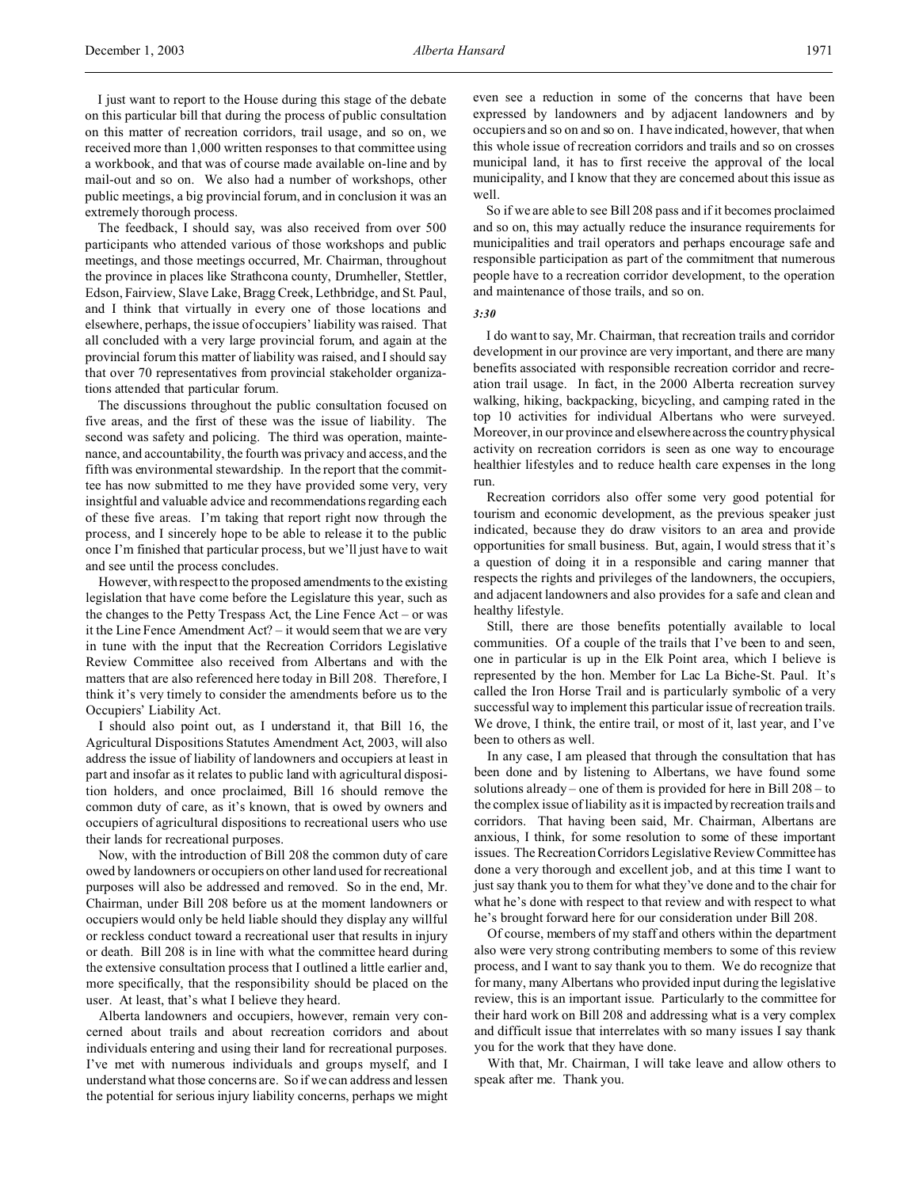I just want to report to the House during this stage of the debate on this particular bill that during the process of public consultation on this matter of recreation corridors, trail usage, and so on, we received more than 1,000 written responses to that committee using a workbook, and that was of course made available on-line and by mail-out and so on. We also had a number of workshops, other public meetings, a big provincial forum, and in conclusion it was an extremely thorough process.

The feedback, I should say, was also received from over 500 participants who attended various of those workshops and public meetings, and those meetings occurred, Mr. Chairman, throughout the province in places like Strathcona county, Drumheller, Stettler, Edson, Fairview, Slave Lake, Bragg Creek, Lethbridge, and St. Paul, and I think that virtually in every one of those locations and elsewhere, perhaps, the issue of occupiers' liability was raised. That all concluded with a very large provincial forum, and again at the provincial forum this matter of liability was raised, and I should say that over 70 representatives from provincial stakeholder organizations attended that particular forum.

The discussions throughout the public consultation focused on five areas, and the first of these was the issue of liability. The second was safety and policing. The third was operation, maintenance, and accountability, the fourth was privacy and access, and the fifth was environmental stewardship. In the report that the committee has now submitted to me they have provided some very, very insightful and valuable advice and recommendations regarding each of these five areas. I'm taking that report right now through the process, and I sincerely hope to be able to release it to the public once I'm finished that particular process, but we'll just have to wait and see until the process concludes.

However, with respect to the proposed amendments to the existing legislation that have come before the Legislature this year, such as the changes to the Petty Trespass Act, the Line Fence Act – or was it the Line Fence Amendment Act? – it would seem that we are very in tune with the input that the Recreation Corridors Legislative Review Committee also received from Albertans and with the matters that are also referenced here today in Bill 208. Therefore, I think it's very timely to consider the amendments before us to the Occupiers' Liability Act.

I should also point out, as I understand it, that Bill 16, the Agricultural Dispositions Statutes Amendment Act, 2003, will also address the issue of liability of landowners and occupiers at least in part and insofar as it relates to public land with agricultural disposition holders, and once proclaimed, Bill 16 should remove the common duty of care, as it's known, that is owed by owners and occupiers of agricultural dispositions to recreational users who use their lands for recreational purposes.

Now, with the introduction of Bill 208 the common duty of care owed by landowners or occupiers on other land used for recreational purposes will also be addressed and removed. So in the end, Mr. Chairman, under Bill 208 before us at the moment landowners or occupiers would only be held liable should they display any willful or reckless conduct toward a recreational user that results in injury or death. Bill 208 is in line with what the committee heard during the extensive consultation process that I outlined a little earlier and, more specifically, that the responsibility should be placed on the user. At least, that's what I believe they heard.

Alberta landowners and occupiers, however, remain very concerned about trails and about recreation corridors and about individuals entering and using their land for recreational purposes. I've met with numerous individuals and groups myself, and I understand what those concerns are. So if we can address and lessen the potential for serious injury liability concerns, perhaps we might

even see a reduction in some of the concerns that have been expressed by landowners and by adjacent landowners and by occupiers and so on and so on. I have indicated, however, that when this whole issue of recreation corridors and trails and so on crosses municipal land, it has to first receive the approval of the local municipality, and I know that they are concerned about this issue as well.

So if we are able to see Bill 208 pass and if it becomes proclaimed and so on, this may actually reduce the insurance requirements for municipalities and trail operators and perhaps encourage safe and responsible participation as part of the commitment that numerous people have to a recreation corridor development, to the operation and maintenance of those trails, and so on.

#### *3:30*

I do want to say, Mr. Chairman, that recreation trails and corridor development in our province are very important, and there are many benefits associated with responsible recreation corridor and recreation trail usage. In fact, in the 2000 Alberta recreation survey walking, hiking, backpacking, bicycling, and camping rated in the top 10 activities for individual Albertans who were surveyed. Moreover, in our province and elsewhere across the country physical activity on recreation corridors is seen as one way to encourage healthier lifestyles and to reduce health care expenses in the long run.

Recreation corridors also offer some very good potential for tourism and economic development, as the previous speaker just indicated, because they do draw visitors to an area and provide opportunities for small business. But, again, I would stress that it's a question of doing it in a responsible and caring manner that respects the rights and privileges of the landowners, the occupiers, and adjacent landowners and also provides for a safe and clean and healthy lifestyle.

Still, there are those benefits potentially available to local communities. Of a couple of the trails that I've been to and seen, one in particular is up in the Elk Point area, which I believe is represented by the hon. Member for Lac La Biche-St. Paul. It's called the Iron Horse Trail and is particularly symbolic of a very successful way to implement this particular issue of recreation trails. We drove, I think, the entire trail, or most of it, last year, and I've been to others as well.

In any case, I am pleased that through the consultation that has been done and by listening to Albertans, we have found some solutions already – one of them is provided for here in Bill 208 – to the complex issue of liability as it is impacted by recreation trails and corridors. That having been said, Mr. Chairman, Albertans are anxious, I think, for some resolution to some of these important issues. The Recreation Corridors Legislative Review Committee has done a very thorough and excellent job, and at this time I want to just say thank you to them for what they've done and to the chair for what he's done with respect to that review and with respect to what he's brought forward here for our consideration under Bill 208.

Of course, members of my staff and others within the department also were very strong contributing members to some of this review process, and I want to say thank you to them. We do recognize that for many, many Albertans who provided input during the legislative review, this is an important issue. Particularly to the committee for their hard work on Bill 208 and addressing what is a very complex and difficult issue that interrelates with so many issues I say thank you for the work that they have done.

With that, Mr. Chairman, I will take leave and allow others to speak after me. Thank you.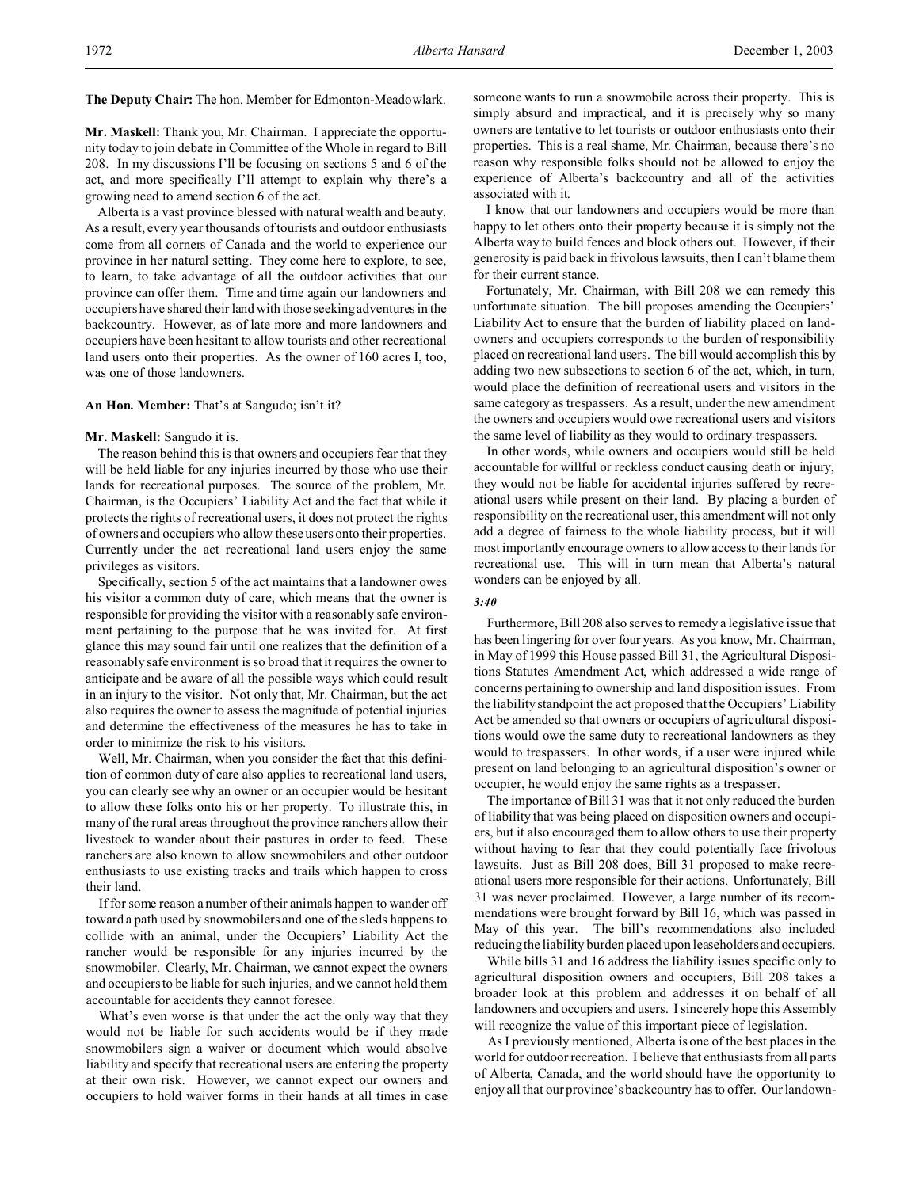**The Deputy Chair:** The hon. Member for Edmonton-Meadowlark.

**Mr. Maskell:** Thank you, Mr. Chairman. I appreciate the opportunity today to join debate in Committee of the Whole in regard to Bill 208. In my discussions I'll be focusing on sections 5 and 6 of the act, and more specifically I'll attempt to explain why there's a growing need to amend section 6 of the act.

Alberta is a vast province blessed with natural wealth and beauty. As a result, every year thousands of tourists and outdoor enthusiasts come from all corners of Canada and the world to experience our province in her natural setting. They come here to explore, to see, to learn, to take advantage of all the outdoor activities that our province can offer them. Time and time again our landowners and occupiers have shared their land with those seeking adventures in the backcountry. However, as of late more and more landowners and occupiers have been hesitant to allow tourists and other recreational land users onto their properties. As the owner of 160 acres I, too, was one of those landowners.

#### **An Hon. Member:** That's at Sangudo; isn't it?

#### **Mr. Maskell:** Sangudo it is.

The reason behind this is that owners and occupiers fear that they will be held liable for any injuries incurred by those who use their lands for recreational purposes. The source of the problem, Mr. Chairman, is the Occupiers' Liability Act and the fact that while it protects the rights of recreational users, it does not protect the rights of owners and occupiers who allow these users onto their properties. Currently under the act recreational land users enjoy the same privileges as visitors.

Specifically, section 5 of the act maintains that a landowner owes his visitor a common duty of care, which means that the owner is responsible for providing the visitor with a reasonably safe environment pertaining to the purpose that he was invited for. At first glance this may sound fair until one realizes that the definition of a reasonably safe environment is so broad that it requires the owner to anticipate and be aware of all the possible ways which could result in an injury to the visitor. Not only that, Mr. Chairman, but the act also requires the owner to assess the magnitude of potential injuries and determine the effectiveness of the measures he has to take in order to minimize the risk to his visitors.

Well, Mr. Chairman, when you consider the fact that this definition of common duty of care also applies to recreational land users, you can clearly see why an owner or an occupier would be hesitant to allow these folks onto his or her property. To illustrate this, in many of the rural areas throughout the province ranchers allow their livestock to wander about their pastures in order to feed. These ranchers are also known to allow snowmobilers and other outdoor enthusiasts to use existing tracks and trails which happen to cross their land.

If for some reason a number of their animals happen to wander off toward a path used by snowmobilers and one of the sleds happens to collide with an animal, under the Occupiers' Liability Act the rancher would be responsible for any injuries incurred by the snowmobiler. Clearly, Mr. Chairman, we cannot expect the owners and occupiers to be liable for such injuries, and we cannot hold them accountable for accidents they cannot foresee.

What's even worse is that under the act the only way that they would not be liable for such accidents would be if they made snowmobilers sign a waiver or document which would absolve liability and specify that recreational users are entering the property at their own risk. However, we cannot expect our owners and occupiers to hold waiver forms in their hands at all times in case

someone wants to run a snowmobile across their property. This is simply absurd and impractical, and it is precisely why so many owners are tentative to let tourists or outdoor enthusiasts onto their properties. This is a real shame, Mr. Chairman, because there's no reason why responsible folks should not be allowed to enjoy the experience of Alberta's backcountry and all of the activities associated with it.

I know that our landowners and occupiers would be more than happy to let others onto their property because it is simply not the Alberta way to build fences and block others out. However, if their generosity is paid back in frivolous lawsuits, then I can't blame them for their current stance.

Fortunately, Mr. Chairman, with Bill 208 we can remedy this unfortunate situation. The bill proposes amending the Occupiers' Liability Act to ensure that the burden of liability placed on landowners and occupiers corresponds to the burden of responsibility placed on recreational land users. The bill would accomplish this by adding two new subsections to section 6 of the act, which, in turn, would place the definition of recreational users and visitors in the same category as trespassers. As a result, under the new amendment the owners and occupiers would owe recreational users and visitors the same level of liability as they would to ordinary trespassers.

In other words, while owners and occupiers would still be held accountable for willful or reckless conduct causing death or injury, they would not be liable for accidental injuries suffered by recreational users while present on their land. By placing a burden of responsibility on the recreational user, this amendment will not only add a degree of fairness to the whole liability process, but it will most importantly encourage owners to allow access to their lands for recreational use. This will in turn mean that Alberta's natural wonders can be enjoyed by all.

#### *3:40*

Furthermore, Bill 208 also serves to remedy a legislative issue that has been lingering for over four years. As you know, Mr. Chairman, in May of 1999 this House passed Bill 31, the Agricultural Dispositions Statutes Amendment Act, which addressed a wide range of concerns pertaining to ownership and land disposition issues. From the liability standpoint the act proposed that the Occupiers' Liability Act be amended so that owners or occupiers of agricultural dispositions would owe the same duty to recreational landowners as they would to trespassers. In other words, if a user were injured while present on land belonging to an agricultural disposition's owner or occupier, he would enjoy the same rights as a trespasser.

The importance of Bill 31 was that it not only reduced the burden of liability that was being placed on disposition owners and occupiers, but it also encouraged them to allow others to use their property without having to fear that they could potentially face frivolous lawsuits. Just as Bill 208 does, Bill 31 proposed to make recreational users more responsible for their actions. Unfortunately, Bill 31 was never proclaimed. However, a large number of its recommendations were brought forward by Bill 16, which was passed in May of this year. The bill's recommendations also included reducing the liability burden placed upon leaseholders and occupiers.

While bills 31 and 16 address the liability issues specific only to agricultural disposition owners and occupiers, Bill 208 takes a broader look at this problem and addresses it on behalf of all landowners and occupiers and users. I sincerely hope this Assembly will recognize the value of this important piece of legislation.

As I previously mentioned, Alberta is one of the best places in the world for outdoor recreation. I believe that enthusiasts from all parts of Alberta, Canada, and the world should have the opportunity to enjoy all that our province's backcountry has to offer. Our landown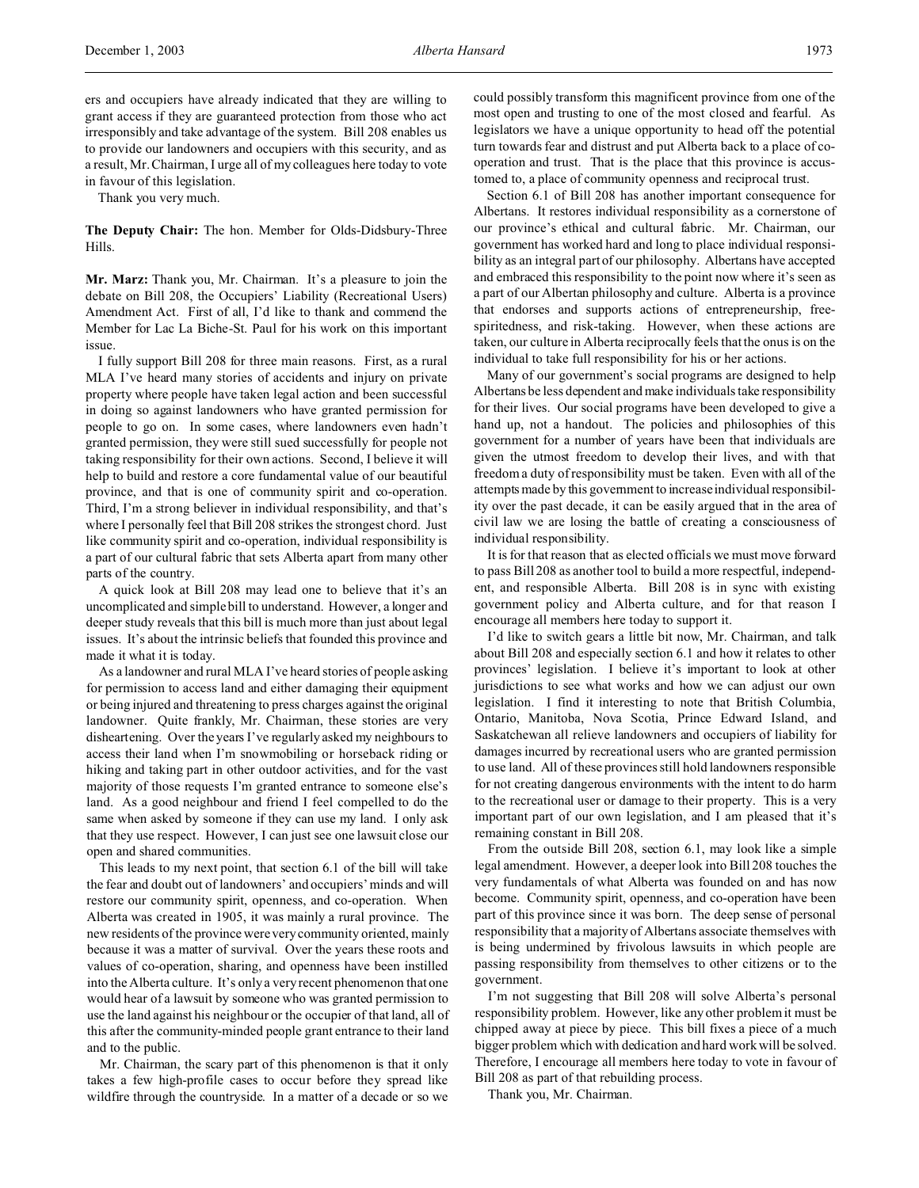ers and occupiers have already indicated that they are willing to grant access if they are guaranteed protection from those who act irresponsibly and take advantage of the system. Bill 208 enables us to provide our landowners and occupiers with this security, and as a result, Mr. Chairman, I urge all of my colleagues here today to vote in favour of this legislation.

Thank you very much.

**The Deputy Chair:** The hon. Member for Olds-Didsbury-Three Hills.

**Mr. Marz:** Thank you, Mr. Chairman. It's a pleasure to join the debate on Bill 208, the Occupiers' Liability (Recreational Users) Amendment Act. First of all, I'd like to thank and commend the Member for Lac La Biche-St. Paul for his work on this important issue.

I fully support Bill 208 for three main reasons. First, as a rural MLA I've heard many stories of accidents and injury on private property where people have taken legal action and been successful in doing so against landowners who have granted permission for people to go on. In some cases, where landowners even hadn't granted permission, they were still sued successfully for people not taking responsibility for their own actions. Second, I believe it will help to build and restore a core fundamental value of our beautiful province, and that is one of community spirit and co-operation. Third, I'm a strong believer in individual responsibility, and that's where I personally feel that Bill 208 strikes the strongest chord. Just like community spirit and co-operation, individual responsibility is a part of our cultural fabric that sets Alberta apart from many other parts of the country.

A quick look at Bill 208 may lead one to believe that it's an uncomplicated and simple bill to understand. However, a longer and deeper study reveals that this bill is much more than just about legal issues. It's about the intrinsic beliefs that founded this province and made it what it is today.

As a landowner and rural MLA I've heard stories of people asking for permission to access land and either damaging their equipment or being injured and threatening to press charges against the original landowner. Quite frankly, Mr. Chairman, these stories are very disheartening. Over the years I've regularly asked my neighbours to access their land when I'm snowmobiling or horseback riding or hiking and taking part in other outdoor activities, and for the vast majority of those requests I'm granted entrance to someone else's land. As a good neighbour and friend I feel compelled to do the same when asked by someone if they can use my land. I only ask that they use respect. However, I can just see one lawsuit close our open and shared communities.

This leads to my next point, that section 6.1 of the bill will take the fear and doubt out of landowners' and occupiers' minds and will restore our community spirit, openness, and co-operation. When Alberta was created in 1905, it was mainly a rural province. The new residents of the province were very community oriented, mainly because it was a matter of survival. Over the years these roots and values of co-operation, sharing, and openness have been instilled into the Alberta culture. It's only a very recent phenomenon that one would hear of a lawsuit by someone who was granted permission to use the land against his neighbour or the occupier of that land, all of this after the community-minded people grant entrance to their land and to the public.

Mr. Chairman, the scary part of this phenomenon is that it only takes a few high-profile cases to occur before they spread like wildfire through the countryside. In a matter of a decade or so we

could possibly transform this magnificent province from one of the most open and trusting to one of the most closed and fearful. As legislators we have a unique opportunity to head off the potential turn towards fear and distrust and put Alberta back to a place of cooperation and trust. That is the place that this province is accustomed to, a place of community openness and reciprocal trust.

Section 6.1 of Bill 208 has another important consequence for Albertans. It restores individual responsibility as a cornerstone of our province's ethical and cultural fabric. Mr. Chairman, our government has worked hard and long to place individual responsibility as an integral part of our philosophy. Albertans have accepted and embraced this responsibility to the point now where it's seen as a part of our Albertan philosophy and culture. Alberta is a province that endorses and supports actions of entrepreneurship, freespiritedness, and risk-taking. However, when these actions are taken, our culture in Alberta reciprocally feels that the onus is on the individual to take full responsibility for his or her actions.

Many of our government's social programs are designed to help Albertans be less dependent and make individuals take responsibility for their lives. Our social programs have been developed to give a hand up, not a handout. The policies and philosophies of this government for a number of years have been that individuals are given the utmost freedom to develop their lives, and with that freedom a duty of responsibility must be taken. Even with all of the attempts made by this government to increase individual responsibility over the past decade, it can be easily argued that in the area of civil law we are losing the battle of creating a consciousness of individual responsibility.

It is for that reason that as elected officials we must move forward to pass Bill 208 as another tool to build a more respectful, independent, and responsible Alberta. Bill 208 is in sync with existing government policy and Alberta culture, and for that reason I encourage all members here today to support it.

I'd like to switch gears a little bit now, Mr. Chairman, and talk about Bill 208 and especially section 6.1 and how it relates to other provinces' legislation. I believe it's important to look at other jurisdictions to see what works and how we can adjust our own legislation. I find it interesting to note that British Columbia, Ontario, Manitoba, Nova Scotia, Prince Edward Island, and Saskatchewan all relieve landowners and occupiers of liability for damages incurred by recreational users who are granted permission to use land. All of these provinces still hold landowners responsible for not creating dangerous environments with the intent to do harm to the recreational user or damage to their property. This is a very important part of our own legislation, and I am pleased that it's remaining constant in Bill 208.

From the outside Bill 208, section 6.1, may look like a simple legal amendment. However, a deeper look into Bill 208 touches the very fundamentals of what Alberta was founded on and has now become. Community spirit, openness, and co-operation have been part of this province since it was born. The deep sense of personal responsibility that a majority of Albertans associate themselves with is being undermined by frivolous lawsuits in which people are passing responsibility from themselves to other citizens or to the government.

I'm not suggesting that Bill 208 will solve Alberta's personal responsibility problem. However, like any other problem it must be chipped away at piece by piece. This bill fixes a piece of a much bigger problem which with dedication and hard work will be solved. Therefore, I encourage all members here today to vote in favour of Bill 208 as part of that rebuilding process.

Thank you, Mr. Chairman.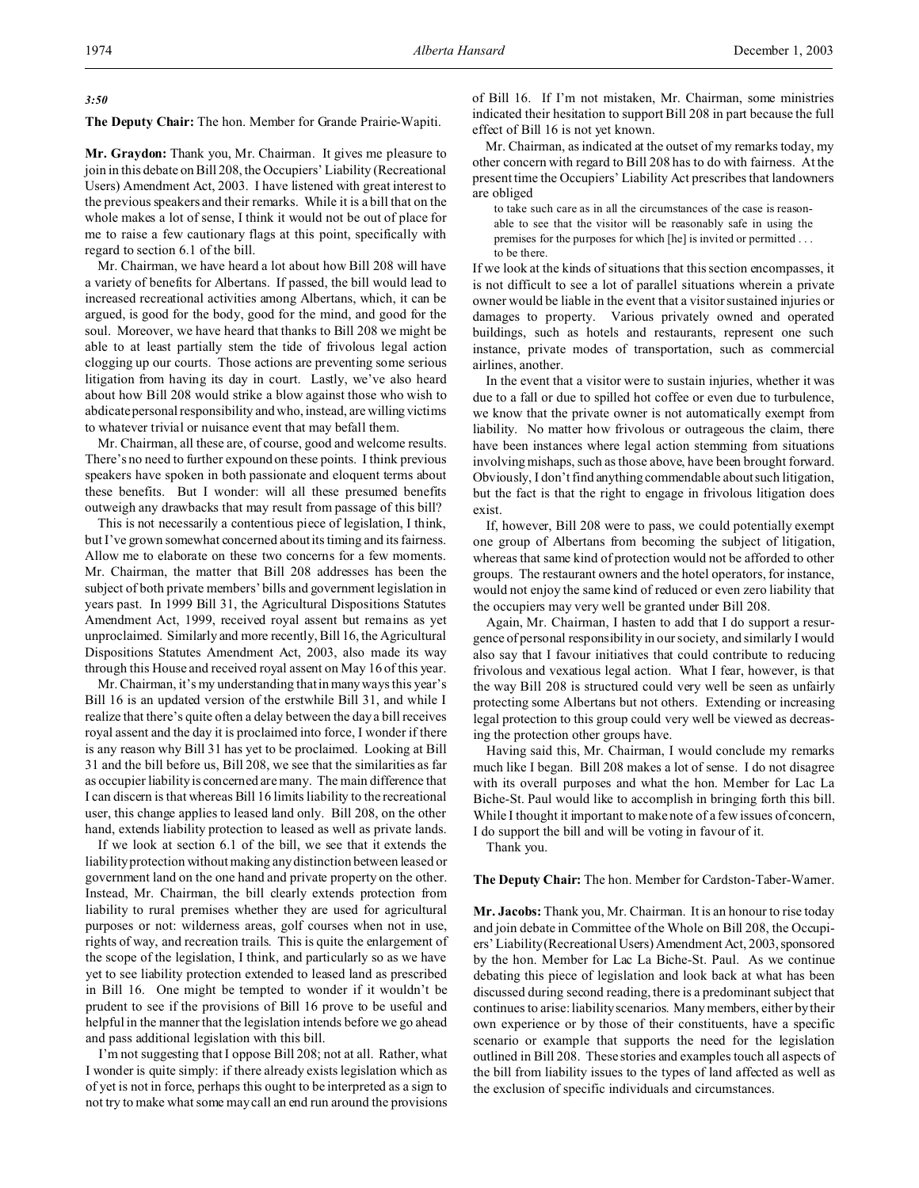### *3:50*

**The Deputy Chair:** The hon. Member for Grande Prairie-Wapiti.

**Mr. Graydon:** Thank you, Mr. Chairman. It gives me pleasure to join in this debate on Bill 208, the Occupiers' Liability (Recreational Users) Amendment Act, 2003. I have listened with great interest to the previous speakers and their remarks. While it is a bill that on the whole makes a lot of sense, I think it would not be out of place for me to raise a few cautionary flags at this point, specifically with regard to section 6.1 of the bill.

Mr. Chairman, we have heard a lot about how Bill 208 will have a variety of benefits for Albertans. If passed, the bill would lead to increased recreational activities among Albertans, which, it can be argued, is good for the body, good for the mind, and good for the soul. Moreover, we have heard that thanks to Bill 208 we might be able to at least partially stem the tide of frivolous legal action clogging up our courts. Those actions are preventing some serious litigation from having its day in court. Lastly, we've also heard about how Bill 208 would strike a blow against those who wish to abdicate personal responsibility and who, instead, are willing victims to whatever trivial or nuisance event that may befall them.

Mr. Chairman, all these are, of course, good and welcome results. There's no need to further expound on these points. I think previous speakers have spoken in both passionate and eloquent terms about these benefits. But I wonder: will all these presumed benefits outweigh any drawbacks that may result from passage of this bill?

This is not necessarily a contentious piece of legislation, I think, but I've grown somewhat concerned about its timing and its fairness. Allow me to elaborate on these two concerns for a few moments. Mr. Chairman, the matter that Bill 208 addresses has been the subject of both private members' bills and government legislation in years past. In 1999 Bill 31, the Agricultural Dispositions Statutes Amendment Act, 1999, received royal assent but remains as yet unproclaimed. Similarly and more recently, Bill 16, the Agricultural Dispositions Statutes Amendment Act, 2003, also made its way through this House and received royal assent on May 16 of this year.

Mr. Chairman, it's my understanding that in many ways this year's Bill 16 is an updated version of the erstwhile Bill 31, and while I realize that there's quite often a delay between the day a bill receives royal assent and the day it is proclaimed into force, I wonder if there is any reason why Bill 31 has yet to be proclaimed. Looking at Bill 31 and the bill before us, Bill 208, we see that the similarities as far as occupier liability is concerned are many. The main difference that I can discern is that whereas Bill 16 limits liability to the recreational user, this change applies to leased land only. Bill 208, on the other hand, extends liability protection to leased as well as private lands.

If we look at section 6.1 of the bill, we see that it extends the liability protection without making any distinction between leased or government land on the one hand and private property on the other. Instead, Mr. Chairman, the bill clearly extends protection from liability to rural premises whether they are used for agricultural purposes or not: wilderness areas, golf courses when not in use, rights of way, and recreation trails. This is quite the enlargement of the scope of the legislation, I think, and particularly so as we have yet to see liability protection extended to leased land as prescribed in Bill 16. One might be tempted to wonder if it wouldn't be prudent to see if the provisions of Bill 16 prove to be useful and helpful in the manner that the legislation intends before we go ahead and pass additional legislation with this bill.

I'm not suggesting that I oppose Bill 208; not at all. Rather, what I wonder is quite simply: if there already exists legislation which as of yet is not in force, perhaps this ought to be interpreted as a sign to not try to make what some may call an end run around the provisions

of Bill 16. If I'm not mistaken, Mr. Chairman, some ministries indicated their hesitation to support Bill 208 in part because the full effect of Bill 16 is not yet known.

Mr. Chairman, as indicated at the outset of my remarks today, my other concern with regard to Bill 208 has to do with fairness. At the present time the Occupiers' Liability Act prescribes that landowners are obliged

to take such care as in all the circumstances of the case is reasonable to see that the visitor will be reasonably safe in using the premises for the purposes for which [he] is invited or permitted . . . to be there.

If we look at the kinds of situations that this section encompasses, it is not difficult to see a lot of parallel situations wherein a private owner would be liable in the event that a visitor sustained injuries or damages to property. Various privately owned and operated buildings, such as hotels and restaurants, represent one such instance, private modes of transportation, such as commercial airlines, another.

In the event that a visitor were to sustain injuries, whether it was due to a fall or due to spilled hot coffee or even due to turbulence, we know that the private owner is not automatically exempt from liability. No matter how frivolous or outrageous the claim, there have been instances where legal action stemming from situations involving mishaps, such as those above, have been brought forward. Obviously, I don't find anything commendable about such litigation, but the fact is that the right to engage in frivolous litigation does exist.

If, however, Bill 208 were to pass, we could potentially exempt one group of Albertans from becoming the subject of litigation, whereas that same kind of protection would not be afforded to other groups. The restaurant owners and the hotel operators, for instance, would not enjoy the same kind of reduced or even zero liability that the occupiers may very well be granted under Bill 208.

Again, Mr. Chairman, I hasten to add that I do support a resurgence of personal responsibility in our society, and similarly I would also say that I favour initiatives that could contribute to reducing frivolous and vexatious legal action. What I fear, however, is that the way Bill 208 is structured could very well be seen as unfairly protecting some Albertans but not others. Extending or increasing legal protection to this group could very well be viewed as decreasing the protection other groups have.

Having said this, Mr. Chairman, I would conclude my remarks much like I began. Bill 208 makes a lot of sense. I do not disagree with its overall purposes and what the hon. Member for Lac La Biche-St. Paul would like to accomplish in bringing forth this bill. While I thought it important to make note of a few issues of concern, I do support the bill and will be voting in favour of it.

Thank you.

### **The Deputy Chair:** The hon. Member for Cardston-Taber-Warner.

**Mr. Jacobs:** Thank you, Mr. Chairman. It is an honour to rise today and join debate in Committee of the Whole on Bill 208, the Occupiers' Liability (Recreational Users) Amendment Act, 2003, sponsored by the hon. Member for Lac La Biche-St. Paul. As we continue debating this piece of legislation and look back at what has been discussed during second reading, there is a predominant subject that continues to arise: liability scenarios. Many members, either by their own experience or by those of their constituents, have a specific scenario or example that supports the need for the legislation outlined in Bill 208. These stories and examples touch all aspects of the bill from liability issues to the types of land affected as well as the exclusion of specific individuals and circumstances.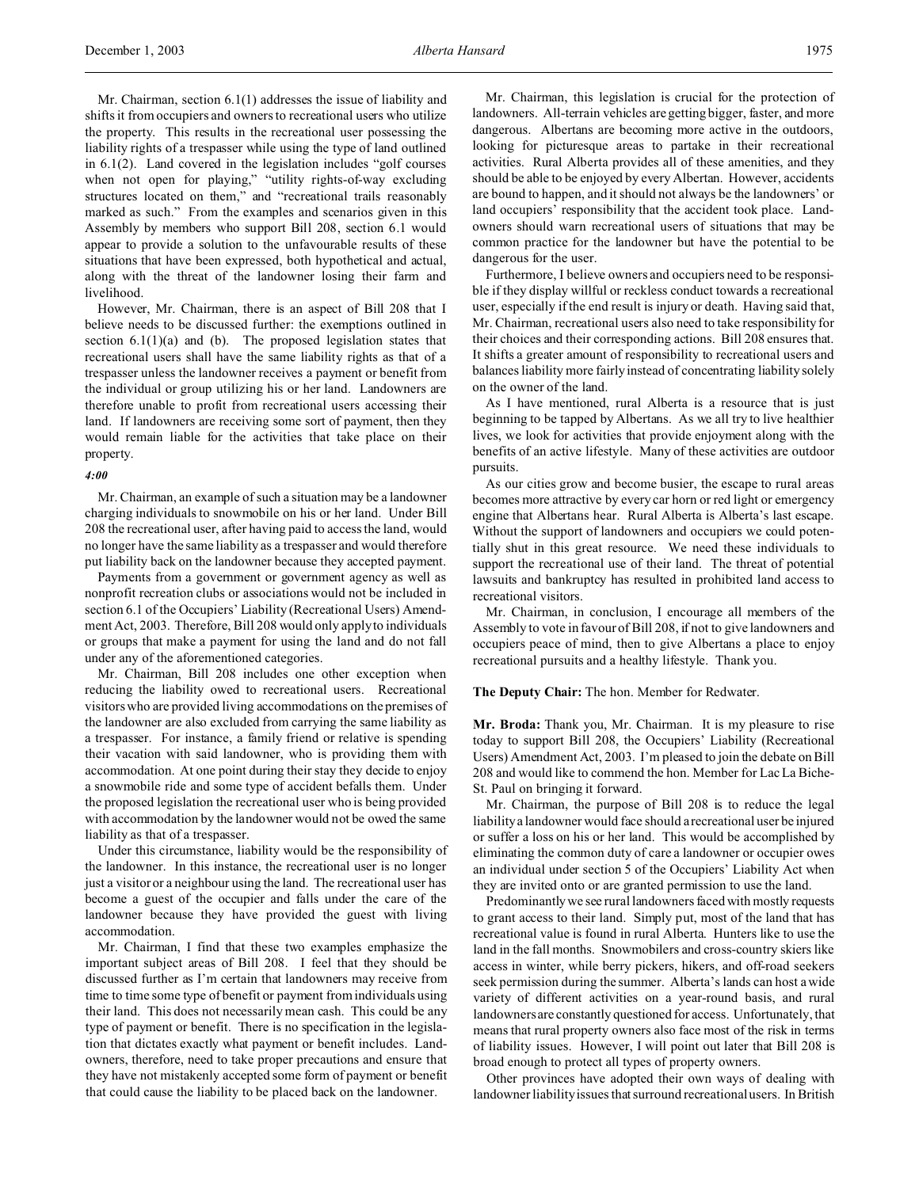Mr. Chairman, section 6.1(1) addresses the issue of liability and shifts it from occupiers and owners to recreational users who utilize the property. This results in the recreational user possessing the liability rights of a trespasser while using the type of land outlined in 6.1(2). Land covered in the legislation includes "golf courses when not open for playing," "utility rights-of-way excluding structures located on them," and "recreational trails reasonably marked as such." From the examples and scenarios given in this Assembly by members who support Bill 208, section 6.1 would appear to provide a solution to the unfavourable results of these situations that have been expressed, both hypothetical and actual, along with the threat of the landowner losing their farm and livelihood.

However, Mr. Chairman, there is an aspect of Bill 208 that I believe needs to be discussed further: the exemptions outlined in section  $6.1(1)(a)$  and (b). The proposed legislation states that recreational users shall have the same liability rights as that of a trespasser unless the landowner receives a payment or benefit from the individual or group utilizing his or her land. Landowners are therefore unable to profit from recreational users accessing their land. If landowners are receiving some sort of payment, then they would remain liable for the activities that take place on their property.

#### *4:00*

Mr. Chairman, an example of such a situation may be a landowner charging individuals to snowmobile on his or her land. Under Bill 208 the recreational user, after having paid to access the land, would no longer have the same liability as a trespasser and would therefore put liability back on the landowner because they accepted payment.

Payments from a government or government agency as well as nonprofit recreation clubs or associations would not be included in section 6.1 of the Occupiers' Liability (Recreational Users) Amendment Act, 2003. Therefore, Bill 208 would only apply to individuals or groups that make a payment for using the land and do not fall under any of the aforementioned categories.

Mr. Chairman, Bill 208 includes one other exception when reducing the liability owed to recreational users. Recreational visitors who are provided living accommodations on the premises of the landowner are also excluded from carrying the same liability as a trespasser. For instance, a family friend or relative is spending their vacation with said landowner, who is providing them with accommodation. At one point during their stay they decide to enjoy a snowmobile ride and some type of accident befalls them. Under the proposed legislation the recreational user who is being provided with accommodation by the landowner would not be owed the same liability as that of a trespasser.

Under this circumstance, liability would be the responsibility of the landowner. In this instance, the recreational user is no longer just a visitor or a neighbour using the land. The recreational user has become a guest of the occupier and falls under the care of the landowner because they have provided the guest with living accommodation.

Mr. Chairman, I find that these two examples emphasize the important subject areas of Bill 208. I feel that they should be discussed further as I'm certain that landowners may receive from time to time some type of benefit or payment from individuals using their land. This does not necessarily mean cash. This could be any type of payment or benefit. There is no specification in the legislation that dictates exactly what payment or benefit includes. Landowners, therefore, need to take proper precautions and ensure that they have not mistakenly accepted some form of payment or benefit that could cause the liability to be placed back on the landowner.

Mr. Chairman, this legislation is crucial for the protection of landowners. All-terrain vehicles are getting bigger, faster, and more dangerous. Albertans are becoming more active in the outdoors, looking for picturesque areas to partake in their recreational activities. Rural Alberta provides all of these amenities, and they should be able to be enjoyed by every Albertan. However, accidents are bound to happen, and it should not always be the landowners' or land occupiers' responsibility that the accident took place. Landowners should warn recreational users of situations that may be common practice for the landowner but have the potential to be dangerous for the user.

Furthermore, I believe owners and occupiers need to be responsible if they display willful or reckless conduct towards a recreational user, especially if the end result is injury or death. Having said that, Mr. Chairman, recreational users also need to take responsibility for their choices and their corresponding actions. Bill 208 ensures that. It shifts a greater amount of responsibility to recreational users and balances liability more fairly instead of concentrating liability solely on the owner of the land.

As I have mentioned, rural Alberta is a resource that is just beginning to be tapped by Albertans. As we all try to live healthier lives, we look for activities that provide enjoyment along with the benefits of an active lifestyle. Many of these activities are outdoor pursuits.

As our cities grow and become busier, the escape to rural areas becomes more attractive by every car horn or red light or emergency engine that Albertans hear. Rural Alberta is Alberta's last escape. Without the support of landowners and occupiers we could potentially shut in this great resource. We need these individuals to support the recreational use of their land. The threat of potential lawsuits and bankruptcy has resulted in prohibited land access to recreational visitors.

Mr. Chairman, in conclusion, I encourage all members of the Assembly to vote in favour of Bill 208, if not to give landowners and occupiers peace of mind, then to give Albertans a place to enjoy recreational pursuits and a healthy lifestyle. Thank you.

**The Deputy Chair:** The hon. Member for Redwater.

**Mr. Broda:** Thank you, Mr. Chairman. It is my pleasure to rise today to support Bill 208, the Occupiers' Liability (Recreational Users) Amendment Act, 2003. I'm pleased to join the debate on Bill 208 and would like to commend the hon. Member for Lac La Biche-St. Paul on bringing it forward.

Mr. Chairman, the purpose of Bill 208 is to reduce the legal liability a landowner would face should a recreational user be injured or suffer a loss on his or her land. This would be accomplished by eliminating the common duty of care a landowner or occupier owes an individual under section 5 of the Occupiers' Liability Act when they are invited onto or are granted permission to use the land.

Predominantly we see rural landowners faced with mostly requests to grant access to their land. Simply put, most of the land that has recreational value is found in rural Alberta. Hunters like to use the land in the fall months. Snowmobilers and cross-country skiers like access in winter, while berry pickers, hikers, and off-road seekers seek permission during the summer. Alberta's lands can host a wide variety of different activities on a year-round basis, and rural landowners are constantly questioned for access. Unfortunately, that means that rural property owners also face most of the risk in terms of liability issues. However, I will point out later that Bill 208 is broad enough to protect all types of property owners.

Other provinces have adopted their own ways of dealing with landowner liability issues that surround recreational users. In British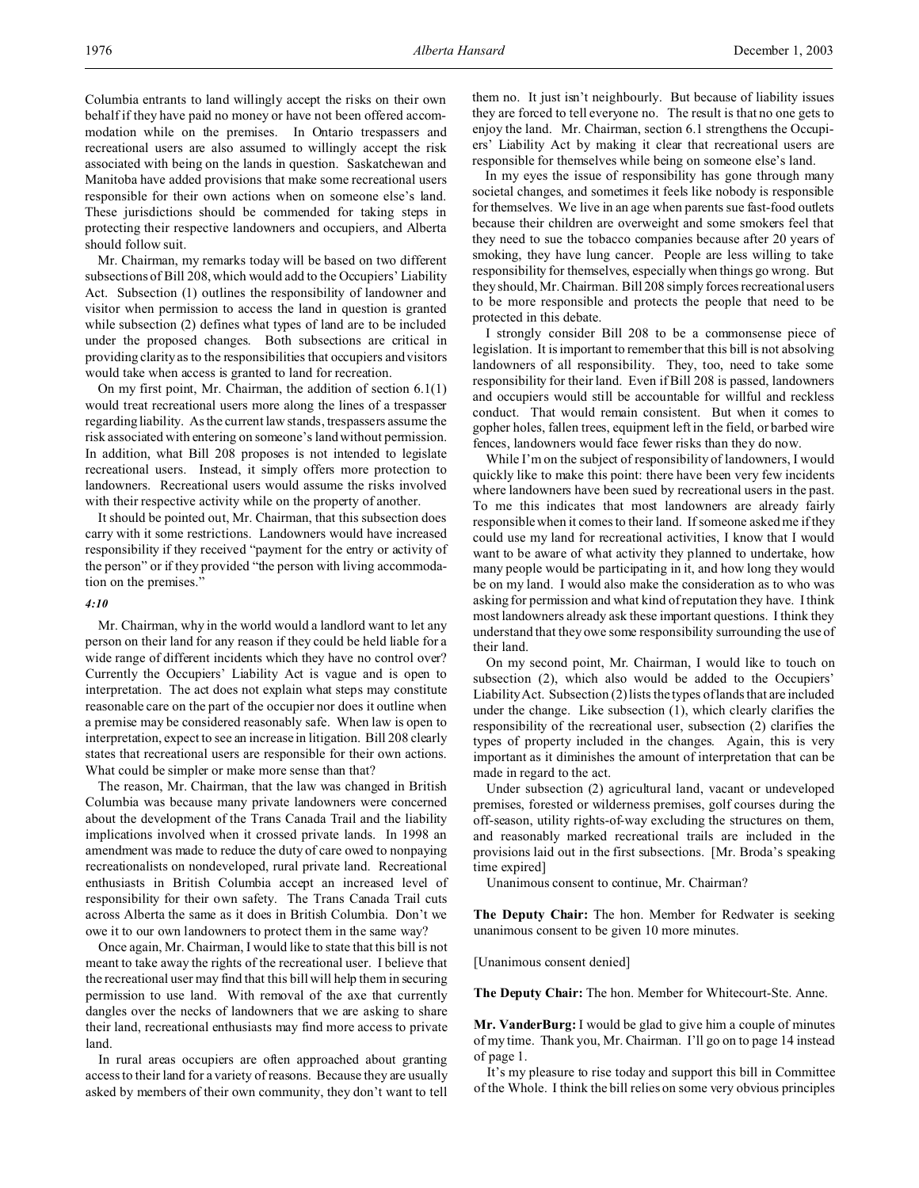Columbia entrants to land willingly accept the risks on their own behalf if they have paid no money or have not been offered accommodation while on the premises. In Ontario trespassers and recreational users are also assumed to willingly accept the risk associated with being on the lands in question. Saskatchewan and Manitoba have added provisions that make some recreational users responsible for their own actions when on someone else's land. These jurisdictions should be commended for taking steps in protecting their respective landowners and occupiers, and Alberta should follow suit.

Mr. Chairman, my remarks today will be based on two different subsections of Bill 208, which would add to the Occupiers' Liability Act. Subsection (1) outlines the responsibility of landowner and visitor when permission to access the land in question is granted while subsection (2) defines what types of land are to be included under the proposed changes. Both subsections are critical in providing clarity as to the responsibilities that occupiers and visitors would take when access is granted to land for recreation.

On my first point, Mr. Chairman, the addition of section 6.1(1) would treat recreational users more along the lines of a trespasser regarding liability. As the current law stands, trespassers assume the risk associated with entering on someone's land without permission. In addition, what Bill 208 proposes is not intended to legislate recreational users. Instead, it simply offers more protection to landowners. Recreational users would assume the risks involved with their respective activity while on the property of another.

It should be pointed out, Mr. Chairman, that this subsection does carry with it some restrictions. Landowners would have increased responsibility if they received "payment for the entry or activity of the person" or if they provided "the person with living accommodation on the premises."

#### *4:10*

Mr. Chairman, why in the world would a landlord want to let any person on their land for any reason if they could be held liable for a wide range of different incidents which they have no control over? Currently the Occupiers' Liability Act is vague and is open to interpretation. The act does not explain what steps may constitute reasonable care on the part of the occupier nor does it outline when a premise may be considered reasonably safe. When law is open to interpretation, expect to see an increase in litigation. Bill 208 clearly states that recreational users are responsible for their own actions. What could be simpler or make more sense than that?

The reason, Mr. Chairman, that the law was changed in British Columbia was because many private landowners were concerned about the development of the Trans Canada Trail and the liability implications involved when it crossed private lands. In 1998 an amendment was made to reduce the duty of care owed to nonpaying recreationalists on nondeveloped, rural private land. Recreational enthusiasts in British Columbia accept an increased level of responsibility for their own safety. The Trans Canada Trail cuts across Alberta the same as it does in British Columbia. Don't we owe it to our own landowners to protect them in the same way?

Once again, Mr. Chairman, I would like to state that this bill is not meant to take away the rights of the recreational user. I believe that the recreational user may find that this bill will help them in securing permission to use land. With removal of the axe that currently dangles over the necks of landowners that we are asking to share their land, recreational enthusiasts may find more access to private land.

In rural areas occupiers are often approached about granting access to their land for a variety of reasons. Because they are usually asked by members of their own community, they don't want to tell them no. It just isn't neighbourly. But because of liability issues they are forced to tell everyone no. The result is that no one gets to enjoy the land. Mr. Chairman, section 6.1 strengthens the Occupiers' Liability Act by making it clear that recreational users are responsible for themselves while being on someone else's land.

In my eyes the issue of responsibility has gone through many societal changes, and sometimes it feels like nobody is responsible for themselves. We live in an age when parents sue fast-food outlets because their children are overweight and some smokers feel that they need to sue the tobacco companies because after 20 years of smoking, they have lung cancer. People are less willing to take responsibility for themselves, especially when things go wrong. But they should, Mr. Chairman. Bill 208 simply forces recreational users to be more responsible and protects the people that need to be protected in this debate.

I strongly consider Bill 208 to be a commonsense piece of legislation. It is important to remember that this bill is not absolving landowners of all responsibility. They, too, need to take some responsibility for their land. Even if Bill 208 is passed, landowners and occupiers would still be accountable for willful and reckless conduct. That would remain consistent. But when it comes to gopher holes, fallen trees, equipment left in the field, or barbed wire fences, landowners would face fewer risks than they do now.

While I'm on the subject of responsibility of landowners, I would quickly like to make this point: there have been very few incidents where landowners have been sued by recreational users in the past. To me this indicates that most landowners are already fairly responsible when it comes to their land. If someone asked me if they could use my land for recreational activities, I know that I would want to be aware of what activity they planned to undertake, how many people would be participating in it, and how long they would be on my land. I would also make the consideration as to who was asking for permission and what kind of reputation they have. I think most landowners already ask these important questions. I think they understand that they owe some responsibility surrounding the use of their land.

On my second point, Mr. Chairman, I would like to touch on subsection (2), which also would be added to the Occupiers' Liability Act. Subsection (2) lists the types of lands that are included under the change. Like subsection (1), which clearly clarifies the responsibility of the recreational user, subsection (2) clarifies the types of property included in the changes. Again, this is very important as it diminishes the amount of interpretation that can be made in regard to the act.

Under subsection (2) agricultural land, vacant or undeveloped premises, forested or wilderness premises, golf courses during the off-season, utility rights-of-way excluding the structures on them, and reasonably marked recreational trails are included in the provisions laid out in the first subsections. [Mr. Broda's speaking time expired]

Unanimous consent to continue, Mr. Chairman?

**The Deputy Chair:** The hon. Member for Redwater is seeking unanimous consent to be given 10 more minutes.

[Unanimous consent denied]

**The Deputy Chair:** The hon. Member for Whitecourt-Ste. Anne.

**Mr. VanderBurg:** I would be glad to give him a couple of minutes of my time. Thank you, Mr. Chairman. I'll go on to page 14 instead of page 1.

It's my pleasure to rise today and support this bill in Committee of the Whole. I think the bill relies on some very obvious principles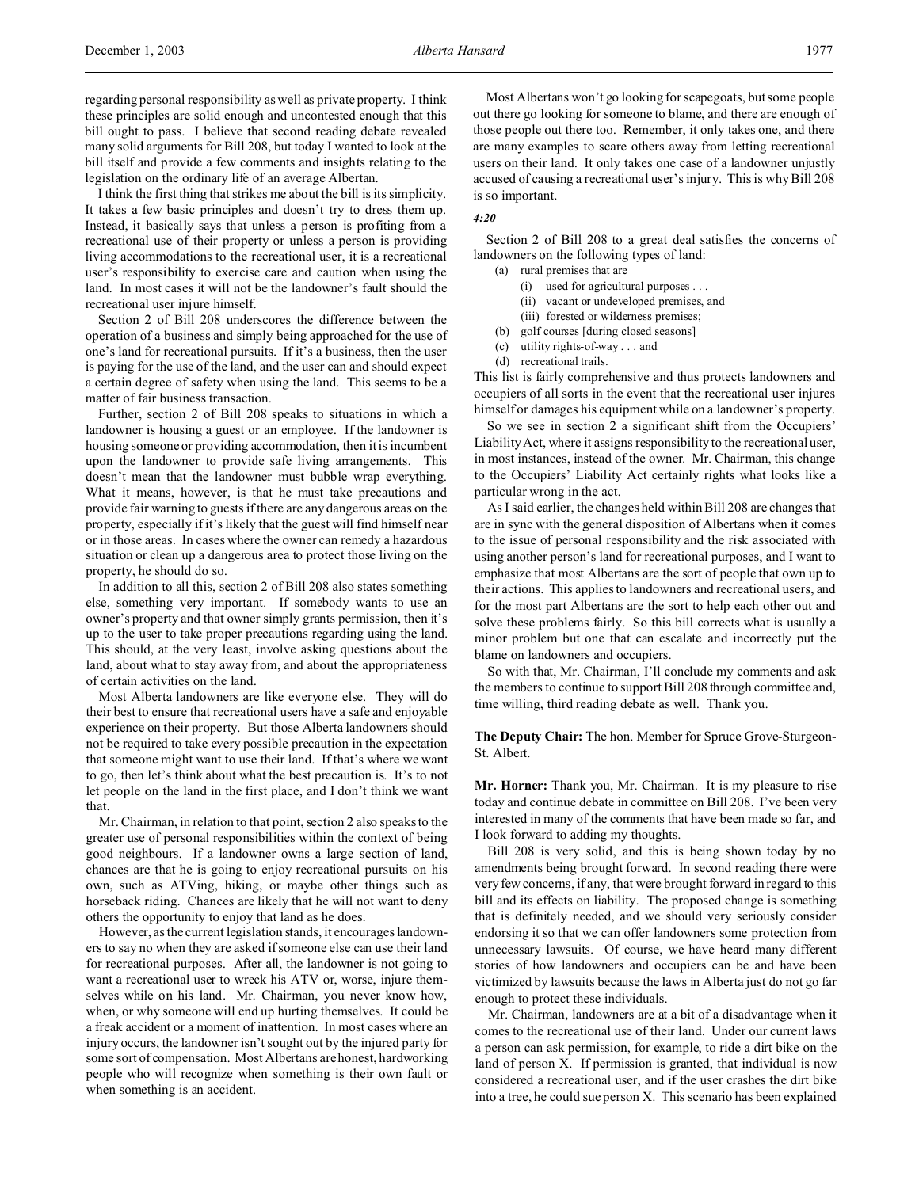I think the first thing that strikes me about the bill is its simplicity. It takes a few basic principles and doesn't try to dress them up. Instead, it basically says that unless a person is profiting from a recreational use of their property or unless a person is providing living accommodations to the recreational user, it is a recreational user's responsibility to exercise care and caution when using the land. In most cases it will not be the landowner's fault should the recreational user injure himself.

Section 2 of Bill 208 underscores the difference between the operation of a business and simply being approached for the use of one's land for recreational pursuits. If it's a business, then the user is paying for the use of the land, and the user can and should expect a certain degree of safety when using the land. This seems to be a matter of fair business transaction.

Further, section 2 of Bill 208 speaks to situations in which a landowner is housing a guest or an employee. If the landowner is housing someone or providing accommodation, then it is incumbent upon the landowner to provide safe living arrangements. This doesn't mean that the landowner must bubble wrap everything. What it means, however, is that he must take precautions and provide fair warning to guests if there are any dangerous areas on the property, especially if it's likely that the guest will find himself near or in those areas. In cases where the owner can remedy a hazardous situation or clean up a dangerous area to protect those living on the property, he should do so.

In addition to all this, section 2 of Bill 208 also states something else, something very important. If somebody wants to use an owner's property and that owner simply grants permission, then it's up to the user to take proper precautions regarding using the land. This should, at the very least, involve asking questions about the land, about what to stay away from, and about the appropriateness of certain activities on the land.

Most Alberta landowners are like everyone else. They will do their best to ensure that recreational users have a safe and enjoyable experience on their property. But those Alberta landowners should not be required to take every possible precaution in the expectation that someone might want to use their land. If that's where we want to go, then let's think about what the best precaution is. It's to not let people on the land in the first place, and I don't think we want that.

Mr. Chairman, in relation to that point, section 2 also speaks to the greater use of personal responsibilities within the context of being good neighbours. If a landowner owns a large section of land, chances are that he is going to enjoy recreational pursuits on his own, such as ATVing, hiking, or maybe other things such as horseback riding. Chances are likely that he will not want to deny others the opportunity to enjoy that land as he does.

However, as the current legislation stands, it encourages landowners to say no when they are asked if someone else can use their land for recreational purposes. After all, the landowner is not going to want a recreational user to wreck his ATV or, worse, injure themselves while on his land. Mr. Chairman, you never know how, when, or why someone will end up hurting themselves. It could be a freak accident or a moment of inattention. In most cases where an injury occurs, the landowner isn't sought out by the injured party for some sort of compensation. Most Albertans are honest, hardworking people who will recognize when something is their own fault or when something is an accident.

Most Albertans won't go looking for scapegoats, but some people out there go looking for someone to blame, and there are enough of those people out there too. Remember, it only takes one, and there are many examples to scare others away from letting recreational users on their land. It only takes one case of a landowner unjustly accused of causing a recreational user's injury. This is why Bill 208 is so important.

# *4:20*

Section 2 of Bill 208 to a great deal satisfies the concerns of landowners on the following types of land:

- (a) rural premises that are
	- (i) used for agricultural purposes . . .
	- (ii) vacant or undeveloped premises, and
- (iii) forested or wilderness premises;
- (b) golf courses [during closed seasons]
- (c) utility rights-of-way . . . and (d) recreational trails.
- This list is fairly comprehensive and thus protects landowners and occupiers of all sorts in the event that the recreational user injures

himself or damages his equipment while on a landowner's property. So we see in section 2 a significant shift from the Occupiers' Liability Act, where it assigns responsibility to the recreational user, in most instances, instead of the owner. Mr. Chairman, this change to the Occupiers' Liability Act certainly rights what looks like a particular wrong in the act.

As I said earlier, the changes held within Bill 208 are changes that are in sync with the general disposition of Albertans when it comes to the issue of personal responsibility and the risk associated with using another person's land for recreational purposes, and I want to emphasize that most Albertans are the sort of people that own up to their actions. This applies to landowners and recreational users, and for the most part Albertans are the sort to help each other out and solve these problems fairly. So this bill corrects what is usually a minor problem but one that can escalate and incorrectly put the blame on landowners and occupiers.

So with that, Mr. Chairman, I'll conclude my comments and ask the members to continue to support Bill 208 through committee and, time willing, third reading debate as well. Thank you.

**The Deputy Chair:** The hon. Member for Spruce Grove-Sturgeon-St. Albert.

**Mr. Horner:** Thank you, Mr. Chairman. It is my pleasure to rise today and continue debate in committee on Bill 208. I've been very interested in many of the comments that have been made so far, and I look forward to adding my thoughts.

Bill 208 is very solid, and this is being shown today by no amendments being brought forward. In second reading there were very few concerns, if any, that were brought forward in regard to this bill and its effects on liability. The proposed change is something that is definitely needed, and we should very seriously consider endorsing it so that we can offer landowners some protection from unnecessary lawsuits. Of course, we have heard many different stories of how landowners and occupiers can be and have been victimized by lawsuits because the laws in Alberta just do not go far enough to protect these individuals.

Mr. Chairman, landowners are at a bit of a disadvantage when it comes to the recreational use of their land. Under our current laws a person can ask permission, for example, to ride a dirt bike on the land of person X. If permission is granted, that individual is now considered a recreational user, and if the user crashes the dirt bike into a tree, he could sue person X. This scenario has been explained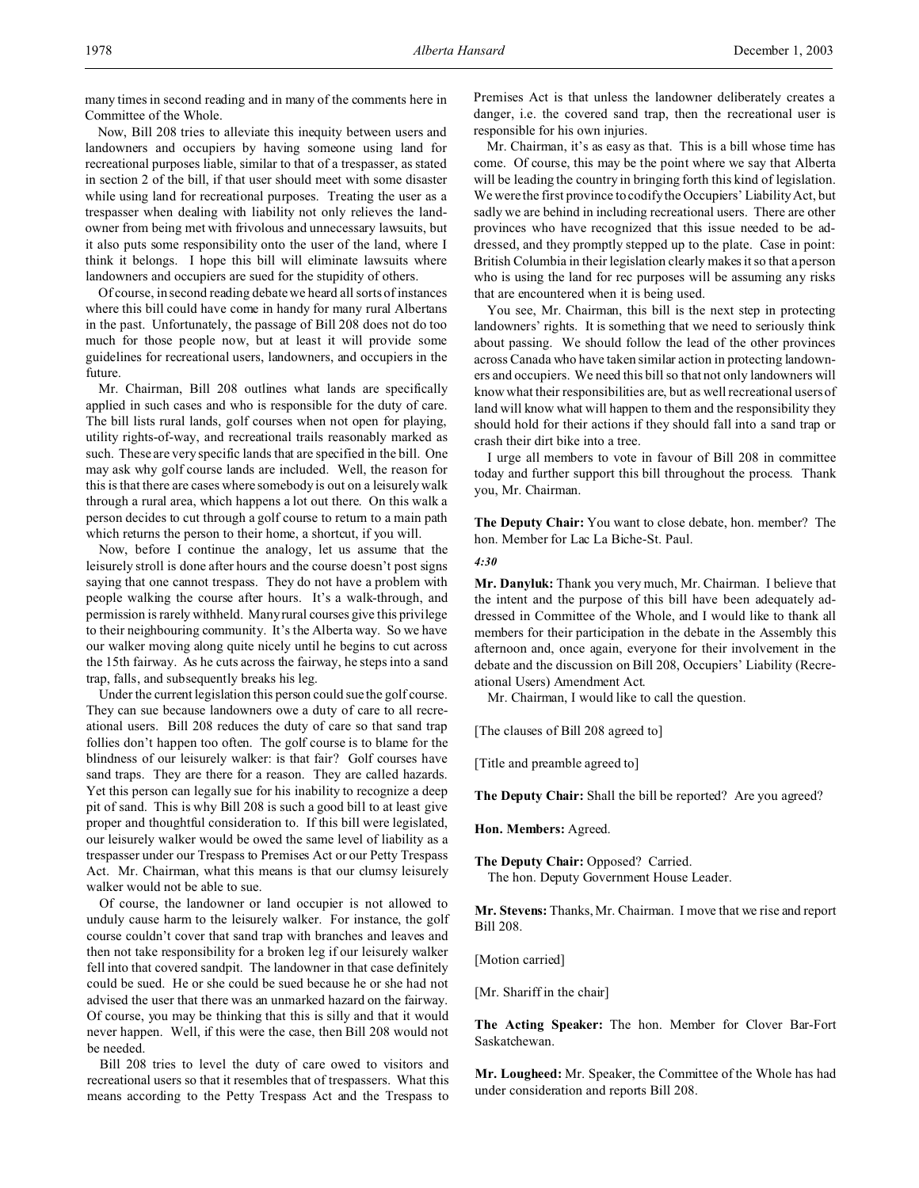Now, Bill 208 tries to alleviate this inequity between users and landowners and occupiers by having someone using land for recreational purposes liable, similar to that of a trespasser, as stated in section 2 of the bill, if that user should meet with some disaster while using land for recreational purposes. Treating the user as a trespasser when dealing with liability not only relieves the landowner from being met with frivolous and unnecessary lawsuits, but it also puts some responsibility onto the user of the land, where I think it belongs. I hope this bill will eliminate lawsuits where landowners and occupiers are sued for the stupidity of others.

Of course, in second reading debate we heard all sorts of instances where this bill could have come in handy for many rural Albertans in the past. Unfortunately, the passage of Bill 208 does not do too much for those people now, but at least it will provide some guidelines for recreational users, landowners, and occupiers in the future.

Mr. Chairman, Bill 208 outlines what lands are specifically applied in such cases and who is responsible for the duty of care. The bill lists rural lands, golf courses when not open for playing, utility rights-of-way, and recreational trails reasonably marked as such. These are very specific lands that are specified in the bill. One may ask why golf course lands are included. Well, the reason for this is that there are cases where somebody is out on a leisurely walk through a rural area, which happens a lot out there. On this walk a person decides to cut through a golf course to return to a main path which returns the person to their home, a shortcut, if you will.

Now, before I continue the analogy, let us assume that the leisurely stroll is done after hours and the course doesn't post signs saying that one cannot trespass. They do not have a problem with people walking the course after hours. It's a walk-through, and permission is rarely withheld. Many rural courses give this privilege to their neighbouring community. It's the Alberta way. So we have our walker moving along quite nicely until he begins to cut across the 15th fairway. As he cuts across the fairway, he steps into a sand trap, falls, and subsequently breaks his leg.

Under the current legislation this person could sue the golf course. They can sue because landowners owe a duty of care to all recreational users. Bill 208 reduces the duty of care so that sand trap follies don't happen too often. The golf course is to blame for the blindness of our leisurely walker: is that fair? Golf courses have sand traps. They are there for a reason. They are called hazards. Yet this person can legally sue for his inability to recognize a deep pit of sand. This is why Bill 208 is such a good bill to at least give proper and thoughtful consideration to. If this bill were legislated, our leisurely walker would be owed the same level of liability as a trespasser under our Trespass to Premises Act or our Petty Trespass Act. Mr. Chairman, what this means is that our clumsy leisurely walker would not be able to sue.

Of course, the landowner or land occupier is not allowed to unduly cause harm to the leisurely walker. For instance, the golf course couldn't cover that sand trap with branches and leaves and then not take responsibility for a broken leg if our leisurely walker fell into that covered sandpit. The landowner in that case definitely could be sued. He or she could be sued because he or she had not advised the user that there was an unmarked hazard on the fairway. Of course, you may be thinking that this is silly and that it would never happen. Well, if this were the case, then Bill 208 would not be needed.

Bill 208 tries to level the duty of care owed to visitors and recreational users so that it resembles that of trespassers. What this means according to the Petty Trespass Act and the Trespass to Premises Act is that unless the landowner deliberately creates a danger, i.e. the covered sand trap, then the recreational user is responsible for his own injuries.

Mr. Chairman, it's as easy as that. This is a bill whose time has come. Of course, this may be the point where we say that Alberta will be leading the country in bringing forth this kind of legislation. We were the first province to codify the Occupiers' Liability Act, but sadly we are behind in including recreational users. There are other provinces who have recognized that this issue needed to be addressed, and they promptly stepped up to the plate. Case in point: British Columbia in their legislation clearly makes it so that a person who is using the land for rec purposes will be assuming any risks that are encountered when it is being used.

You see, Mr. Chairman, this bill is the next step in protecting landowners' rights. It is something that we need to seriously think about passing. We should follow the lead of the other provinces across Canada who have taken similar action in protecting landowners and occupiers. We need this bill so that not only landowners will know what their responsibilities are, but as well recreational users of land will know what will happen to them and the responsibility they should hold for their actions if they should fall into a sand trap or crash their dirt bike into a tree.

I urge all members to vote in favour of Bill 208 in committee today and further support this bill throughout the process. Thank you, Mr. Chairman.

**The Deputy Chair:** You want to close debate, hon. member? The hon. Member for Lac La Biche-St. Paul.

#### *4:30*

**Mr. Danyluk:** Thank you very much, Mr. Chairman. I believe that the intent and the purpose of this bill have been adequately addressed in Committee of the Whole, and I would like to thank all members for their participation in the debate in the Assembly this afternoon and, once again, everyone for their involvement in the debate and the discussion on Bill 208, Occupiers' Liability (Recreational Users) Amendment Act.

Mr. Chairman, I would like to call the question.

[The clauses of Bill 208 agreed to]

[Title and preamble agreed to]

**The Deputy Chair:** Shall the bill be reported? Are you agreed?

**Hon. Members:** Agreed.

**The Deputy Chair:** Opposed? Carried. The hon. Deputy Government House Leader.

**Mr. Stevens:** Thanks, Mr. Chairman. I move that we rise and report Bill 208.

[Motion carried]

[Mr. Shariff in the chair]

**The Acting Speaker:** The hon. Member for Clover Bar-Fort Saskatchewan.

**Mr. Lougheed:** Mr. Speaker, the Committee of the Whole has had under consideration and reports Bill 208.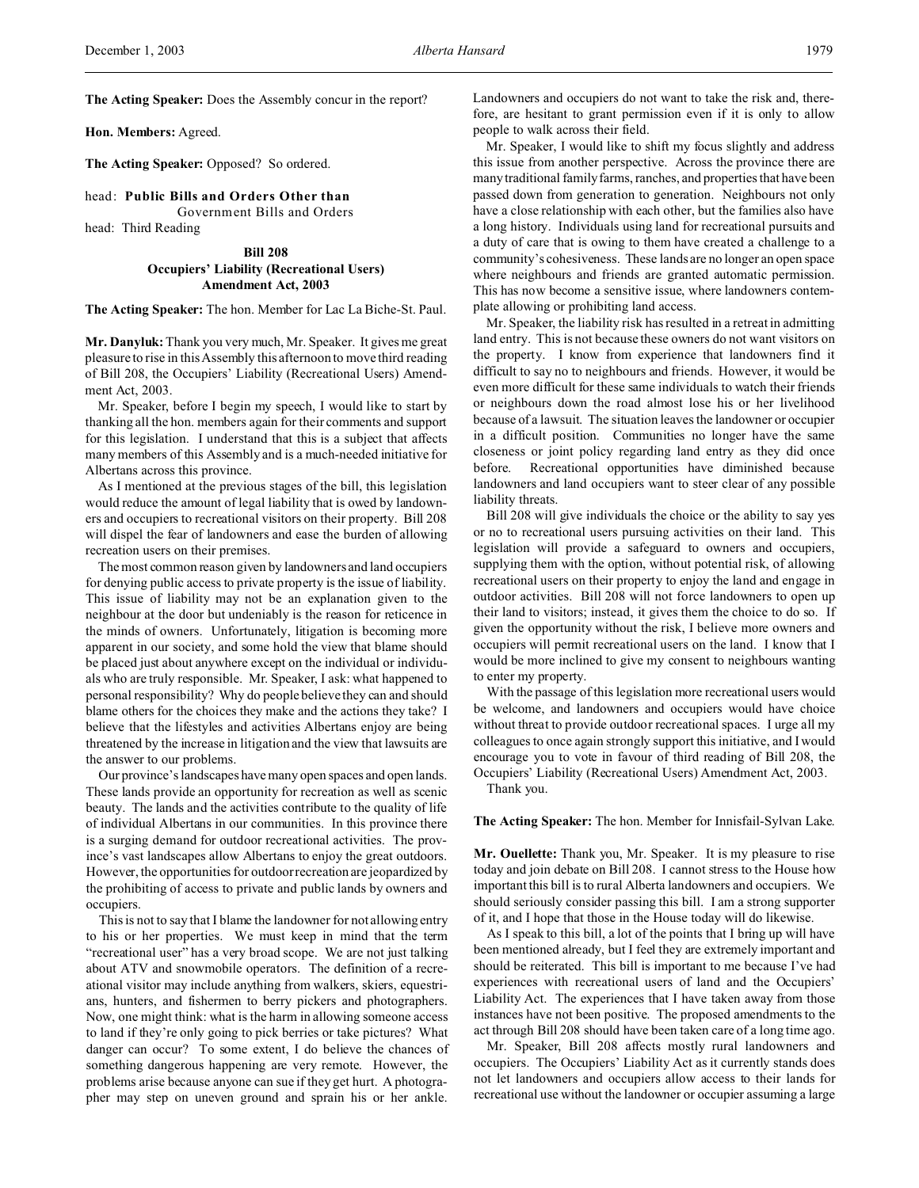**Hon. Members:** Agreed.

**The Acting Speaker:** Opposed? So ordered.

head: **Public Bills and Orders Other than**

Government Bills and Orders head: Third Reading

> **Bill 208 Occupiers' Liability (Recreational Users) Amendment Act, 2003**

**The Acting Speaker:** The hon. Member for Lac La Biche-St. Paul.

**Mr. Danyluk:** Thank you very much, Mr. Speaker. It gives me great pleasure to rise in this Assembly this afternoon to move third reading of Bill 208, the Occupiers' Liability (Recreational Users) Amendment Act, 2003.

Mr. Speaker, before I begin my speech, I would like to start by thanking all the hon. members again for their comments and support for this legislation. I understand that this is a subject that affects many members of this Assembly and is a much-needed initiative for Albertans across this province.

As I mentioned at the previous stages of the bill, this legislation would reduce the amount of legal liability that is owed by landowners and occupiers to recreational visitors on their property. Bill 208 will dispel the fear of landowners and ease the burden of allowing recreation users on their premises.

The most common reason given by landowners and land occupiers for denying public access to private property is the issue of liability. This issue of liability may not be an explanation given to the neighbour at the door but undeniably is the reason for reticence in the minds of owners. Unfortunately, litigation is becoming more apparent in our society, and some hold the view that blame should be placed just about anywhere except on the individual or individuals who are truly responsible. Mr. Speaker, I ask: what happened to personal responsibility? Why do people believe they can and should blame others for the choices they make and the actions they take? I believe that the lifestyles and activities Albertans enjoy are being threatened by the increase in litigation and the view that lawsuits are the answer to our problems.

Our province's landscapes have many open spaces and open lands. These lands provide an opportunity for recreation as well as scenic beauty. The lands and the activities contribute to the quality of life of individual Albertans in our communities. In this province there is a surging demand for outdoor recreational activities. The province's vast landscapes allow Albertans to enjoy the great outdoors. However, the opportunities for outdoor recreation are jeopardized by the prohibiting of access to private and public lands by owners and occupiers.

This is not to say that I blame the landowner for not allowing entry to his or her properties. We must keep in mind that the term "recreational user" has a very broad scope. We are not just talking about ATV and snowmobile operators. The definition of a recreational visitor may include anything from walkers, skiers, equestrians, hunters, and fishermen to berry pickers and photographers. Now, one might think: what is the harm in allowing someone access to land if they're only going to pick berries or take pictures? What danger can occur? To some extent, I do believe the chances of something dangerous happening are very remote. However, the problems arise because anyone can sue if they get hurt. A photographer may step on uneven ground and sprain his or her ankle.

Landowners and occupiers do not want to take the risk and, therefore, are hesitant to grant permission even if it is only to allow people to walk across their field.

Mr. Speaker, I would like to shift my focus slightly and address this issue from another perspective. Across the province there are many traditional family farms, ranches, and properties that have been passed down from generation to generation. Neighbours not only have a close relationship with each other, but the families also have a long history. Individuals using land for recreational pursuits and a duty of care that is owing to them have created a challenge to a community's cohesiveness. These lands are no longer an open space where neighbours and friends are granted automatic permission. This has now become a sensitive issue, where landowners contemplate allowing or prohibiting land access.

Mr. Speaker, the liability risk has resulted in a retreat in admitting land entry. This is not because these owners do not want visitors on the property. I know from experience that landowners find it difficult to say no to neighbours and friends. However, it would be even more difficult for these same individuals to watch their friends or neighbours down the road almost lose his or her livelihood because of a lawsuit. The situation leaves the landowner or occupier in a difficult position. Communities no longer have the same closeness or joint policy regarding land entry as they did once before. Recreational opportunities have diminished because landowners and land occupiers want to steer clear of any possible liability threats.

Bill 208 will give individuals the choice or the ability to say yes or no to recreational users pursuing activities on their land. This legislation will provide a safeguard to owners and occupiers, supplying them with the option, without potential risk, of allowing recreational users on their property to enjoy the land and engage in outdoor activities. Bill 208 will not force landowners to open up their land to visitors; instead, it gives them the choice to do so. If given the opportunity without the risk, I believe more owners and occupiers will permit recreational users on the land. I know that I would be more inclined to give my consent to neighbours wanting to enter my property.

With the passage of this legislation more recreational users would be welcome, and landowners and occupiers would have choice without threat to provide outdoor recreational spaces. I urge all my colleagues to once again strongly support this initiative, and I would encourage you to vote in favour of third reading of Bill 208, the Occupiers' Liability (Recreational Users) Amendment Act, 2003.

Thank you.

#### **The Acting Speaker:** The hon. Member for Innisfail-Sylvan Lake.

**Mr. Ouellette:** Thank you, Mr. Speaker. It is my pleasure to rise today and join debate on Bill 208. I cannot stress to the House how important this bill is to rural Alberta landowners and occupiers. We should seriously consider passing this bill. I am a strong supporter of it, and I hope that those in the House today will do likewise.

As I speak to this bill, a lot of the points that I bring up will have been mentioned already, but I feel they are extremely important and should be reiterated. This bill is important to me because I've had experiences with recreational users of land and the Occupiers' Liability Act. The experiences that I have taken away from those instances have not been positive. The proposed amendments to the act through Bill 208 should have been taken care of a long time ago.

Mr. Speaker, Bill 208 affects mostly rural landowners and occupiers. The Occupiers' Liability Act as it currently stands does not let landowners and occupiers allow access to their lands for recreational use without the landowner or occupier assuming a large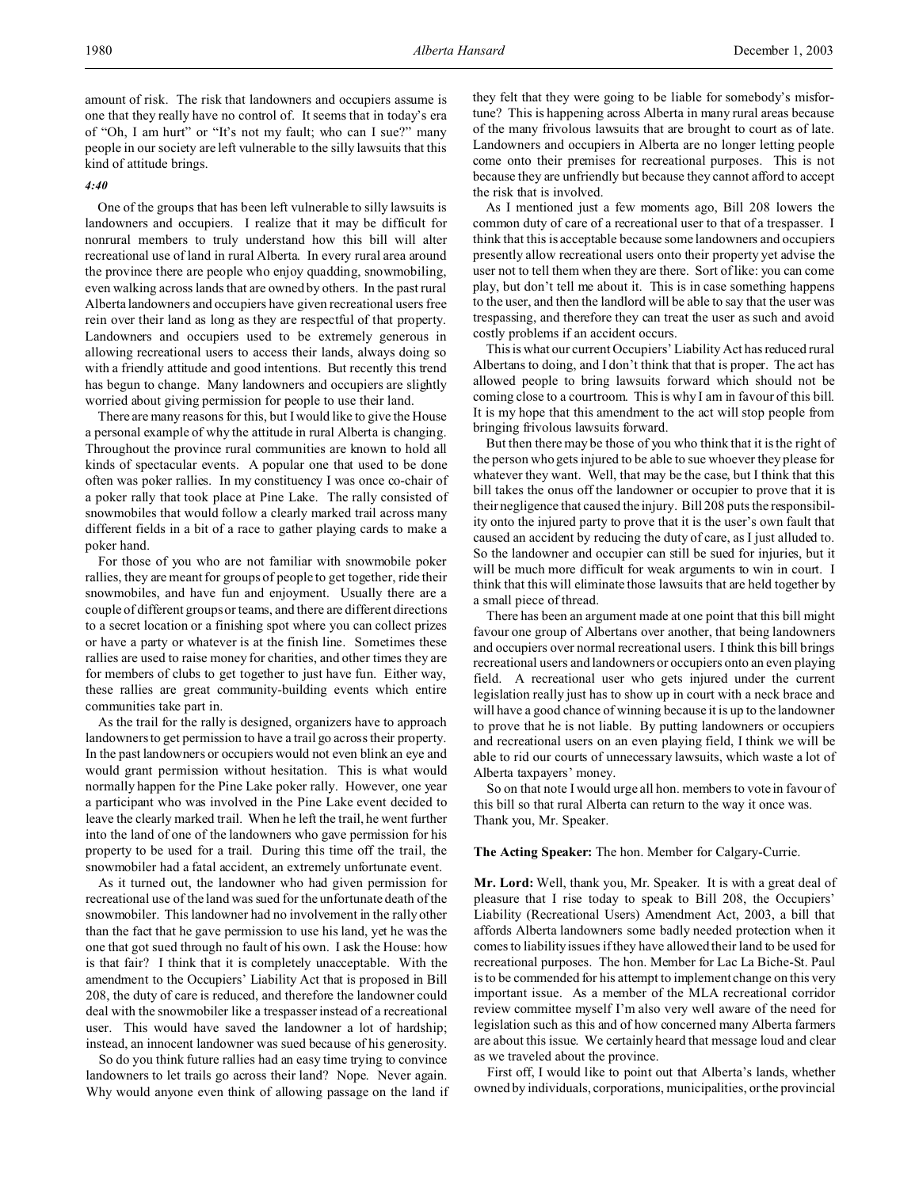amount of risk. The risk that landowners and occupiers assume is one that they really have no control of. It seems that in today's era of "Oh, I am hurt" or "It's not my fault; who can I sue?" many people in our society are left vulnerable to the silly lawsuits that this kind of attitude brings.

#### *4:40*

One of the groups that has been left vulnerable to silly lawsuits is landowners and occupiers. I realize that it may be difficult for nonrural members to truly understand how this bill will alter recreational use of land in rural Alberta. In every rural area around the province there are people who enjoy quadding, snowmobiling, even walking across lands that are owned by others. In the past rural Alberta landowners and occupiers have given recreational users free rein over their land as long as they are respectful of that property. Landowners and occupiers used to be extremely generous in allowing recreational users to access their lands, always doing so with a friendly attitude and good intentions. But recently this trend has begun to change. Many landowners and occupiers are slightly worried about giving permission for people to use their land.

There are many reasons for this, but I would like to give the House a personal example of why the attitude in rural Alberta is changing. Throughout the province rural communities are known to hold all kinds of spectacular events. A popular one that used to be done often was poker rallies. In my constituency I was once co-chair of a poker rally that took place at Pine Lake. The rally consisted of snowmobiles that would follow a clearly marked trail across many different fields in a bit of a race to gather playing cards to make a poker hand.

For those of you who are not familiar with snowmobile poker rallies, they are meant for groups of people to get together, ride their snowmobiles, and have fun and enjoyment. Usually there are a couple of different groups or teams, and there are different directions to a secret location or a finishing spot where you can collect prizes or have a party or whatever is at the finish line. Sometimes these rallies are used to raise money for charities, and other times they are for members of clubs to get together to just have fun. Either way, these rallies are great community-building events which entire communities take part in.

As the trail for the rally is designed, organizers have to approach landowners to get permission to have a trail go across their property. In the past landowners or occupiers would not even blink an eye and would grant permission without hesitation. This is what would normally happen for the Pine Lake poker rally. However, one year a participant who was involved in the Pine Lake event decided to leave the clearly marked trail. When he left the trail, he went further into the land of one of the landowners who gave permission for his property to be used for a trail. During this time off the trail, the snowmobiler had a fatal accident, an extremely unfortunate event.

As it turned out, the landowner who had given permission for recreational use of the land was sued for the unfortunate death of the snowmobiler. This landowner had no involvement in the rally other than the fact that he gave permission to use his land, yet he was the one that got sued through no fault of his own. I ask the House: how is that fair? I think that it is completely unacceptable. With the amendment to the Occupiers' Liability Act that is proposed in Bill 208, the duty of care is reduced, and therefore the landowner could deal with the snowmobiler like a trespasser instead of a recreational user. This would have saved the landowner a lot of hardship; instead, an innocent landowner was sued because of his generosity.

So do you think future rallies had an easy time trying to convince landowners to let trails go across their land? Nope. Never again. Why would anyone even think of allowing passage on the land if they felt that they were going to be liable for somebody's misfortune? This is happening across Alberta in many rural areas because of the many frivolous lawsuits that are brought to court as of late. Landowners and occupiers in Alberta are no longer letting people come onto their premises for recreational purposes. This is not because they are unfriendly but because they cannot afford to accept the risk that is involved.

As I mentioned just a few moments ago, Bill 208 lowers the common duty of care of a recreational user to that of a trespasser. I think that this is acceptable because some landowners and occupiers presently allow recreational users onto their property yet advise the user not to tell them when they are there. Sort of like: you can come play, but don't tell me about it. This is in case something happens to the user, and then the landlord will be able to say that the user was trespassing, and therefore they can treat the user as such and avoid costly problems if an accident occurs.

This is what our current Occupiers' Liability Act has reduced rural Albertans to doing, and I don't think that that is proper. The act has allowed people to bring lawsuits forward which should not be coming close to a courtroom. This is why I am in favour of this bill. It is my hope that this amendment to the act will stop people from bringing frivolous lawsuits forward.

But then there may be those of you who think that it is the right of the person who gets injured to be able to sue whoever they please for whatever they want. Well, that may be the case, but I think that this bill takes the onus off the landowner or occupier to prove that it is their negligence that caused the injury. Bill 208 puts the responsibility onto the injured party to prove that it is the user's own fault that caused an accident by reducing the duty of care, as I just alluded to. So the landowner and occupier can still be sued for injuries, but it will be much more difficult for weak arguments to win in court. I think that this will eliminate those lawsuits that are held together by a small piece of thread.

There has been an argument made at one point that this bill might favour one group of Albertans over another, that being landowners and occupiers over normal recreational users. I think this bill brings recreational users and landowners or occupiers onto an even playing field. A recreational user who gets injured under the current legislation really just has to show up in court with a neck brace and will have a good chance of winning because it is up to the landowner to prove that he is not liable. By putting landowners or occupiers and recreational users on an even playing field, I think we will be able to rid our courts of unnecessary lawsuits, which waste a lot of Alberta taxpayers' money.

So on that note I would urge all hon. members to vote in favour of this bill so that rural Alberta can return to the way it once was. Thank you, Mr. Speaker.

**The Acting Speaker:** The hon. Member for Calgary-Currie.

**Mr. Lord:** Well, thank you, Mr. Speaker. It is with a great deal of pleasure that I rise today to speak to Bill 208, the Occupiers' Liability (Recreational Users) Amendment Act, 2003, a bill that affords Alberta landowners some badly needed protection when it comes to liability issues if they have allowed their land to be used for recreational purposes. The hon. Member for Lac La Biche-St. Paul is to be commended for his attempt to implement change on this very important issue. As a member of the MLA recreational corridor review committee myself I'm also very well aware of the need for legislation such as this and of how concerned many Alberta farmers are about this issue. We certainly heard that message loud and clear as we traveled about the province.

First off, I would like to point out that Alberta's lands, whether owned by individuals, corporations, municipalities, or the provincial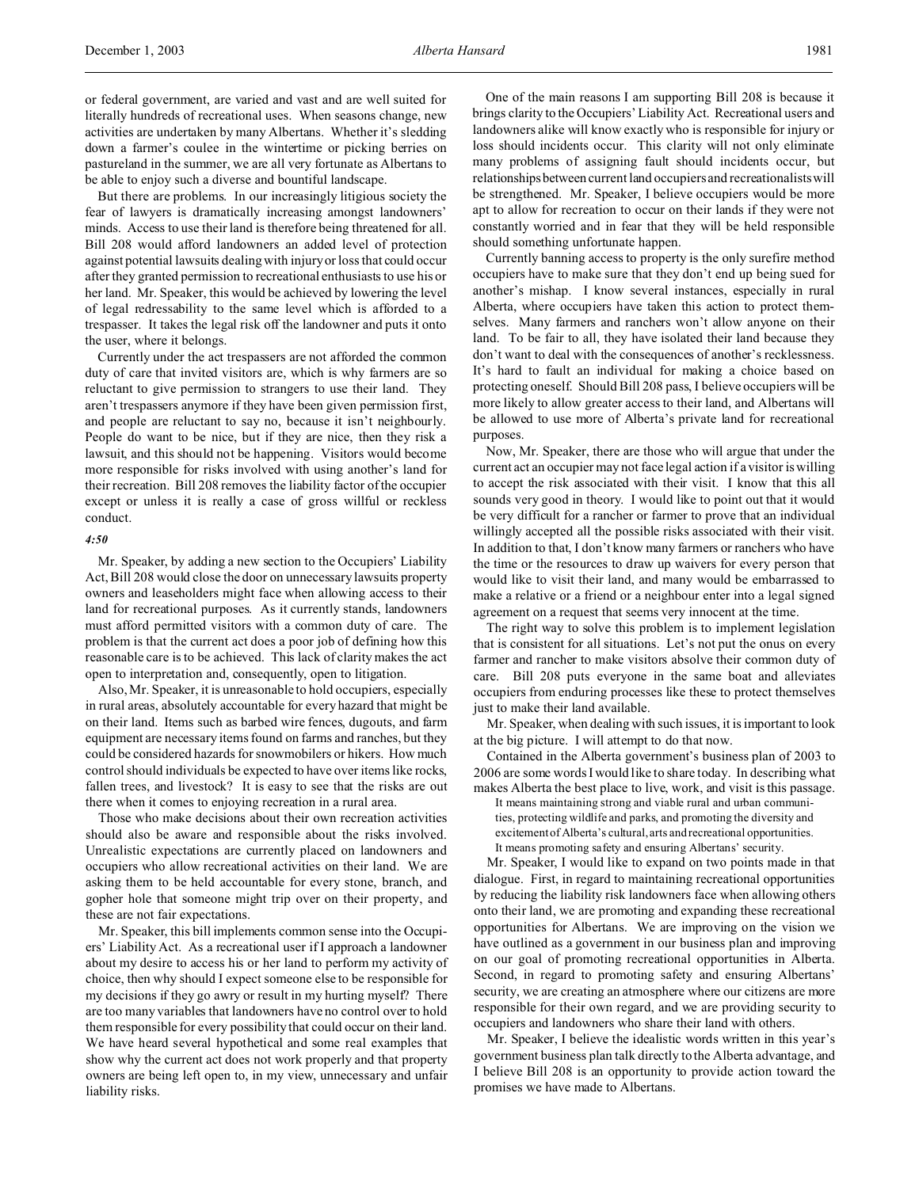But there are problems. In our increasingly litigious society the fear of lawyers is dramatically increasing amongst landowners' minds. Access to use their land is therefore being threatened for all. Bill 208 would afford landowners an added level of protection against potential lawsuits dealing with injury or loss that could occur after they granted permission to recreational enthusiasts to use his or her land. Mr. Speaker, this would be achieved by lowering the level of legal redressability to the same level which is afforded to a trespasser. It takes the legal risk off the landowner and puts it onto the user, where it belongs.

Currently under the act trespassers are not afforded the common duty of care that invited visitors are, which is why farmers are so reluctant to give permission to strangers to use their land. They aren't trespassers anymore if they have been given permission first, and people are reluctant to say no, because it isn't neighbourly. People do want to be nice, but if they are nice, then they risk a lawsuit, and this should not be happening. Visitors would become more responsible for risks involved with using another's land for their recreation. Bill 208 removes the liability factor of the occupier except or unless it is really a case of gross willful or reckless conduct.

#### *4:50*

Mr. Speaker, by adding a new section to the Occupiers' Liability Act, Bill 208 would close the door on unnecessary lawsuits property owners and leaseholders might face when allowing access to their land for recreational purposes. As it currently stands, landowners must afford permitted visitors with a common duty of care. The problem is that the current act does a poor job of defining how this reasonable care is to be achieved. This lack of clarity makes the act open to interpretation and, consequently, open to litigation.

Also, Mr. Speaker, it is unreasonable to hold occupiers, especially in rural areas, absolutely accountable for every hazard that might be on their land. Items such as barbed wire fences, dugouts, and farm equipment are necessary items found on farms and ranches, but they could be considered hazards for snowmobilers or hikers. How much control should individuals be expected to have over items like rocks, fallen trees, and livestock? It is easy to see that the risks are out there when it comes to enjoying recreation in a rural area.

Those who make decisions about their own recreation activities should also be aware and responsible about the risks involved. Unrealistic expectations are currently placed on landowners and occupiers who allow recreational activities on their land. We are asking them to be held accountable for every stone, branch, and gopher hole that someone might trip over on their property, and these are not fair expectations.

Mr. Speaker, this bill implements common sense into the Occupiers' Liability Act. As a recreational user if I approach a landowner about my desire to access his or her land to perform my activity of choice, then why should I expect someone else to be responsible for my decisions if they go awry or result in my hurting myself? There are too many variables that landowners have no control over to hold them responsible for every possibility that could occur on their land. We have heard several hypothetical and some real examples that show why the current act does not work properly and that property owners are being left open to, in my view, unnecessary and unfair liability risks.

One of the main reasons I am supporting Bill 208 is because it brings clarity to the Occupiers' Liability Act. Recreational users and landowners alike will know exactly who is responsible for injury or loss should incidents occur. This clarity will not only eliminate many problems of assigning fault should incidents occur, but relationships between current land occupiers and recreationalists will be strengthened. Mr. Speaker, I believe occupiers would be more apt to allow for recreation to occur on their lands if they were not constantly worried and in fear that they will be held responsible should something unfortunate happen.

Currently banning access to property is the only surefire method occupiers have to make sure that they don't end up being sued for another's mishap. I know several instances, especially in rural Alberta, where occupiers have taken this action to protect themselves. Many farmers and ranchers won't allow anyone on their land. To be fair to all, they have isolated their land because they don't want to deal with the consequences of another's recklessness. It's hard to fault an individual for making a choice based on protecting oneself. Should Bill 208 pass, I believe occupiers will be more likely to allow greater access to their land, and Albertans will be allowed to use more of Alberta's private land for recreational purposes.

Now, Mr. Speaker, there are those who will argue that under the current act an occupier may not face legal action if a visitor is willing to accept the risk associated with their visit. I know that this all sounds very good in theory. I would like to point out that it would be very difficult for a rancher or farmer to prove that an individual willingly accepted all the possible risks associated with their visit. In addition to that, I don't know many farmers or ranchers who have the time or the resources to draw up waivers for every person that would like to visit their land, and many would be embarrassed to make a relative or a friend or a neighbour enter into a legal signed agreement on a request that seems very innocent at the time.

The right way to solve this problem is to implement legislation that is consistent for all situations. Let's not put the onus on every farmer and rancher to make visitors absolve their common duty of care. Bill 208 puts everyone in the same boat and alleviates occupiers from enduring processes like these to protect themselves just to make their land available.

Mr. Speaker, when dealing with such issues, it is important to look at the big picture. I will attempt to do that now.

Contained in the Alberta government's business plan of 2003 to 2006 are some words I would like to share today. In describing what makes Alberta the best place to live, work, and visit is this passage.

It means maintaining strong and viable rural and urban communities, protecting wildlife and parks, and promoting the diversity and excitement of Alberta's cultural, arts and recreational opportunities. It means promoting safety and ensuring Albertans' security.

Mr. Speaker, I would like to expand on two points made in that dialogue. First, in regard to maintaining recreational opportunities by reducing the liability risk landowners face when allowing others onto their land, we are promoting and expanding these recreational opportunities for Albertans. We are improving on the vision we have outlined as a government in our business plan and improving on our goal of promoting recreational opportunities in Alberta. Second, in regard to promoting safety and ensuring Albertans' security, we are creating an atmosphere where our citizens are more responsible for their own regard, and we are providing security to occupiers and landowners who share their land with others.

Mr. Speaker, I believe the idealistic words written in this year's government business plan talk directly to the Alberta advantage, and I believe Bill 208 is an opportunity to provide action toward the promises we have made to Albertans.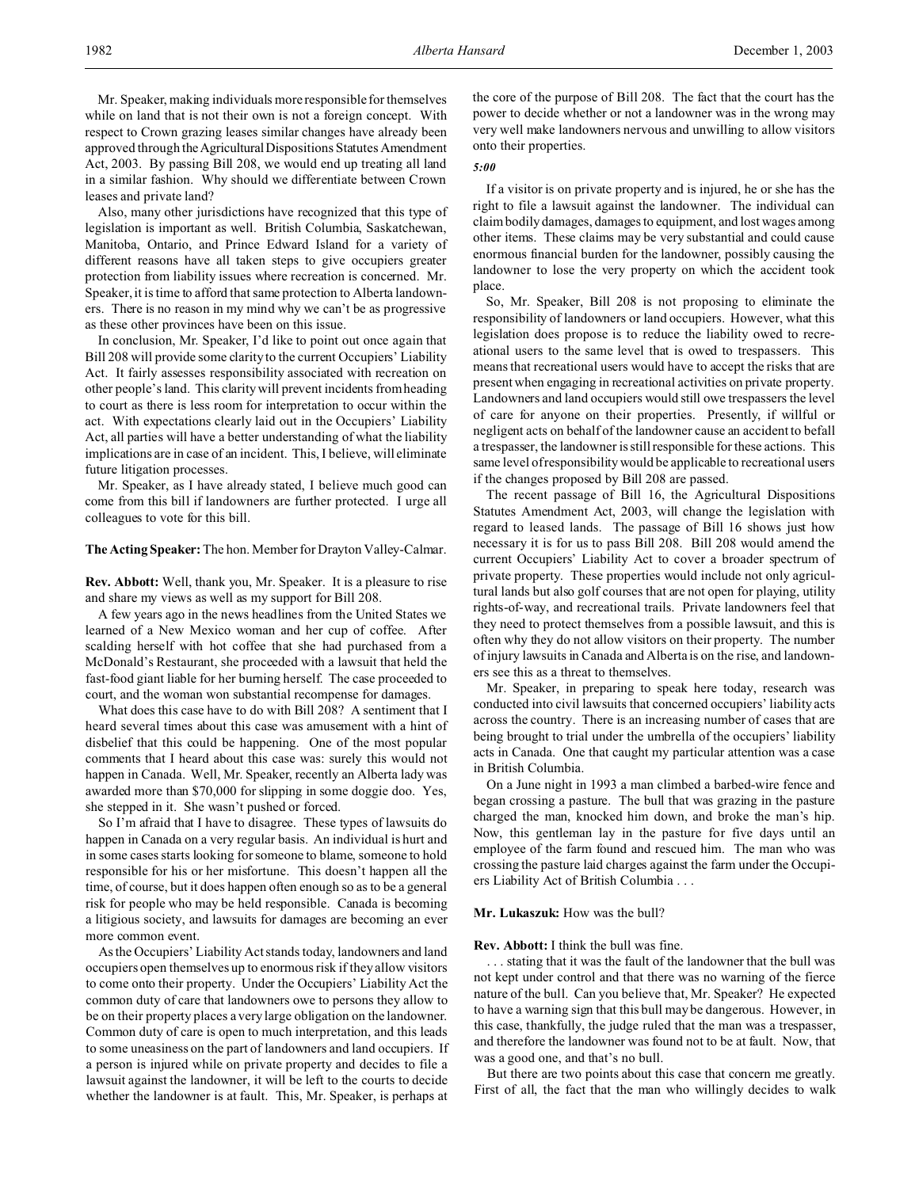Mr. Speaker, making individuals more responsible for themselves while on land that is not their own is not a foreign concept. With respect to Crown grazing leases similar changes have already been approved through the Agricultural Dispositions Statutes Amendment Act, 2003. By passing Bill 208, we would end up treating all land in a similar fashion. Why should we differentiate between Crown leases and private land?

Also, many other jurisdictions have recognized that this type of legislation is important as well. British Columbia, Saskatchewan, Manitoba, Ontario, and Prince Edward Island for a variety of different reasons have all taken steps to give occupiers greater protection from liability issues where recreation is concerned. Mr. Speaker, it is time to afford that same protection to Alberta landowners. There is no reason in my mind why we can't be as progressive as these other provinces have been on this issue.

In conclusion, Mr. Speaker, I'd like to point out once again that Bill 208 will provide some clarity to the current Occupiers' Liability Act. It fairly assesses responsibility associated with recreation on other people's land. This clarity will prevent incidents from heading to court as there is less room for interpretation to occur within the act. With expectations clearly laid out in the Occupiers' Liability Act, all parties will have a better understanding of what the liability implications are in case of an incident. This, I believe, will eliminate future litigation processes.

Mr. Speaker, as I have already stated, I believe much good can come from this bill if landowners are further protected. I urge all colleagues to vote for this bill.

## **The Acting Speaker:** The hon. Member for Drayton Valley-Calmar.

**Rev. Abbott:** Well, thank you, Mr. Speaker. It is a pleasure to rise and share my views as well as my support for Bill 208.

A few years ago in the news headlines from the United States we learned of a New Mexico woman and her cup of coffee. After scalding herself with hot coffee that she had purchased from a McDonald's Restaurant, she proceeded with a lawsuit that held the fast-food giant liable for her burning herself. The case proceeded to court, and the woman won substantial recompense for damages.

What does this case have to do with Bill 208? A sentiment that I heard several times about this case was amusement with a hint of disbelief that this could be happening. One of the most popular comments that I heard about this case was: surely this would not happen in Canada. Well, Mr. Speaker, recently an Alberta lady was awarded more than \$70,000 for slipping in some doggie doo. Yes, she stepped in it. She wasn't pushed or forced.

So I'm afraid that I have to disagree. These types of lawsuits do happen in Canada on a very regular basis. An individual is hurt and in some cases starts looking for someone to blame, someone to hold responsible for his or her misfortune. This doesn't happen all the time, of course, but it does happen often enough so as to be a general risk for people who may be held responsible. Canada is becoming a litigious society, and lawsuits for damages are becoming an ever more common event.

As the Occupiers' Liability Act stands today, landowners and land occupiers open themselves up to enormous risk if they allow visitors to come onto their property. Under the Occupiers' Liability Act the common duty of care that landowners owe to persons they allow to be on their property places a very large obligation on the landowner. Common duty of care is open to much interpretation, and this leads to some uneasiness on the part of landowners and land occupiers. If a person is injured while on private property and decides to file a lawsuit against the landowner, it will be left to the courts to decide whether the landowner is at fault. This, Mr. Speaker, is perhaps at

the core of the purpose of Bill 208. The fact that the court has the power to decide whether or not a landowner was in the wrong may very well make landowners nervous and unwilling to allow visitors onto their properties.

### *5:00*

If a visitor is on private property and is injured, he or she has the right to file a lawsuit against the landowner. The individual can claim bodily damages, damages to equipment, and lost wages among other items. These claims may be very substantial and could cause enormous financial burden for the landowner, possibly causing the landowner to lose the very property on which the accident took place.

So, Mr. Speaker, Bill 208 is not proposing to eliminate the responsibility of landowners or land occupiers. However, what this legislation does propose is to reduce the liability owed to recreational users to the same level that is owed to trespassers. This means that recreational users would have to accept the risks that are present when engaging in recreational activities on private property. Landowners and land occupiers would still owe trespassers the level of care for anyone on their properties. Presently, if willful or negligent acts on behalf of the landowner cause an accident to befall a trespasser, the landowner is still responsible for these actions. This same level of responsibility would be applicable to recreational users if the changes proposed by Bill 208 are passed.

The recent passage of Bill 16, the Agricultural Dispositions Statutes Amendment Act, 2003, will change the legislation with regard to leased lands. The passage of Bill 16 shows just how necessary it is for us to pass Bill 208. Bill 208 would amend the current Occupiers' Liability Act to cover a broader spectrum of private property. These properties would include not only agricultural lands but also golf courses that are not open for playing, utility rights-of-way, and recreational trails. Private landowners feel that they need to protect themselves from a possible lawsuit, and this is often why they do not allow visitors on their property. The number of injury lawsuits in Canada and Alberta is on the rise, and landowners see this as a threat to themselves.

Mr. Speaker, in preparing to speak here today, research was conducted into civil lawsuits that concerned occupiers' liability acts across the country. There is an increasing number of cases that are being brought to trial under the umbrella of the occupiers' liability acts in Canada. One that caught my particular attention was a case in British Columbia.

On a June night in 1993 a man climbed a barbed-wire fence and began crossing a pasture. The bull that was grazing in the pasture charged the man, knocked him down, and broke the man's hip. Now, this gentleman lay in the pasture for five days until an employee of the farm found and rescued him. The man who was crossing the pasture laid charges against the farm under the Occupiers Liability Act of British Columbia . . .

### **Mr. Lukaszuk:** How was the bull?

### **Rev. Abbott:** I think the bull was fine.

. . . stating that it was the fault of the landowner that the bull was not kept under control and that there was no warning of the fierce nature of the bull. Can you believe that, Mr. Speaker? He expected to have a warning sign that this bull may be dangerous. However, in this case, thankfully, the judge ruled that the man was a trespasser, and therefore the landowner was found not to be at fault. Now, that was a good one, and that's no bull.

But there are two points about this case that concern me greatly. First of all, the fact that the man who willingly decides to walk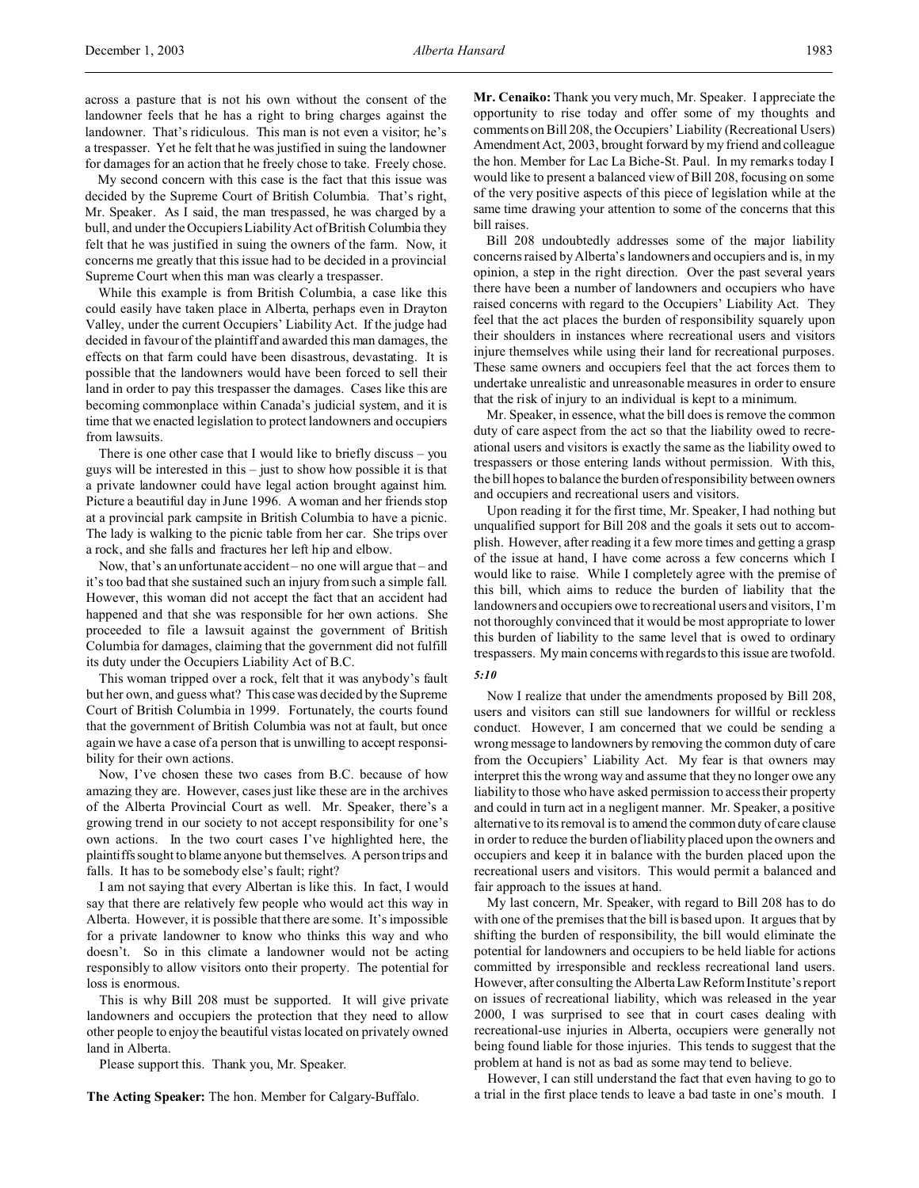across a pasture that is not his own without the consent of the landowner feels that he has a right to bring charges against the landowner. That's ridiculous. This man is not even a visitor; he's a trespasser. Yet he felt that he was justified in suing the landowner for damages for an action that he freely chose to take. Freely chose.

My second concern with this case is the fact that this issue was decided by the Supreme Court of British Columbia. That's right, Mr. Speaker. As I said, the man trespassed, he was charged by a bull, and under the Occupiers Liability Act of British Columbia they felt that he was justified in suing the owners of the farm. Now, it concerns me greatly that this issue had to be decided in a provincial Supreme Court when this man was clearly a trespasser.

While this example is from British Columbia, a case like this could easily have taken place in Alberta, perhaps even in Drayton Valley, under the current Occupiers' Liability Act. If the judge had decided in favour of the plaintiff and awarded this man damages, the effects on that farm could have been disastrous, devastating. It is possible that the landowners would have been forced to sell their land in order to pay this trespasser the damages. Cases like this are becoming commonplace within Canada's judicial system, and it is time that we enacted legislation to protect landowners and occupiers from lawsuits.

There is one other case that I would like to briefly discuss – you guys will be interested in this – just to show how possible it is that a private landowner could have legal action brought against him. Picture a beautiful day in June 1996. A woman and her friends stop at a provincial park campsite in British Columbia to have a picnic. The lady is walking to the picnic table from her car. She trips over a rock, and she falls and fractures her left hip and elbow.

Now, that's an unfortunate accident – no one will argue that – and it's too bad that she sustained such an injury from such a simple fall. However, this woman did not accept the fact that an accident had happened and that she was responsible for her own actions. She proceeded to file a lawsuit against the government of British Columbia for damages, claiming that the government did not fulfill its duty under the Occupiers Liability Act of B.C.

This woman tripped over a rock, felt that it was anybody's fault but her own, and guess what? This case was decided by the Supreme Court of British Columbia in 1999. Fortunately, the courts found that the government of British Columbia was not at fault, but once again we have a case of a person that is unwilling to accept responsibility for their own actions.

Now, I've chosen these two cases from B.C. because of how amazing they are. However, cases just like these are in the archives of the Alberta Provincial Court as well. Mr. Speaker, there's a growing trend in our society to not accept responsibility for one's own actions. In the two court cases I've highlighted here, the plaintiffs sought to blame anyone but themselves. A person trips and falls. It has to be somebody else's fault; right?

I am not saying that every Albertan is like this. In fact, I would say that there are relatively few people who would act this way in Alberta. However, it is possible that there are some. It's impossible for a private landowner to know who thinks this way and who doesn't. So in this climate a landowner would not be acting responsibly to allow visitors onto their property. The potential for loss is enormous.

This is why Bill 208 must be supported. It will give private landowners and occupiers the protection that they need to allow other people to enjoy the beautiful vistas located on privately owned land in Alberta.

Please support this. Thank you, Mr. Speaker.

**The Acting Speaker:** The hon. Member for Calgary-Buffalo.

**Mr. Cenaiko:** Thank you very much, Mr. Speaker. I appreciate the opportunity to rise today and offer some of my thoughts and comments on Bill 208, the Occupiers' Liability (Recreational Users) Amendment Act, 2003, brought forward by my friend and colleague the hon. Member for Lac La Biche-St. Paul. In my remarks today I would like to present a balanced view of Bill 208, focusing on some of the very positive aspects of this piece of legislation while at the same time drawing your attention to some of the concerns that this bill raises.

Bill 208 undoubtedly addresses some of the major liability concerns raised by Alberta's landowners and occupiers and is, in my opinion, a step in the right direction. Over the past several years there have been a number of landowners and occupiers who have raised concerns with regard to the Occupiers' Liability Act. They feel that the act places the burden of responsibility squarely upon their shoulders in instances where recreational users and visitors injure themselves while using their land for recreational purposes. These same owners and occupiers feel that the act forces them to undertake unrealistic and unreasonable measures in order to ensure that the risk of injury to an individual is kept to a minimum.

Mr. Speaker, in essence, what the bill does is remove the common duty of care aspect from the act so that the liability owed to recreational users and visitors is exactly the same as the liability owed to trespassers or those entering lands without permission. With this, the bill hopes to balance the burden of responsibility between owners and occupiers and recreational users and visitors.

Upon reading it for the first time, Mr. Speaker, I had nothing but unqualified support for Bill 208 and the goals it sets out to accomplish. However, after reading it a few more times and getting a grasp of the issue at hand, I have come across a few concerns which I would like to raise. While I completely agree with the premise of this bill, which aims to reduce the burden of liability that the landowners and occupiers owe to recreational users and visitors, I'm not thoroughly convinced that it would be most appropriate to lower this burden of liability to the same level that is owed to ordinary trespassers. My main concerns with regards to this issue are twofold.

# *5:10*

Now I realize that under the amendments proposed by Bill 208, users and visitors can still sue landowners for willful or reckless conduct. However, I am concerned that we could be sending a wrong message to landowners by removing the common duty of care from the Occupiers' Liability Act. My fear is that owners may interpret this the wrong way and assume that they no longer owe any liability to those who have asked permission to access their property and could in turn act in a negligent manner. Mr. Speaker, a positive alternative to its removal is to amend the common duty of care clause in order to reduce the burden of liability placed upon the owners and occupiers and keep it in balance with the burden placed upon the recreational users and visitors. This would permit a balanced and fair approach to the issues at hand.

My last concern, Mr. Speaker, with regard to Bill 208 has to do with one of the premises that the bill is based upon. It argues that by shifting the burden of responsibility, the bill would eliminate the potential for landowners and occupiers to be held liable for actions committed by irresponsible and reckless recreational land users. However, after consulting the Alberta Law Reform Institute's report on issues of recreational liability, which was released in the year 2000, I was surprised to see that in court cases dealing with recreational-use injuries in Alberta, occupiers were generally not being found liable for those injuries. This tends to suggest that the problem at hand is not as bad as some may tend to believe.

However, I can still understand the fact that even having to go to a trial in the first place tends to leave a bad taste in one's mouth. I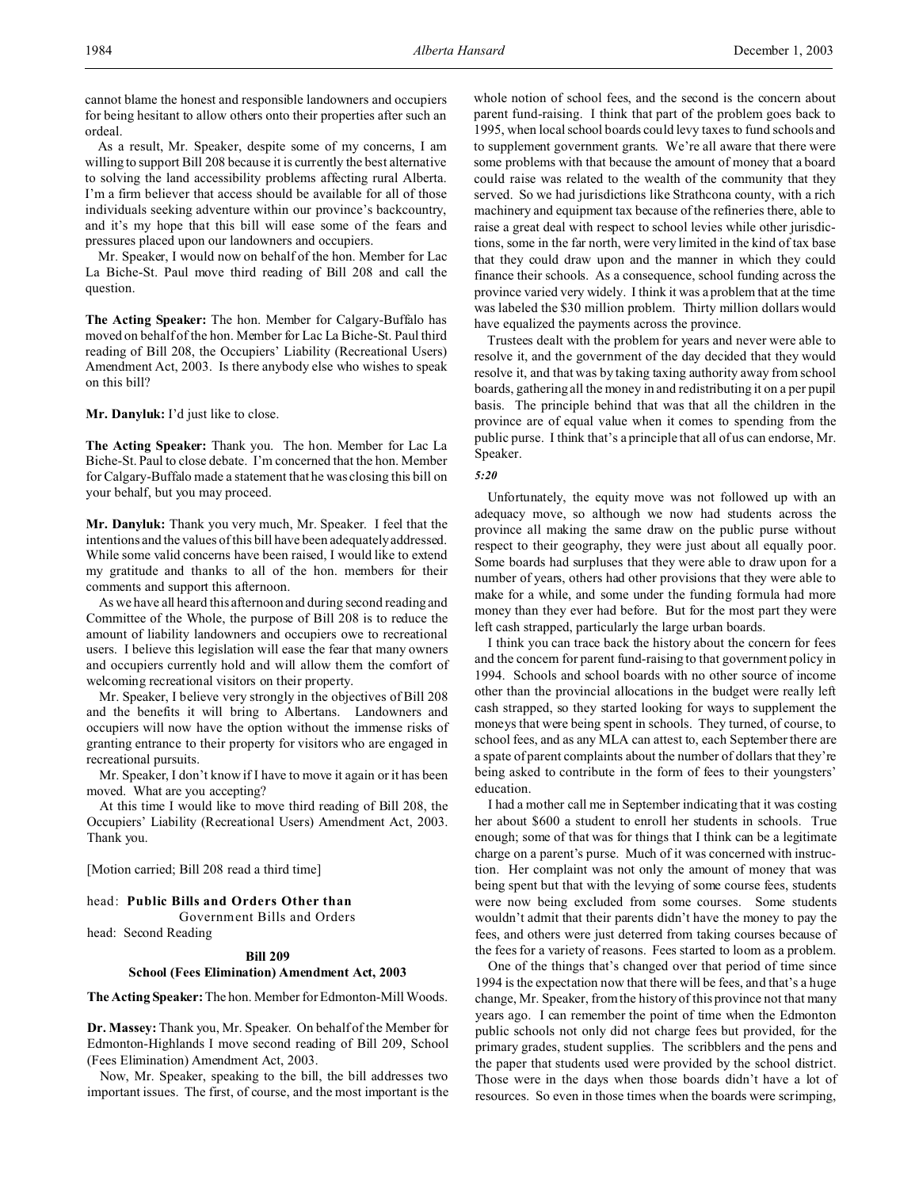cannot blame the honest and responsible landowners and occupiers for being hesitant to allow others onto their properties after such an ordeal.

As a result, Mr. Speaker, despite some of my concerns, I am willing to support Bill 208 because it is currently the best alternative to solving the land accessibility problems affecting rural Alberta. I'm a firm believer that access should be available for all of those individuals seeking adventure within our province's backcountry, and it's my hope that this bill will ease some of the fears and pressures placed upon our landowners and occupiers.

Mr. Speaker, I would now on behalf of the hon. Member for Lac La Biche-St. Paul move third reading of Bill 208 and call the question.

**The Acting Speaker:** The hon. Member for Calgary-Buffalo has moved on behalf of the hon. Member for Lac La Biche-St. Paul third reading of Bill 208, the Occupiers' Liability (Recreational Users) Amendment Act, 2003. Is there anybody else who wishes to speak on this bill?

**Mr. Danyluk:** I'd just like to close.

**The Acting Speaker:** Thank you. The hon. Member for Lac La Biche-St. Paul to close debate. I'm concerned that the hon. Member for Calgary-Buffalo made a statement that he was closing this bill on your behalf, but you may proceed.

**Mr. Danyluk:** Thank you very much, Mr. Speaker. I feel that the intentions and the values of this bill have been adequately addressed. While some valid concerns have been raised, I would like to extend my gratitude and thanks to all of the hon. members for their comments and support this afternoon.

As we have all heard this afternoon and during second reading and Committee of the Whole, the purpose of Bill 208 is to reduce the amount of liability landowners and occupiers owe to recreational users. I believe this legislation will ease the fear that many owners and occupiers currently hold and will allow them the comfort of welcoming recreational visitors on their property.

Mr. Speaker, I believe very strongly in the objectives of Bill 208 and the benefits it will bring to Albertans. Landowners and occupiers will now have the option without the immense risks of granting entrance to their property for visitors who are engaged in recreational pursuits.

Mr. Speaker, I don't know if I have to move it again or it has been moved. What are you accepting?

At this time I would like to move third reading of Bill 208, the Occupiers' Liability (Recreational Users) Amendment Act, 2003. Thank you.

[Motion carried; Bill 208 read a third time]

### head: **Public Bills and Orders Other than**

Government Bills and Orders

head: Second Reading

# **Bill 209**

### **School (Fees Elimination) Amendment Act, 2003**

**The Acting Speaker:** The hon. Member for Edmonton-Mill Woods.

**Dr. Massey:** Thank you, Mr. Speaker. On behalf of the Member for Edmonton-Highlands I move second reading of Bill 209, School (Fees Elimination) Amendment Act, 2003.

Now, Mr. Speaker, speaking to the bill, the bill addresses two important issues. The first, of course, and the most important is the whole notion of school fees, and the second is the concern about parent fund-raising. I think that part of the problem goes back to 1995, when local school boards could levy taxes to fund schools and to supplement government grants. We're all aware that there were some problems with that because the amount of money that a board could raise was related to the wealth of the community that they served. So we had jurisdictions like Strathcona county, with a rich machinery and equipment tax because of the refineries there, able to raise a great deal with respect to school levies while other jurisdictions, some in the far north, were very limited in the kind of tax base that they could draw upon and the manner in which they could finance their schools. As a consequence, school funding across the province varied very widely. I think it was a problem that at the time was labeled the \$30 million problem. Thirty million dollars would have equalized the payments across the province.

Trustees dealt with the problem for years and never were able to resolve it, and the government of the day decided that they would resolve it, and that was by taking taxing authority away from school boards, gathering all the money in and redistributing it on a per pupil basis. The principle behind that was that all the children in the province are of equal value when it comes to spending from the public purse. I think that's a principle that all of us can endorse, Mr. Speaker.

# *5:20*

Unfortunately, the equity move was not followed up with an adequacy move, so although we now had students across the province all making the same draw on the public purse without respect to their geography, they were just about all equally poor. Some boards had surpluses that they were able to draw upon for a number of years, others had other provisions that they were able to make for a while, and some under the funding formula had more money than they ever had before. But for the most part they were left cash strapped, particularly the large urban boards.

I think you can trace back the history about the concern for fees and the concern for parent fund-raising to that government policy in 1994. Schools and school boards with no other source of income other than the provincial allocations in the budget were really left cash strapped, so they started looking for ways to supplement the moneys that were being spent in schools. They turned, of course, to school fees, and as any MLA can attest to, each September there are a spate of parent complaints about the number of dollars that they're being asked to contribute in the form of fees to their youngsters' education.

I had a mother call me in September indicating that it was costing her about \$600 a student to enroll her students in schools. True enough; some of that was for things that I think can be a legitimate charge on a parent's purse. Much of it was concerned with instruction. Her complaint was not only the amount of money that was being spent but that with the levying of some course fees, students were now being excluded from some courses. Some students wouldn't admit that their parents didn't have the money to pay the fees, and others were just deterred from taking courses because of the fees for a variety of reasons. Fees started to loom as a problem.

One of the things that's changed over that period of time since 1994 is the expectation now that there will be fees, and that's a huge change, Mr. Speaker, from the history of this province not that many years ago. I can remember the point of time when the Edmonton public schools not only did not charge fees but provided, for the primary grades, student supplies. The scribblers and the pens and the paper that students used were provided by the school district. Those were in the days when those boards didn't have a lot of resources. So even in those times when the boards were scrimping,